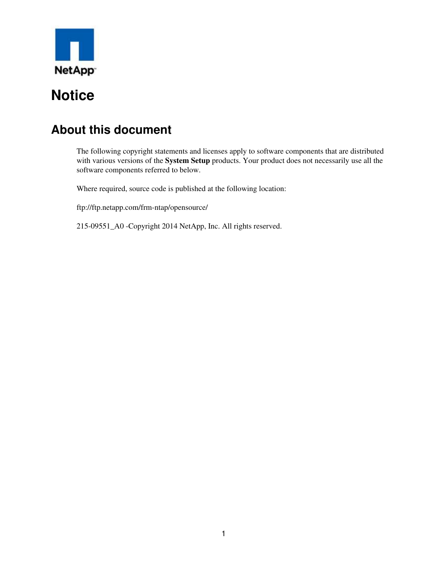

## **About this document**

The following copyright statements and licenses apply to software components that are distributed with various versions of the **System Setup** products. Your product does not necessarily use all the software components referred to below.

Where required, source code is published at the following location:

ftp://ftp.netapp.com/frm-ntap/opensource/

215-09551\_A0 -Copyright 2014 NetApp, Inc. All rights reserved.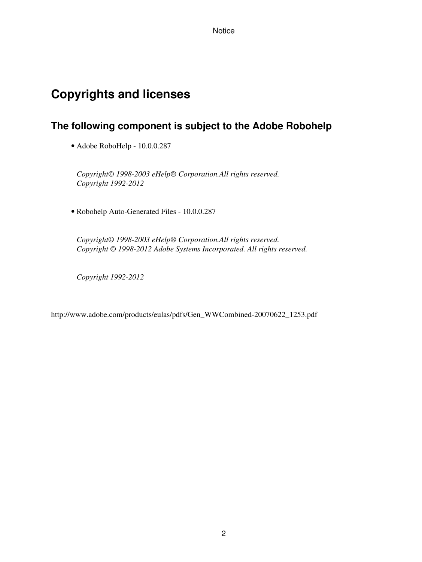## **Copyrights and licenses**

### **The following component is subject to the Adobe Robohelp**

• Adobe RoboHelp - 10.0.0.287

*Copyright© 1998-2003 eHelp® Corporation.All rights reserved. Copyright 1992-2012*

• Robohelp Auto-Generated Files - 10.0.0.287

*Copyright© 1998-2003 eHelp® Corporation.All rights reserved. Copyright © 1998-2012 Adobe Systems Incorporated. All rights reserved.*

*Copyright 1992-2012*

http://www.adobe.com/products/eulas/pdfs/Gen\_WWCombined-20070622\_1253.pdf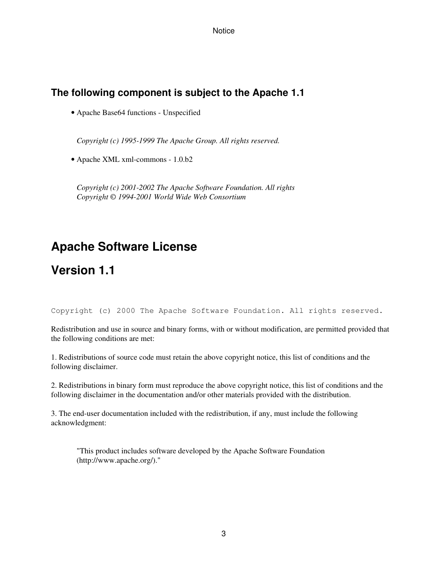### **The following component is subject to the Apache 1.1**

• Apache Base64 functions - Unspecified

*Copyright (c) 1995-1999 The Apache Group. All rights reserved.*

• Apache XML xml-commons - 1.0.b2

*Copyright (c) 2001-2002 The Apache Software Foundation. All rights Copyright © 1994-2001 World Wide Web Consortium*

## **Apache Software License**

## **Version 1.1**

Copyright (c) 2000 The Apache Software Foundation. All rights reserved.

Redistribution and use in source and binary forms, with or without modification, are permitted provided that the following conditions are met:

1. Redistributions of source code must retain the above copyright notice, this list of conditions and the following disclaimer.

2. Redistributions in binary form must reproduce the above copyright notice, this list of conditions and the following disclaimer in the documentation and/or other materials provided with the distribution.

3. The end-user documentation included with the redistribution, if any, must include the following acknowledgment:

"This product includes software developed by the Apache Software Foundation (http://www.apache.org/)."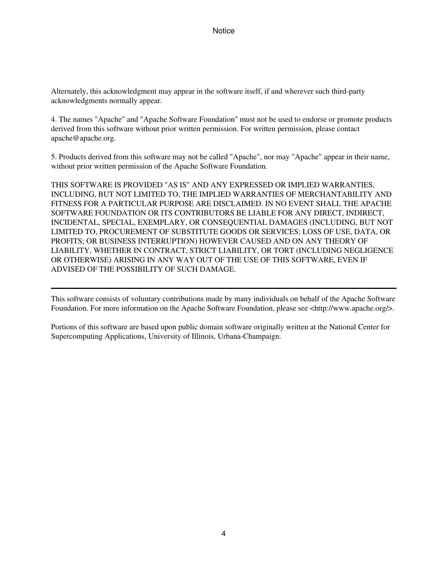Alternately, this acknowledgment may appear in the software itself, if and wherever such third-party acknowledgments normally appear.

4. The names "Apache" and "Apache Software Foundation" must not be used to endorse or promote products derived from this software without prior written permission. For written permission, please contact apache@apache.org.

5. Products derived from this software may not be called "Apache", nor may "Apache" appear in their name, without prior written permission of the Apache Software Foundation.

THIS SOFTWARE IS PROVIDED "AS IS" AND ANY EXPRESSED OR IMPLIED WARRANTIES, INCLUDING, BUT NOT LIMITED TO, THE IMPLIED WARRANTIES OF MERCHANTABILITY AND FITNESS FOR A PARTICULAR PURPOSE ARE DISCLAIMED. IN NO EVENT SHALL THE APACHE SOFTWARE FOUNDATION OR ITS CONTRIBUTORS BE LIABLE FOR ANY DIRECT, INDIRECT, INCIDENTAL, SPECIAL, EXEMPLARY, OR CONSEQUENTIAL DAMAGES (INCLUDING, BUT NOT LIMITED TO, PROCUREMENT OF SUBSTITUTE GOODS OR SERVICES; LOSS OF USE, DATA, OR PROFITS; OR BUSINESS INTERRUPTION) HOWEVER CAUSED AND ON ANY THEORY OF LIABILITY, WHETHER IN CONTRACT, STRICT LIABILITY, OR TORT (INCLUDING NEGLIGENCE OR OTHERWISE) ARISING IN ANY WAY OUT OF THE USE OF THIS SOFTWARE, EVEN IF ADVISED OF THE POSSIBILITY OF SUCH DAMAGE.

This software consists of voluntary contributions made by many individuals on behalf of the Apache Software Foundation. For more information on the Apache Software Foundation, please see <http://www.apache.org/>.

Portions of this software are based upon public domain software originally written at the National Center for Supercomputing Applications, University of Illinois, Urbana-Champaign.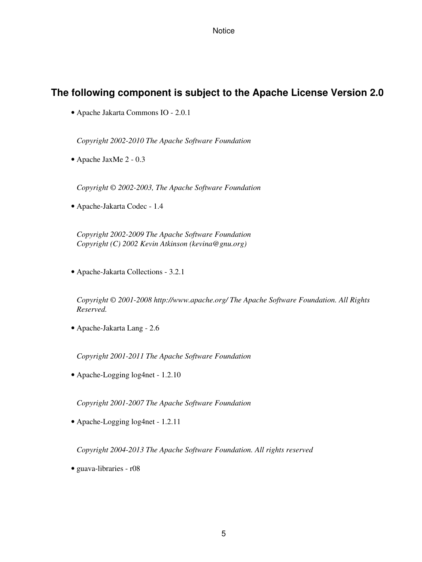### **The following component is subject to the Apache License Version 2.0**

• Apache Jakarta Commons IO - 2.0.1

*Copyright 2002-2010 The Apache Software Foundation*

• Apache JaxMe 2 - 0.3

*Copyright © 2002-2003, The Apache Software Foundation*

• Apache-Jakarta Codec - 1.4

*Copyright 2002-2009 The Apache Software Foundation Copyright (C) 2002 Kevin Atkinson (kevina@gnu.org)*

• Apache-Jakarta Collections - 3.2.1

*Copyright © 2001-2008 http://www.apache.org/ The Apache Software Foundation. All Rights Reserved.*

• Apache-Jakarta Lang - 2.6

*Copyright 2001-2011 The Apache Software Foundation*

• Apache-Logging log4net - 1.2.10

*Copyright 2001-2007 The Apache Software Foundation*

• Apache-Logging log4net - 1.2.11

*Copyright 2004-2013 The Apache Software Foundation. All rights reserved*

• guava-libraries - r08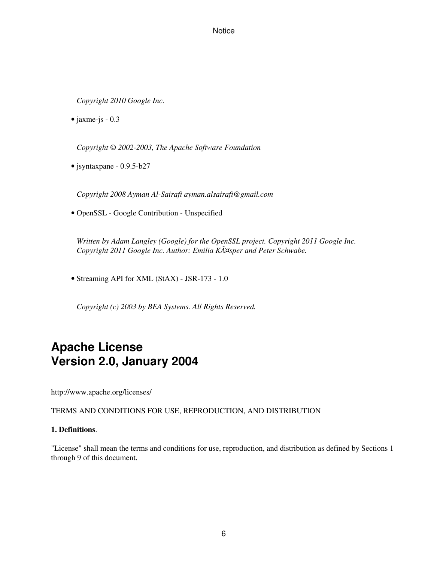*Copyright 2010 Google Inc.*

 $\bullet$  jaxme-js - 0.3

*Copyright © 2002-2003, The Apache Software Foundation*

• jsyntaxpane - 0.9.5-b27

*Copyright 2008 Ayman Al-Sairafi ayman.alsairafi@gmail.com*

• OpenSSL - Google Contribution - Unspecified

*Written by Adam Langley (Google) for the OpenSSL project. Copyright 2011 Google Inc. Copyright 2011 Google Inc. Author: Emilia Käsper and Peter Schwabe.*

• Streaming API for XML (StAX) - JSR-173 - 1.0

*Copyright (c) 2003 by BEA Systems. All Rights Reserved.*

## **Apache License Version 2.0, January 2004**

http://www.apache.org/licenses/

TERMS AND CONDITIONS FOR USE, REPRODUCTION, AND DISTRIBUTION

#### **1. Definitions**.

"License" shall mean the terms and conditions for use, reproduction, and distribution as defined by Sections 1 through 9 of this document.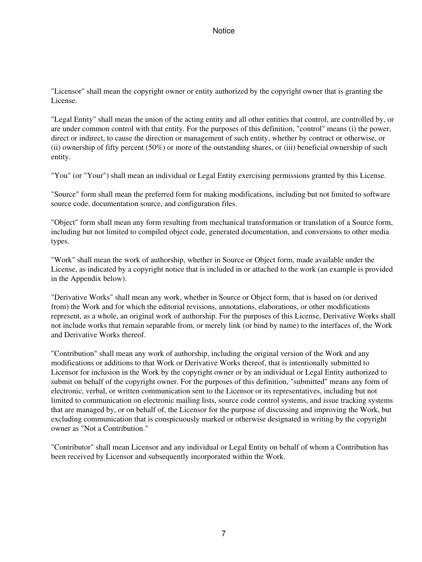"Licensor" shall mean the copyright owner or entity authorized by the copyright owner that is granting the License.

"Legal Entity" shall mean the union of the acting entity and all other entities that control, are controlled by, or are under common control with that entity. For the purposes of this definition, "control" means (i) the power, direct or indirect, to cause the direction or management of such entity, whether by contract or otherwise, or (ii) ownership of fifty percent (50%) or more of the outstanding shares, or (iii) beneficial ownership of such entity.

"You" (or "Your") shall mean an individual or Legal Entity exercising permissions granted by this License.

"Source" form shall mean the preferred form for making modifications, including but not limited to software source code, documentation source, and configuration files.

"Object" form shall mean any form resulting from mechanical transformation or translation of a Source form, including but not limited to compiled object code, generated documentation, and conversions to other media types.

"Work" shall mean the work of authorship, whether in Source or Object form, made available under the License, as indicated by a copyright notice that is included in or attached to the work (an example is provided in the Appendix below).

"Derivative Works" shall mean any work, whether in Source or Object form, that is based on (or derived from) the Work and for which the editorial revisions, annotations, elaborations, or other modifications represent, as a whole, an original work of authorship. For the purposes of this License, Derivative Works shall not include works that remain separable from, or merely link (or bind by name) to the interfaces of, the Work and Derivative Works thereof.

"Contribution" shall mean any work of authorship, including the original version of the Work and any modifications or additions to that Work or Derivative Works thereof, that is intentionally submitted to Licensor for inclusion in the Work by the copyright owner or by an individual or Legal Entity authorized to submit on behalf of the copyright owner. For the purposes of this definition, "submitted" means any form of electronic, verbal, or written communication sent to the Licensor or its representatives, including but not limited to communication on electronic mailing lists, source code control systems, and issue tracking systems that are managed by, or on behalf of, the Licensor for the purpose of discussing and improving the Work, but excluding communication that is conspicuously marked or otherwise designated in writing by the copyright owner as "Not a Contribution."

"Contributor" shall mean Licensor and any individual or Legal Entity on behalf of whom a Contribution has been received by Licensor and subsequently incorporated within the Work.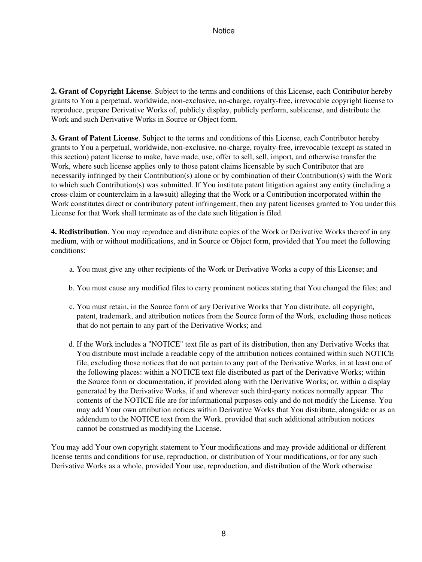**2. Grant of Copyright License**. Subject to the terms and conditions of this License, each Contributor hereby grants to You a perpetual, worldwide, non-exclusive, no-charge, royalty-free, irrevocable copyright license to reproduce, prepare Derivative Works of, publicly display, publicly perform, sublicense, and distribute the Work and such Derivative Works in Source or Object form.

**3. Grant of Patent License**. Subject to the terms and conditions of this License, each Contributor hereby grants to You a perpetual, worldwide, non-exclusive, no-charge, royalty-free, irrevocable (except as stated in this section) patent license to make, have made, use, offer to sell, sell, import, and otherwise transfer the Work, where such license applies only to those patent claims licensable by such Contributor that are necessarily infringed by their Contribution(s) alone or by combination of their Contribution(s) with the Work to which such Contribution(s) was submitted. If You institute patent litigation against any entity (including a cross-claim or counterclaim in a lawsuit) alleging that the Work or a Contribution incorporated within the Work constitutes direct or contributory patent infringement, then any patent licenses granted to You under this License for that Work shall terminate as of the date such litigation is filed.

**4. Redistribution**. You may reproduce and distribute copies of the Work or Derivative Works thereof in any medium, with or without modifications, and in Source or Object form, provided that You meet the following conditions:

- a. You must give any other recipients of the Work or Derivative Works a copy of this License; and
- b. You must cause any modified files to carry prominent notices stating that You changed the files; and
- c. You must retain, in the Source form of any Derivative Works that You distribute, all copyright, patent, trademark, and attribution notices from the Source form of the Work, excluding those notices that do not pertain to any part of the Derivative Works; and
- d. If the Work includes a "NOTICE" text file as part of its distribution, then any Derivative Works that You distribute must include a readable copy of the attribution notices contained within such NOTICE file, excluding those notices that do not pertain to any part of the Derivative Works, in at least one of the following places: within a NOTICE text file distributed as part of the Derivative Works; within the Source form or documentation, if provided along with the Derivative Works; or, within a display generated by the Derivative Works, if and wherever such third-party notices normally appear. The contents of the NOTICE file are for informational purposes only and do not modify the License. You may add Your own attribution notices within Derivative Works that You distribute, alongside or as an addendum to the NOTICE text from the Work, provided that such additional attribution notices cannot be construed as modifying the License.

You may add Your own copyright statement to Your modifications and may provide additional or different license terms and conditions for use, reproduction, or distribution of Your modifications, or for any such Derivative Works as a whole, provided Your use, reproduction, and distribution of the Work otherwise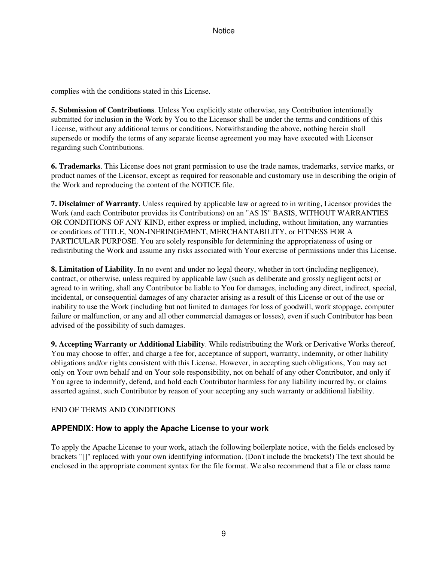complies with the conditions stated in this License.

**5. Submission of Contributions**. Unless You explicitly state otherwise, any Contribution intentionally submitted for inclusion in the Work by You to the Licensor shall be under the terms and conditions of this License, without any additional terms or conditions. Notwithstanding the above, nothing herein shall supersede or modify the terms of any separate license agreement you may have executed with Licensor regarding such Contributions.

**6. Trademarks**. This License does not grant permission to use the trade names, trademarks, service marks, or product names of the Licensor, except as required for reasonable and customary use in describing the origin of the Work and reproducing the content of the NOTICE file.

**7. Disclaimer of Warranty**. Unless required by applicable law or agreed to in writing, Licensor provides the Work (and each Contributor provides its Contributions) on an "AS IS" BASIS, WITHOUT WARRANTIES OR CONDITIONS OF ANY KIND, either express or implied, including, without limitation, any warranties or conditions of TITLE, NON-INFRINGEMENT, MERCHANTABILITY, or FITNESS FOR A PARTICULAR PURPOSE. You are solely responsible for determining the appropriateness of using or redistributing the Work and assume any risks associated with Your exercise of permissions under this License.

**8. Limitation of Liability**. In no event and under no legal theory, whether in tort (including negligence), contract, or otherwise, unless required by applicable law (such as deliberate and grossly negligent acts) or agreed to in writing, shall any Contributor be liable to You for damages, including any direct, indirect, special, incidental, or consequential damages of any character arising as a result of this License or out of the use or inability to use the Work (including but not limited to damages for loss of goodwill, work stoppage, computer failure or malfunction, or any and all other commercial damages or losses), even if such Contributor has been advised of the possibility of such damages.

**9. Accepting Warranty or Additional Liability**. While redistributing the Work or Derivative Works thereof, You may choose to offer, and charge a fee for, acceptance of support, warranty, indemnity, or other liability obligations and/or rights consistent with this License. However, in accepting such obligations, You may act only on Your own behalf and on Your sole responsibility, not on behalf of any other Contributor, and only if You agree to indemnify, defend, and hold each Contributor harmless for any liability incurred by, or claims asserted against, such Contributor by reason of your accepting any such warranty or additional liability.

#### END OF TERMS AND CONDITIONS

#### **APPENDIX: How to apply the Apache License to your work**

To apply the Apache License to your work, attach the following boilerplate notice, with the fields enclosed by brackets "[]" replaced with your own identifying information. (Don't include the brackets!) The text should be enclosed in the appropriate comment syntax for the file format. We also recommend that a file or class name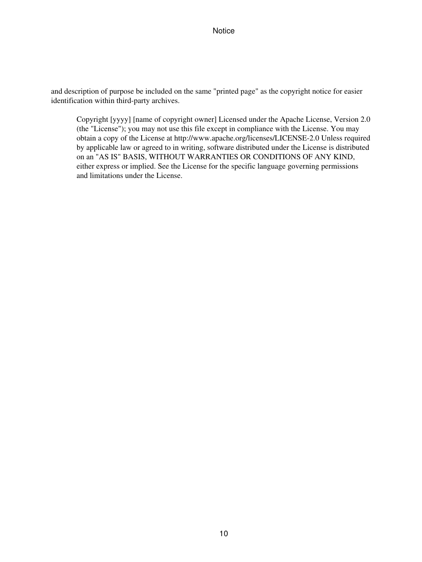and description of purpose be included on the same "printed page" as the copyright notice for easier identification within third-party archives.

Copyright [yyyy] [name of copyright owner] Licensed under the Apache License, Version 2.0 (the "License"); you may not use this file except in compliance with the License. You may obtain a copy of the License at http://www.apache.org/licenses/LICENSE-2.0 Unless required by applicable law or agreed to in writing, software distributed under the License is distributed on an "AS IS" BASIS, WITHOUT WARRANTIES OR CONDITIONS OF ANY KIND, either express or implied. See the License for the specific language governing permissions and limitations under the License.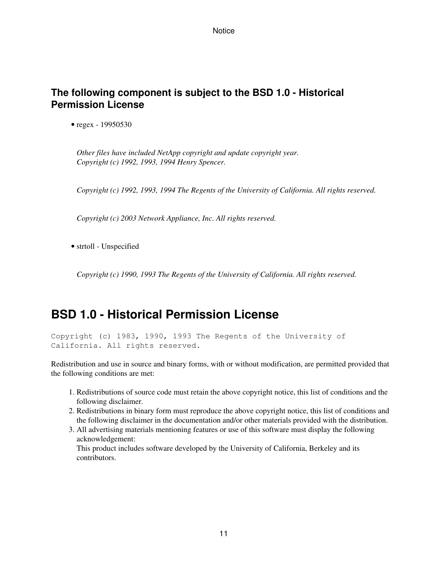### **The following component is subject to the BSD 1.0 - Historical Permission License**

• regex - 19950530

*Other files have included NetApp copyright and update copyright year. Copyright (c) 1992, 1993, 1994 Henry Spencer.*

*Copyright (c) 1992, 1993, 1994 The Regents of the University of California. All rights reserved.*

*Copyright (c) 2003 Network Appliance, Inc. All rights reserved.*

• strtoll - Unspecified

*Copyright (c) 1990, 1993 The Regents of the University of California. All rights reserved.*

## **BSD 1.0 - Historical Permission License**

Copyright (c) 1983, 1990, 1993 The Regents of the University of California. All rights reserved.

Redistribution and use in source and binary forms, with or without modification, are permitted provided that the following conditions are met:

- 1. Redistributions of source code must retain the above copyright notice, this list of conditions and the following disclaimer.
- 2. Redistributions in binary form must reproduce the above copyright notice, this list of conditions and the following disclaimer in the documentation and/or other materials provided with the distribution.
- All advertising materials mentioning features or use of this software must display the following 3. acknowledgement:

This product includes software developed by the University of California, Berkeley and its contributors.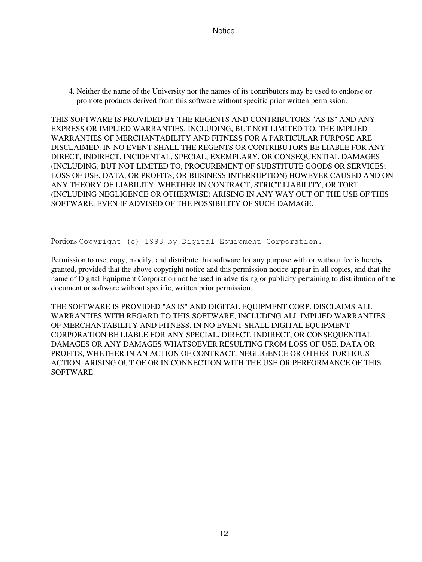4. Neither the name of the University nor the names of its contributors may be used to endorse or promote products derived from this software without specific prior written permission.

THIS SOFTWARE IS PROVIDED BY THE REGENTS AND CONTRIBUTORS "AS IS" AND ANY EXPRESS OR IMPLIED WARRANTIES, INCLUDING, BUT NOT LIMITED TO, THE IMPLIED WARRANTIES OF MERCHANTABILITY AND FITNESS FOR A PARTICULAR PURPOSE ARE DISCLAIMED. IN NO EVENT SHALL THE REGENTS OR CONTRIBUTORS BE LIABLE FOR ANY DIRECT, INDIRECT, INCIDENTAL, SPECIAL, EXEMPLARY, OR CONSEQUENTIAL DAMAGES (INCLUDING, BUT NOT LIMITED TO, PROCUREMENT OF SUBSTITUTE GOODS OR SERVICES; LOSS OF USE, DATA, OR PROFITS; OR BUSINESS INTERRUPTION) HOWEVER CAUSED AND ON ANY THEORY OF LIABILITY, WHETHER IN CONTRACT, STRICT LIABILITY, OR TORT (INCLUDING NEGLIGENCE OR OTHERWISE) ARISING IN ANY WAY OUT OF THE USE OF THIS SOFTWARE, EVEN IF ADVISED OF THE POSSIBILITY OF SUCH DAMAGE.

-

Portions Copyright (c) 1993 by Digital Equipment Corporation.

Permission to use, copy, modify, and distribute this software for any purpose with or without fee is hereby granted, provided that the above copyright notice and this permission notice appear in all copies, and that the name of Digital Equipment Corporation not be used in advertising or publicity pertaining to distribution of the document or software without specific, written prior permission.

THE SOFTWARE IS PROVIDED "AS IS" AND DIGITAL EQUIPMENT CORP. DISCLAIMS ALL WARRANTIES WITH REGARD TO THIS SOFTWARE, INCLUDING ALL IMPLIED WARRANTIES OF MERCHANTABILITY AND FITNESS. IN NO EVENT SHALL DIGITAL EQUIPMENT CORPORATION BE LIABLE FOR ANY SPECIAL, DIRECT, INDIRECT, OR CONSEQUENTIAL DAMAGES OR ANY DAMAGES WHATSOEVER RESULTING FROM LOSS OF USE, DATA OR PROFITS, WHETHER IN AN ACTION OF CONTRACT, NEGLIGENCE OR OTHER TORTIOUS ACTION, ARISING OUT OF OR IN CONNECTION WITH THE USE OR PERFORMANCE OF THIS SOFTWARE.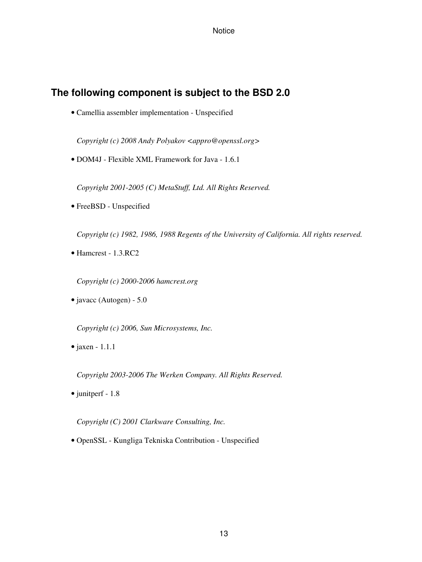### **The following component is subject to the BSD 2.0**

• Camellia assembler implementation - Unspecified

*Copyright (c) 2008 Andy Polyakov <appro@openssl.org>*

• DOM4J - Flexible XML Framework for Java - 1.6.1

*Copyright 2001-2005 (C) MetaStuff, Ltd. All Rights Reserved.*

• FreeBSD - Unspecified

*Copyright (c) 1982, 1986, 1988 Regents of the University of California. All rights reserved.*

• Hamcrest - 1.3.RC2

*Copyright (c) 2000-2006 hamcrest.org*

• javacc (Autogen) - 5.0

*Copyright (c) 2006, Sun Microsystems, Inc.*

• jaxen - 1.1.1

*Copyright 2003-2006 The Werken Company. All Rights Reserved.*

• junitperf - 1.8

*Copyright (C) 2001 Clarkware Consulting, Inc.*

• OpenSSL - Kungliga Tekniska Contribution - Unspecified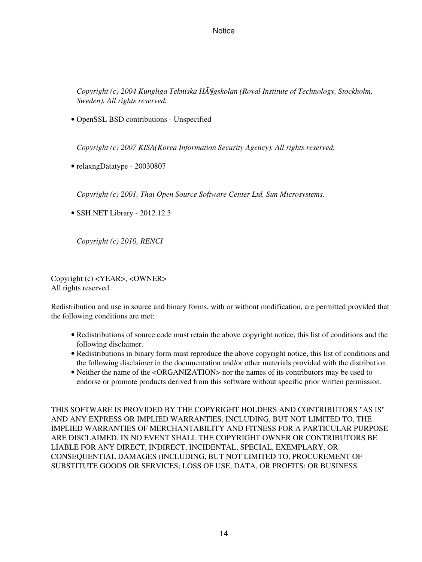*Copyright (c) 2004 Kungliga Tekniska Högskolan (Royal Institute of Technology, Stockholm, Sweden). All rights reserved.*

• OpenSSL BSD contributions - Unspecified

*Copyright (c) 2007 KISA(Korea Information Security Agency). All rights reserved.*

• relaxngDatatype - 20030807

*Copyright (c) 2001, Thai Open Source Software Center Ltd, Sun Microsystems.*

• SSH.NET Library - 2012.12.3

*Copyright (c) 2010, RENCI*

Copyright (c) <YEAR>, <OWNER> All rights reserved.

Redistribution and use in source and binary forms, with or without modification, are permitted provided that the following conditions are met:

- Redistributions of source code must retain the above copyright notice, this list of conditions and the following disclaimer.
- Redistributions in binary form must reproduce the above copyright notice, this list of conditions and the following disclaimer in the documentation and/or other materials provided with the distribution.
- Neither the name of the <ORGANIZATION> nor the names of its contributors may be used to endorse or promote products derived from this software without specific prior written permission.

THIS SOFTWARE IS PROVIDED BY THE COPYRIGHT HOLDERS AND CONTRIBUTORS "AS IS" AND ANY EXPRESS OR IMPLIED WARRANTIES, INCLUDING, BUT NOT LIMITED TO, THE IMPLIED WARRANTIES OF MERCHANTABILITY AND FITNESS FOR A PARTICULAR PURPOSE ARE DISCLAIMED. IN NO EVENT SHALL THE COPYRIGHT OWNER OR CONTRIBUTORS BE LIABLE FOR ANY DIRECT, INDIRECT, INCIDENTAL, SPECIAL, EXEMPLARY, OR CONSEQUENTIAL DAMAGES (INCLUDING, BUT NOT LIMITED TO, PROCUREMENT OF SUBSTITUTE GOODS OR SERVICES; LOSS OF USE, DATA, OR PROFITS; OR BUSINESS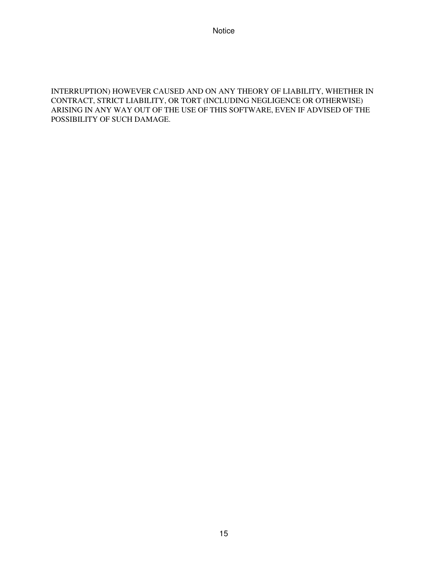INTERRUPTION) HOWEVER CAUSED AND ON ANY THEORY OF LIABILITY, WHETHER IN CONTRACT, STRICT LIABILITY, OR TORT (INCLUDING NEGLIGENCE OR OTHERWISE) ARISING IN ANY WAY OUT OF THE USE OF THIS SOFTWARE, EVEN IF ADVISED OF THE POSSIBILITY OF SUCH DAMAGE.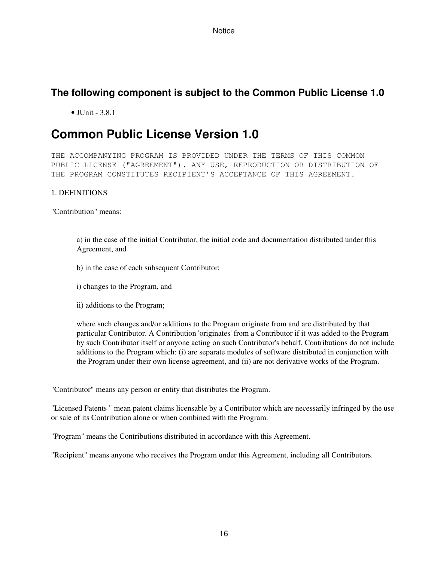### **The following component is subject to the Common Public License 1.0**

 $\bullet$  JUnit - 3.8.1

### **Common Public License Version 1.0**

THE ACCOMPANYING PROGRAM IS PROVIDED UNDER THE TERMS OF THIS COMMON PUBLIC LICENSE ("AGREEMENT"). ANY USE, REPRODUCTION OR DISTRIBUTION OF THE PROGRAM CONSTITUTES RECIPIENT'S ACCEPTANCE OF THIS AGREEMENT.

#### 1. DEFINITIONS

"Contribution" means:

a) in the case of the initial Contributor, the initial code and documentation distributed under this Agreement, and

b) in the case of each subsequent Contributor:

- i) changes to the Program, and
- ii) additions to the Program;

where such changes and/or additions to the Program originate from and are distributed by that particular Contributor. A Contribution 'originates' from a Contributor if it was added to the Program by such Contributor itself or anyone acting on such Contributor's behalf. Contributions do not include additions to the Program which: (i) are separate modules of software distributed in conjunction with the Program under their own license agreement, and (ii) are not derivative works of the Program.

"Contributor" means any person or entity that distributes the Program.

"Licensed Patents " mean patent claims licensable by a Contributor which are necessarily infringed by the use or sale of its Contribution alone or when combined with the Program.

"Program" means the Contributions distributed in accordance with this Agreement.

"Recipient" means anyone who receives the Program under this Agreement, including all Contributors.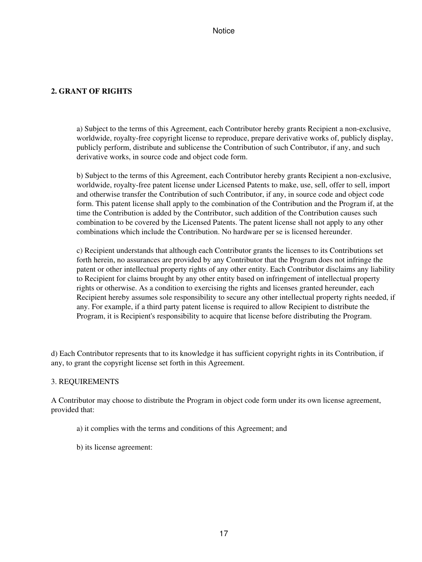#### **2. GRANT OF RIGHTS**

a) Subject to the terms of this Agreement, each Contributor hereby grants Recipient a non-exclusive, worldwide, royalty-free copyright license to reproduce, prepare derivative works of, publicly display, publicly perform, distribute and sublicense the Contribution of such Contributor, if any, and such derivative works, in source code and object code form.

b) Subject to the terms of this Agreement, each Contributor hereby grants Recipient a non-exclusive, worldwide, royalty-free patent license under Licensed Patents to make, use, sell, offer to sell, import and otherwise transfer the Contribution of such Contributor, if any, in source code and object code form. This patent license shall apply to the combination of the Contribution and the Program if, at the time the Contribution is added by the Contributor, such addition of the Contribution causes such combination to be covered by the Licensed Patents. The patent license shall not apply to any other combinations which include the Contribution. No hardware per se is licensed hereunder.

c) Recipient understands that although each Contributor grants the licenses to its Contributions set forth herein, no assurances are provided by any Contributor that the Program does not infringe the patent or other intellectual property rights of any other entity. Each Contributor disclaims any liability to Recipient for claims brought by any other entity based on infringement of intellectual property rights or otherwise. As a condition to exercising the rights and licenses granted hereunder, each Recipient hereby assumes sole responsibility to secure any other intellectual property rights needed, if any. For example, if a third party patent license is required to allow Recipient to distribute the Program, it is Recipient's responsibility to acquire that license before distributing the Program.

d) Each Contributor represents that to its knowledge it has sufficient copyright rights in its Contribution, if any, to grant the copyright license set forth in this Agreement.

#### 3. REQUIREMENTS

A Contributor may choose to distribute the Program in object code form under its own license agreement, provided that:

- a) it complies with the terms and conditions of this Agreement; and
- b) its license agreement: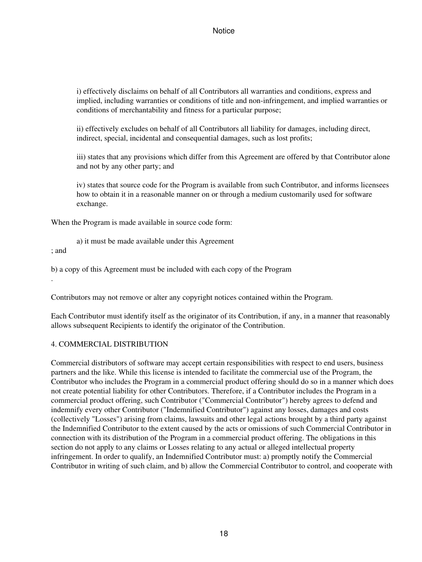i) effectively disclaims on behalf of all Contributors all warranties and conditions, express and implied, including warranties or conditions of title and non-infringement, and implied warranties or conditions of merchantability and fitness for a particular purpose;

ii) effectively excludes on behalf of all Contributors all liability for damages, including direct, indirect, special, incidental and consequential damages, such as lost profits;

iii) states that any provisions which differ from this Agreement are offered by that Contributor alone and not by any other party; and

iv) states that source code for the Program is available from such Contributor, and informs licensees how to obtain it in a reasonable manner on or through a medium customarily used for software exchange.

When the Program is made available in source code form:

a) it must be made available under this Agreement

; and

.

b) a copy of this Agreement must be included with each copy of the Program

Contributors may not remove or alter any copyright notices contained within the Program.

Each Contributor must identify itself as the originator of its Contribution, if any, in a manner that reasonably allows subsequent Recipients to identify the originator of the Contribution.

#### 4. COMMERCIAL DISTRIBUTION

Commercial distributors of software may accept certain responsibilities with respect to end users, business partners and the like. While this license is intended to facilitate the commercial use of the Program, the Contributor who includes the Program in a commercial product offering should do so in a manner which does not create potential liability for other Contributors. Therefore, if a Contributor includes the Program in a commercial product offering, such Contributor ("Commercial Contributor") hereby agrees to defend and indemnify every other Contributor ("Indemnified Contributor") against any losses, damages and costs (collectively "Losses") arising from claims, lawsuits and other legal actions brought by a third party against the Indemnified Contributor to the extent caused by the acts or omissions of such Commercial Contributor in connection with its distribution of the Program in a commercial product offering. The obligations in this section do not apply to any claims or Losses relating to any actual or alleged intellectual property infringement. In order to qualify, an Indemnified Contributor must: a) promptly notify the Commercial Contributor in writing of such claim, and b) allow the Commercial Contributor to control, and cooperate with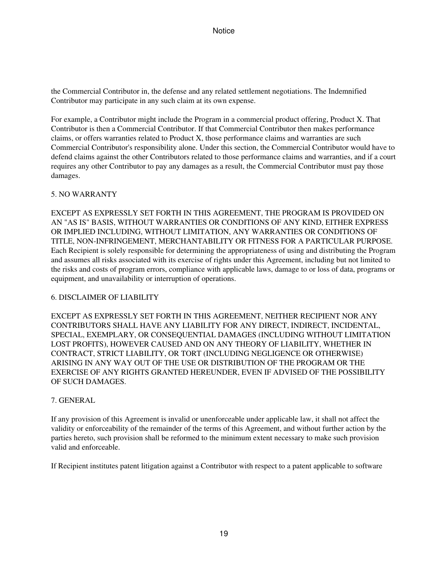the Commercial Contributor in, the defense and any related settlement negotiations. The Indemnified Contributor may participate in any such claim at its own expense.

For example, a Contributor might include the Program in a commercial product offering, Product X. That Contributor is then a Commercial Contributor. If that Commercial Contributor then makes performance claims, or offers warranties related to Product X, those performance claims and warranties are such Commercial Contributor's responsibility alone. Under this section, the Commercial Contributor would have to defend claims against the other Contributors related to those performance claims and warranties, and if a court requires any other Contributor to pay any damages as a result, the Commercial Contributor must pay those damages.

#### 5. NO WARRANTY

EXCEPT AS EXPRESSLY SET FORTH IN THIS AGREEMENT, THE PROGRAM IS PROVIDED ON AN "AS IS" BASIS, WITHOUT WARRANTIES OR CONDITIONS OF ANY KIND, EITHER EXPRESS OR IMPLIED INCLUDING, WITHOUT LIMITATION, ANY WARRANTIES OR CONDITIONS OF TITLE, NON-INFRINGEMENT, MERCHANTABILITY OR FITNESS FOR A PARTICULAR PURPOSE. Each Recipient is solely responsible for determining the appropriateness of using and distributing the Program and assumes all risks associated with its exercise of rights under this Agreement, including but not limited to the risks and costs of program errors, compliance with applicable laws, damage to or loss of data, programs or equipment, and unavailability or interruption of operations.

#### 6. DISCLAIMER OF LIABILITY

EXCEPT AS EXPRESSLY SET FORTH IN THIS AGREEMENT, NEITHER RECIPIENT NOR ANY CONTRIBUTORS SHALL HAVE ANY LIABILITY FOR ANY DIRECT, INDIRECT, INCIDENTAL, SPECIAL, EXEMPLARY, OR CONSEQUENTIAL DAMAGES (INCLUDING WITHOUT LIMITATION LOST PROFITS), HOWEVER CAUSED AND ON ANY THEORY OF LIABILITY, WHETHER IN CONTRACT, STRICT LIABILITY, OR TORT (INCLUDING NEGLIGENCE OR OTHERWISE) ARISING IN ANY WAY OUT OF THE USE OR DISTRIBUTION OF THE PROGRAM OR THE EXERCISE OF ANY RIGHTS GRANTED HEREUNDER, EVEN IF ADVISED OF THE POSSIBILITY OF SUCH DAMAGES.

#### 7. GENERAL

If any provision of this Agreement is invalid or unenforceable under applicable law, it shall not affect the validity or enforceability of the remainder of the terms of this Agreement, and without further action by the parties hereto, such provision shall be reformed to the minimum extent necessary to make such provision valid and enforceable.

If Recipient institutes patent litigation against a Contributor with respect to a patent applicable to software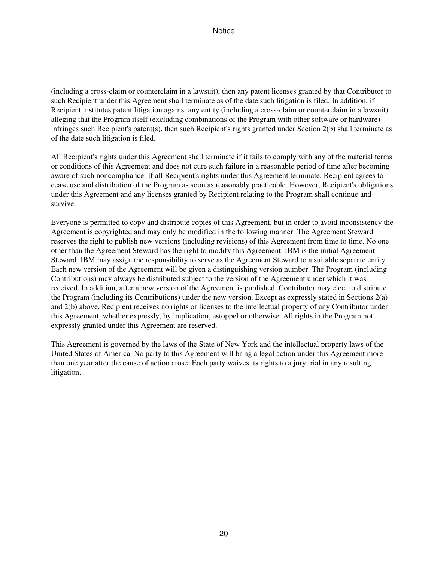(including a cross-claim or counterclaim in a lawsuit), then any patent licenses granted by that Contributor to such Recipient under this Agreement shall terminate as of the date such litigation is filed. In addition, if Recipient institutes patent litigation against any entity (including a cross-claim or counterclaim in a lawsuit) alleging that the Program itself (excluding combinations of the Program with other software or hardware) infringes such Recipient's patent(s), then such Recipient's rights granted under Section 2(b) shall terminate as of the date such litigation is filed.

All Recipient's rights under this Agreement shall terminate if it fails to comply with any of the material terms or conditions of this Agreement and does not cure such failure in a reasonable period of time after becoming aware of such noncompliance. If all Recipient's rights under this Agreement terminate, Recipient agrees to cease use and distribution of the Program as soon as reasonably practicable. However, Recipient's obligations under this Agreement and any licenses granted by Recipient relating to the Program shall continue and survive.

Everyone is permitted to copy and distribute copies of this Agreement, but in order to avoid inconsistency the Agreement is copyrighted and may only be modified in the following manner. The Agreement Steward reserves the right to publish new versions (including revisions) of this Agreement from time to time. No one other than the Agreement Steward has the right to modify this Agreement. IBM is the initial Agreement Steward. IBM may assign the responsibility to serve as the Agreement Steward to a suitable separate entity. Each new version of the Agreement will be given a distinguishing version number. The Program (including Contributions) may always be distributed subject to the version of the Agreement under which it was received. In addition, after a new version of the Agreement is published, Contributor may elect to distribute the Program (including its Contributions) under the new version. Except as expressly stated in Sections 2(a) and 2(b) above, Recipient receives no rights or licenses to the intellectual property of any Contributor under this Agreement, whether expressly, by implication, estoppel or otherwise. All rights in the Program not expressly granted under this Agreement are reserved.

This Agreement is governed by the laws of the State of New York and the intellectual property laws of the United States of America. No party to this Agreement will bring a legal action under this Agreement more than one year after the cause of action arose. Each party waives its rights to a jury trial in any resulting litigation.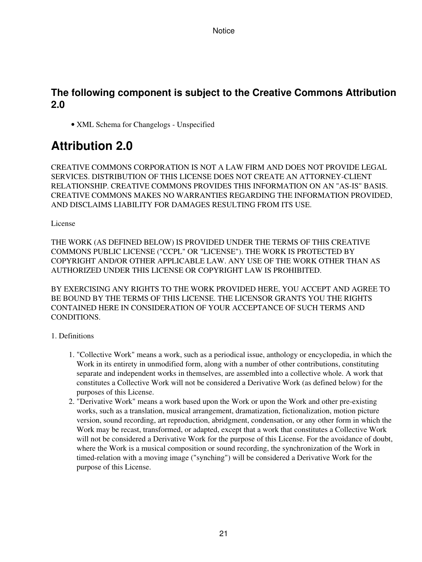### **The following component is subject to the Creative Commons Attribution 2.0**

• XML Schema for Changelogs - Unspecified

## **Attribution 2.0**

CREATIVE COMMONS CORPORATION IS NOT A LAW FIRM AND DOES NOT PROVIDE LEGAL SERVICES. DISTRIBUTION OF THIS LICENSE DOES NOT CREATE AN ATTORNEY-CLIENT RELATIONSHIP. CREATIVE COMMONS PROVIDES THIS INFORMATION ON AN "AS-IS" BASIS. CREATIVE COMMONS MAKES NO WARRANTIES REGARDING THE INFORMATION PROVIDED, AND DISCLAIMS LIABILITY FOR DAMAGES RESULTING FROM ITS USE.

License

THE WORK (AS DEFINED BELOW) IS PROVIDED UNDER THE TERMS OF THIS CREATIVE COMMONS PUBLIC LICENSE ("CCPL" OR "LICENSE"). THE WORK IS PROTECTED BY COPYRIGHT AND/OR OTHER APPLICABLE LAW. ANY USE OF THE WORK OTHER THAN AS AUTHORIZED UNDER THIS LICENSE OR COPYRIGHT LAW IS PROHIBITED.

BY EXERCISING ANY RIGHTS TO THE WORK PROVIDED HERE, YOU ACCEPT AND AGREE TO BE BOUND BY THE TERMS OF THIS LICENSE. THE LICENSOR GRANTS YOU THE RIGHTS CONTAINED HERE IN CONSIDERATION OF YOUR ACCEPTANCE OF SUCH TERMS AND CONDITIONS.

#### 1. Definitions

- 1. "Collective Work" means a work, such as a periodical issue, anthology or encyclopedia, in which the Work in its entirety in unmodified form, along with a number of other contributions, constituting separate and independent works in themselves, are assembled into a collective whole. A work that constitutes a Collective Work will not be considered a Derivative Work (as defined below) for the purposes of this License.
- 2. "Derivative Work" means a work based upon the Work or upon the Work and other pre-existing works, such as a translation, musical arrangement, dramatization, fictionalization, motion picture version, sound recording, art reproduction, abridgment, condensation, or any other form in which the Work may be recast, transformed, or adapted, except that a work that constitutes a Collective Work will not be considered a Derivative Work for the purpose of this License. For the avoidance of doubt, where the Work is a musical composition or sound recording, the synchronization of the Work in timed-relation with a moving image ("synching") will be considered a Derivative Work for the purpose of this License.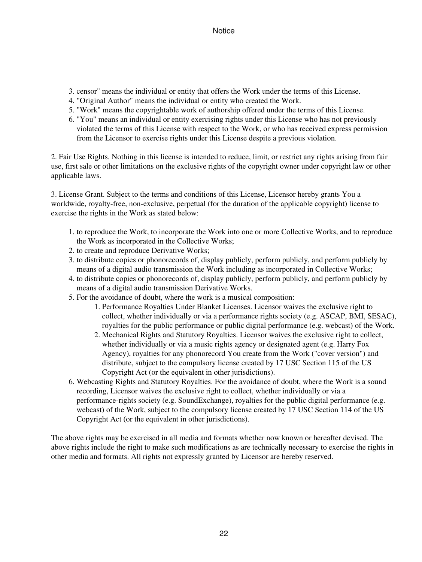- 3. censor" means the individual or entity that offers the Work under the terms of this License.
- 4. "Original Author" means the individual or entity who created the Work.
- 5. "Work" means the copyrightable work of authorship offered under the terms of this License.
- "You" means an individual or entity exercising rights under this License who has not previously 6. violated the terms of this License with respect to the Work, or who has received express permission from the Licensor to exercise rights under this License despite a previous violation.

2. Fair Use Rights. Nothing in this license is intended to reduce, limit, or restrict any rights arising from fair use, first sale or other limitations on the exclusive rights of the copyright owner under copyright law or other applicable laws.

3. License Grant. Subject to the terms and conditions of this License, Licensor hereby grants You a worldwide, royalty-free, non-exclusive, perpetual (for the duration of the applicable copyright) license to exercise the rights in the Work as stated below:

- 1. to reproduce the Work, to incorporate the Work into one or more Collective Works, and to reproduce the Work as incorporated in the Collective Works;
- 2. to create and reproduce Derivative Works;
- 3. to distribute copies or phonorecords of, display publicly, perform publicly, and perform publicly by means of a digital audio transmission the Work including as incorporated in Collective Works;
- 4. to distribute copies or phonorecords of, display publicly, perform publicly, and perform publicly by means of a digital audio transmission Derivative Works.
- 5. For the avoidance of doubt, where the work is a musical composition:
	- 1. Performance Royalties Under Blanket Licenses. Licensor waives the exclusive right to collect, whether individually or via a performance rights society (e.g. ASCAP, BMI, SESAC), royalties for the public performance or public digital performance (e.g. webcast) of the Work.
	- 2. Mechanical Rights and Statutory Royalties. Licensor waives the exclusive right to collect, whether individually or via a music rights agency or designated agent (e.g. Harry Fox Agency), royalties for any phonorecord You create from the Work ("cover version") and distribute, subject to the compulsory license created by 17 USC Section 115 of the US Copyright Act (or the equivalent in other jurisdictions).
- Webcasting Rights and Statutory Royalties. For the avoidance of doubt, where the Work is a sound 6. recording, Licensor waives the exclusive right to collect, whether individually or via a performance-rights society (e.g. SoundExchange), royalties for the public digital performance (e.g. webcast) of the Work, subject to the compulsory license created by 17 USC Section 114 of the US Copyright Act (or the equivalent in other jurisdictions).

The above rights may be exercised in all media and formats whether now known or hereafter devised. The above rights include the right to make such modifications as are technically necessary to exercise the rights in other media and formats. All rights not expressly granted by Licensor are hereby reserved.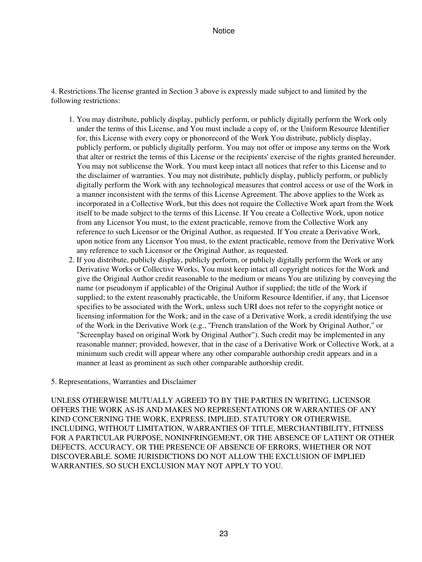4. Restrictions.The license granted in Section 3 above is expressly made subject to and limited by the following restrictions:

- 1. You may distribute, publicly display, publicly perform, or publicly digitally perform the Work only under the terms of this License, and You must include a copy of, or the Uniform Resource Identifier for, this License with every copy or phonorecord of the Work You distribute, publicly display, publicly perform, or publicly digitally perform. You may not offer or impose any terms on the Work that alter or restrict the terms of this License or the recipients' exercise of the rights granted hereunder. You may not sublicense the Work. You must keep intact all notices that refer to this License and to the disclaimer of warranties. You may not distribute, publicly display, publicly perform, or publicly digitally perform the Work with any technological measures that control access or use of the Work in a manner inconsistent with the terms of this License Agreement. The above applies to the Work as incorporated in a Collective Work, but this does not require the Collective Work apart from the Work itself to be made subject to the terms of this License. If You create a Collective Work, upon notice from any Licensor You must, to the extent practicable, remove from the Collective Work any reference to such Licensor or the Original Author, as requested. If You create a Derivative Work, upon notice from any Licensor You must, to the extent practicable, remove from the Derivative Work any reference to such Licensor or the Original Author, as requested.
- 2. If you distribute, publicly display, publicly perform, or publicly digitally perform the Work or any Derivative Works or Collective Works, You must keep intact all copyright notices for the Work and give the Original Author credit reasonable to the medium or means You are utilizing by conveying the name (or pseudonym if applicable) of the Original Author if supplied; the title of the Work if supplied; to the extent reasonably practicable, the Uniform Resource Identifier, if any, that Licensor specifies to be associated with the Work, unless such URI does not refer to the copyright notice or licensing information for the Work; and in the case of a Derivative Work, a credit identifying the use of the Work in the Derivative Work (e.g., "French translation of the Work by Original Author," or "Screenplay based on original Work by Original Author"). Such credit may be implemented in any reasonable manner; provided, however, that in the case of a Derivative Work or Collective Work, at a minimum such credit will appear where any other comparable authorship credit appears and in a manner at least as prominent as such other comparable authorship credit.

#### 5. Representations, Warranties and Disclaimer

UNLESS OTHERWISE MUTUALLY AGREED TO BY THE PARTIES IN WRITING, LICENSOR OFFERS THE WORK AS-IS AND MAKES NO REPRESENTATIONS OR WARRANTIES OF ANY KIND CONCERNING THE WORK, EXPRESS, IMPLIED, STATUTORY OR OTHERWISE, INCLUDING, WITHOUT LIMITATION, WARRANTIES OF TITLE, MERCHANTIBILITY, FITNESS FOR A PARTICULAR PURPOSE, NONINFRINGEMENT, OR THE ABSENCE OF LATENT OR OTHER DEFECTS, ACCURACY, OR THE PRESENCE OF ABSENCE OF ERRORS, WHETHER OR NOT DISCOVERABLE. SOME JURISDICTIONS DO NOT ALLOW THE EXCLUSION OF IMPLIED WARRANTIES, SO SUCH EXCLUSION MAY NOT APPLY TO YOU.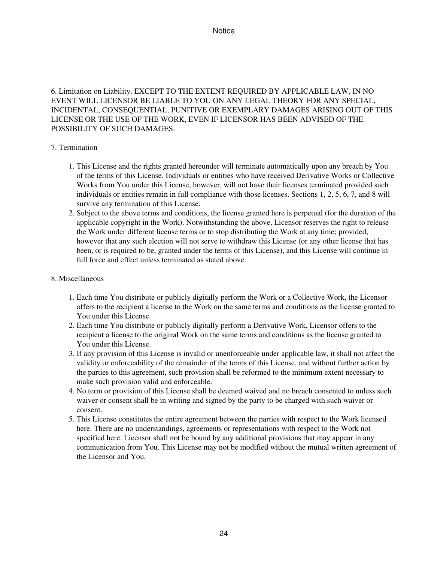6. Limitation on Liability. EXCEPT TO THE EXTENT REQUIRED BY APPLICABLE LAW, IN NO EVENT WILL LICENSOR BE LIABLE TO YOU ON ANY LEGAL THEORY FOR ANY SPECIAL, INCIDENTAL, CONSEQUENTIAL, PUNITIVE OR EXEMPLARY DAMAGES ARISING OUT OF THIS LICENSE OR THE USE OF THE WORK, EVEN IF LICENSOR HAS BEEN ADVISED OF THE POSSIBILITY OF SUCH DAMAGES.

#### 7. Termination

- 1. This License and the rights granted hereunder will terminate automatically upon any breach by You of the terms of this License. Individuals or entities who have received Derivative Works or Collective Works from You under this License, however, will not have their licenses terminated provided such individuals or entities remain in full compliance with those licenses. Sections 1, 2, 5, 6, 7, and 8 will survive any termination of this License.
- 2. Subject to the above terms and conditions, the license granted here is perpetual (for the duration of the applicable copyright in the Work). Notwithstanding the above, Licensor reserves the right to release the Work under different license terms or to stop distributing the Work at any time; provided, however that any such election will not serve to withdraw this License (or any other license that has been, or is required to be, granted under the terms of this License), and this License will continue in full force and effect unless terminated as stated above.

#### 8. Miscellaneous

- Each time You distribute or publicly digitally perform the Work or a Collective Work, the Licensor 1. offers to the recipient a license to the Work on the same terms and conditions as the license granted to You under this License.
- Each time You distribute or publicly digitally perform a Derivative Work, Licensor offers to the 2. recipient a license to the original Work on the same terms and conditions as the license granted to You under this License.
- 3. If any provision of this License is invalid or unenforceable under applicable law, it shall not affect the validity or enforceability of the remainder of the terms of this License, and without further action by the parties to this agreement, such provision shall be reformed to the minimum extent necessary to make such provision valid and enforceable.
- 4. No term or provision of this License shall be deemed waived and no breach consented to unless such waiver or consent shall be in writing and signed by the party to be charged with such waiver or consent.
- 5. This License constitutes the entire agreement between the parties with respect to the Work licensed here. There are no understandings, agreements or representations with respect to the Work not specified here. Licensor shall not be bound by any additional provisions that may appear in any communication from You. This License may not be modified without the mutual written agreement of the Licensor and You.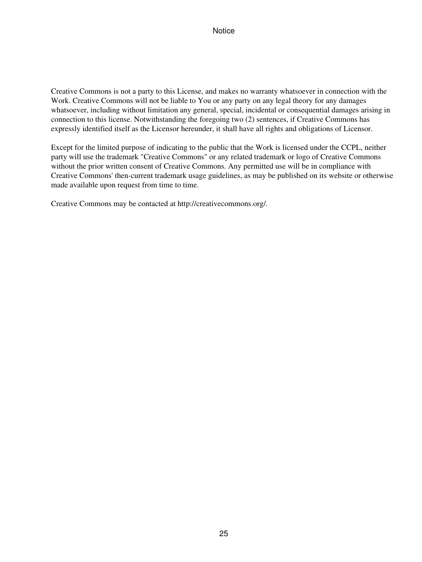Creative Commons is not a party to this License, and makes no warranty whatsoever in connection with the Work. Creative Commons will not be liable to You or any party on any legal theory for any damages whatsoever, including without limitation any general, special, incidental or consequential damages arising in connection to this license. Notwithstanding the foregoing two (2) sentences, if Creative Commons has expressly identified itself as the Licensor hereunder, it shall have all rights and obligations of Licensor.

Except for the limited purpose of indicating to the public that the Work is licensed under the CCPL, neither party will use the trademark "Creative Commons" or any related trademark or logo of Creative Commons without the prior written consent of Creative Commons. Any permitted use will be in compliance with Creative Commons' then-current trademark usage guidelines, as may be published on its website or otherwise made available upon request from time to time.

Creative Commons may be contacted at http://creativecommons.org/.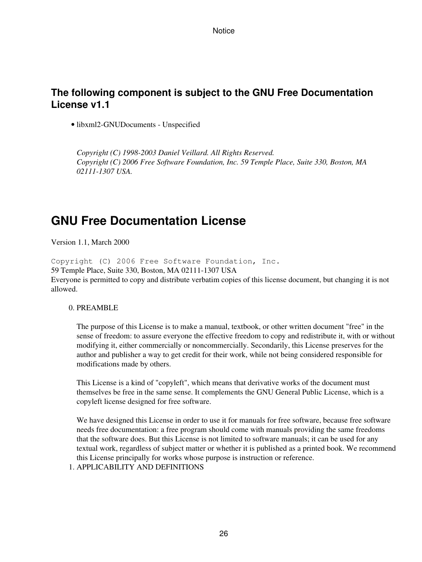### **The following component is subject to the GNU Free Documentation License v1.1**

• libxml2-GNUDocuments - Unspecified

*Copyright (C) 1998-2003 Daniel Veillard. All Rights Reserved. Copyright (C) 2006 Free Software Foundation, Inc. 59 Temple Place, Suite 330, Boston, MA 02111-1307 USA.*

## **GNU Free Documentation License**

Version 1.1, March 2000

Copyright (C) 2006 Free Software Foundation, Inc. 59 Temple Place, Suite 330, Boston, MA 02111-1307 USA Everyone is permitted to copy and distribute verbatim copies of this license document, but changing it is not allowed.

#### 0. PREAMBLE

The purpose of this License is to make a manual, textbook, or other written document "free" in the sense of freedom: to assure everyone the effective freedom to copy and redistribute it, with or without modifying it, either commercially or noncommercially. Secondarily, this License preserves for the author and publisher a way to get credit for their work, while not being considered responsible for modifications made by others.

This License is a kind of "copyleft", which means that derivative works of the document must themselves be free in the same sense. It complements the GNU General Public License, which is a copyleft license designed for free software.

We have designed this License in order to use it for manuals for free software, because free software needs free documentation: a free program should come with manuals providing the same freedoms that the software does. But this License is not limited to software manuals; it can be used for any textual work, regardless of subject matter or whether it is published as a printed book. We recommend this License principally for works whose purpose is instruction or reference.

1. APPLICABILITY AND DEFINITIONS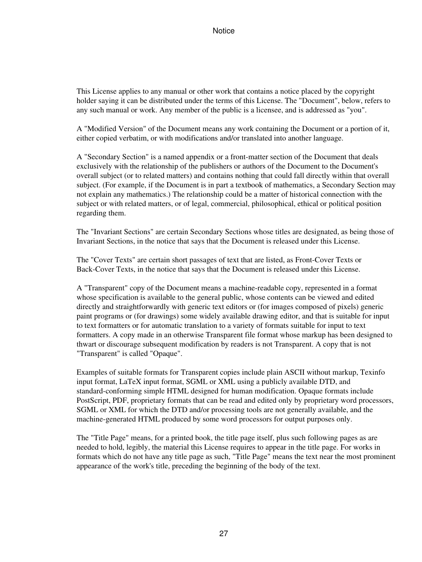This License applies to any manual or other work that contains a notice placed by the copyright holder saying it can be distributed under the terms of this License. The "Document", below, refers to any such manual or work. Any member of the public is a licensee, and is addressed as "you".

A "Modified Version" of the Document means any work containing the Document or a portion of it, either copied verbatim, or with modifications and/or translated into another language.

A "Secondary Section" is a named appendix or a front-matter section of the Document that deals exclusively with the relationship of the publishers or authors of the Document to the Document's overall subject (or to related matters) and contains nothing that could fall directly within that overall subject. (For example, if the Document is in part a textbook of mathematics, a Secondary Section may not explain any mathematics.) The relationship could be a matter of historical connection with the subject or with related matters, or of legal, commercial, philosophical, ethical or political position regarding them.

The "Invariant Sections" are certain Secondary Sections whose titles are designated, as being those of Invariant Sections, in the notice that says that the Document is released under this License.

The "Cover Texts" are certain short passages of text that are listed, as Front-Cover Texts or Back-Cover Texts, in the notice that says that the Document is released under this License.

A "Transparent" copy of the Document means a machine-readable copy, represented in a format whose specification is available to the general public, whose contents can be viewed and edited directly and straightforwardly with generic text editors or (for images composed of pixels) generic paint programs or (for drawings) some widely available drawing editor, and that is suitable for input to text formatters or for automatic translation to a variety of formats suitable for input to text formatters. A copy made in an otherwise Transparent file format whose markup has been designed to thwart or discourage subsequent modification by readers is not Transparent. A copy that is not "Transparent" is called "Opaque".

Examples of suitable formats for Transparent copies include plain ASCII without markup, Texinfo input format, LaTeX input format, SGML or XML using a publicly available DTD, and standard-conforming simple HTML designed for human modification. Opaque formats include PostScript, PDF, proprietary formats that can be read and edited only by proprietary word processors, SGML or XML for which the DTD and/or processing tools are not generally available, and the machine-generated HTML produced by some word processors for output purposes only.

The "Title Page" means, for a printed book, the title page itself, plus such following pages as are needed to hold, legibly, the material this License requires to appear in the title page. For works in formats which do not have any title page as such, "Title Page" means the text near the most prominent appearance of the work's title, preceding the beginning of the body of the text.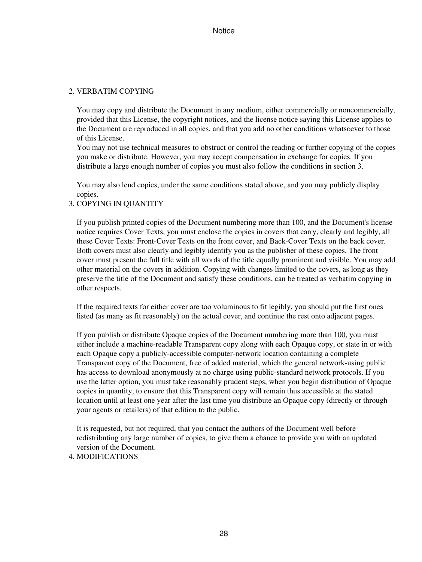#### 2. VERBATIM COPYING

You may copy and distribute the Document in any medium, either commercially or noncommercially, provided that this License, the copyright notices, and the license notice saying this License applies to the Document are reproduced in all copies, and that you add no other conditions whatsoever to those of this License.

You may not use technical measures to obstruct or control the reading or further copying of the copies you make or distribute. However, you may accept compensation in exchange for copies. If you distribute a large enough number of copies you must also follow the conditions in section 3.

You may also lend copies, under the same conditions stated above, and you may publicly display copies.

#### 3. COPYING IN QUANTITY

If you publish printed copies of the Document numbering more than 100, and the Document's license notice requires Cover Texts, you must enclose the copies in covers that carry, clearly and legibly, all these Cover Texts: Front-Cover Texts on the front cover, and Back-Cover Texts on the back cover. Both covers must also clearly and legibly identify you as the publisher of these copies. The front cover must present the full title with all words of the title equally prominent and visible. You may add other material on the covers in addition. Copying with changes limited to the covers, as long as they preserve the title of the Document and satisfy these conditions, can be treated as verbatim copying in other respects.

If the required texts for either cover are too voluminous to fit legibly, you should put the first ones listed (as many as fit reasonably) on the actual cover, and continue the rest onto adjacent pages.

If you publish or distribute Opaque copies of the Document numbering more than 100, you must either include a machine-readable Transparent copy along with each Opaque copy, or state in or with each Opaque copy a publicly-accessible computer-network location containing a complete Transparent copy of the Document, free of added material, which the general network-using public has access to download anonymously at no charge using public-standard network protocols. If you use the latter option, you must take reasonably prudent steps, when you begin distribution of Opaque copies in quantity, to ensure that this Transparent copy will remain thus accessible at the stated location until at least one year after the last time you distribute an Opaque copy (directly or through your agents or retailers) of that edition to the public.

It is requested, but not required, that you contact the authors of the Document well before redistributing any large number of copies, to give them a chance to provide you with an updated version of the Document.

#### 4. MODIFICATIONS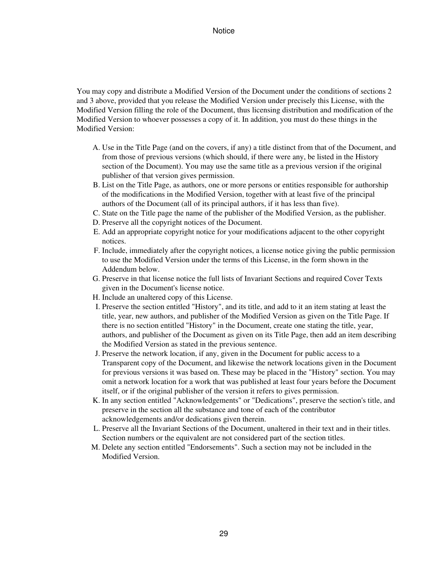You may copy and distribute a Modified Version of the Document under the conditions of sections 2 and 3 above, provided that you release the Modified Version under precisely this License, with the Modified Version filling the role of the Document, thus licensing distribution and modification of the Modified Version to whoever possesses a copy of it. In addition, you must do these things in the Modified Version:

- A. Use in the Title Page (and on the covers, if any) a title distinct from that of the Document, and from those of previous versions (which should, if there were any, be listed in the History section of the Document). You may use the same title as a previous version if the original publisher of that version gives permission.
- B. List on the Title Page, as authors, one or more persons or entities responsible for authorship of the modifications in the Modified Version, together with at least five of the principal authors of the Document (all of its principal authors, if it has less than five).
- C. State on the Title page the name of the publisher of the Modified Version, as the publisher.
- D. Preserve all the copyright notices of the Document.
- E. Add an appropriate copyright notice for your modifications adjacent to the other copyright notices.
- F. Include, immediately after the copyright notices, a license notice giving the public permission to use the Modified Version under the terms of this License, in the form shown in the Addendum below.
- G. Preserve in that license notice the full lists of Invariant Sections and required Cover Texts given in the Document's license notice.
- H. Include an unaltered copy of this License.
- I. Preserve the section entitled "History", and its title, and add to it an item stating at least the title, year, new authors, and publisher of the Modified Version as given on the Title Page. If there is no section entitled "History" in the Document, create one stating the title, year, authors, and publisher of the Document as given on its Title Page, then add an item describing the Modified Version as stated in the previous sentence.
- J. Preserve the network location, if any, given in the Document for public access to a Transparent copy of the Document, and likewise the network locations given in the Document for previous versions it was based on. These may be placed in the "History" section. You may omit a network location for a work that was published at least four years before the Document itself, or if the original publisher of the version it refers to gives permission.
- K. In any section entitled "Acknowledgements" or "Dedications", preserve the section's title, and preserve in the section all the substance and tone of each of the contributor acknowledgements and/or dedications given therein.
- L. Preserve all the Invariant Sections of the Document, unaltered in their text and in their titles. Section numbers or the equivalent are not considered part of the section titles.
- M. Delete any section entitled "Endorsements". Such a section may not be included in the Modified Version.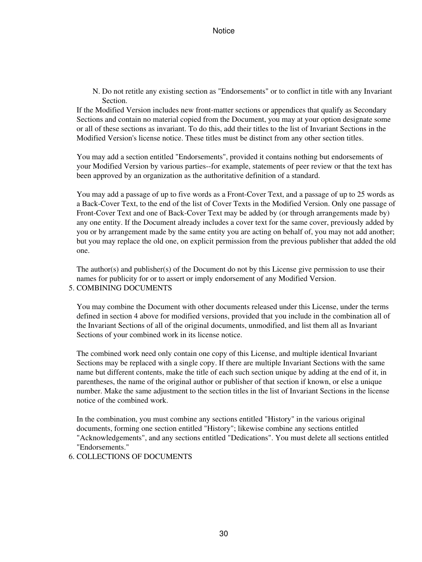N. Do not retitle any existing section as "Endorsements" or to conflict in title with any Invariant Section.

If the Modified Version includes new front-matter sections or appendices that qualify as Secondary Sections and contain no material copied from the Document, you may at your option designate some or all of these sections as invariant. To do this, add their titles to the list of Invariant Sections in the Modified Version's license notice. These titles must be distinct from any other section titles.

You may add a section entitled "Endorsements", provided it contains nothing but endorsements of your Modified Version by various parties--for example, statements of peer review or that the text has been approved by an organization as the authoritative definition of a standard.

You may add a passage of up to five words as a Front-Cover Text, and a passage of up to 25 words as a Back-Cover Text, to the end of the list of Cover Texts in the Modified Version. Only one passage of Front-Cover Text and one of Back-Cover Text may be added by (or through arrangements made by) any one entity. If the Document already includes a cover text for the same cover, previously added by you or by arrangement made by the same entity you are acting on behalf of, you may not add another; but you may replace the old one, on explicit permission from the previous publisher that added the old one.

The author(s) and publisher(s) of the Document do not by this License give permission to use their names for publicity for or to assert or imply endorsement of any Modified Version. 5. COMBINING DOCUMENTS

You may combine the Document with other documents released under this License, under the terms defined in section 4 above for modified versions, provided that you include in the combination all of the Invariant Sections of all of the original documents, unmodified, and list them all as Invariant Sections of your combined work in its license notice.

The combined work need only contain one copy of this License, and multiple identical Invariant Sections may be replaced with a single copy. If there are multiple Invariant Sections with the same name but different contents, make the title of each such section unique by adding at the end of it, in parentheses, the name of the original author or publisher of that section if known, or else a unique number. Make the same adjustment to the section titles in the list of Invariant Sections in the license notice of the combined work.

In the combination, you must combine any sections entitled "History" in the various original documents, forming one section entitled "History"; likewise combine any sections entitled "Acknowledgements", and any sections entitled "Dedications". You must delete all sections entitled "Endorsements."

6. COLLECTIONS OF DOCUMENTS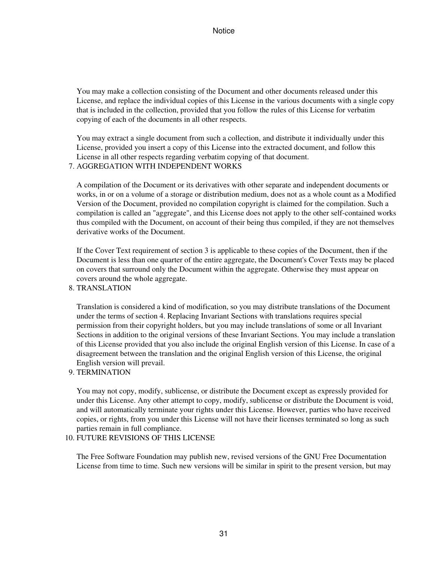You may make a collection consisting of the Document and other documents released under this License, and replace the individual copies of this License in the various documents with a single copy that is included in the collection, provided that you follow the rules of this License for verbatim copying of each of the documents in all other respects.

You may extract a single document from such a collection, and distribute it individually under this License, provided you insert a copy of this License into the extracted document, and follow this License in all other respects regarding verbatim copying of that document.

#### 7. AGGREGATION WITH INDEPENDENT WORKS

A compilation of the Document or its derivatives with other separate and independent documents or works, in or on a volume of a storage or distribution medium, does not as a whole count as a Modified Version of the Document, provided no compilation copyright is claimed for the compilation. Such a compilation is called an "aggregate", and this License does not apply to the other self-contained works thus compiled with the Document, on account of their being thus compiled, if they are not themselves derivative works of the Document.

If the Cover Text requirement of section 3 is applicable to these copies of the Document, then if the Document is less than one quarter of the entire aggregate, the Document's Cover Texts may be placed on covers that surround only the Document within the aggregate. Otherwise they must appear on covers around the whole aggregate.

8. TRANSLATION

Translation is considered a kind of modification, so you may distribute translations of the Document under the terms of section 4. Replacing Invariant Sections with translations requires special permission from their copyright holders, but you may include translations of some or all Invariant Sections in addition to the original versions of these Invariant Sections. You may include a translation of this License provided that you also include the original English version of this License. In case of a disagreement between the translation and the original English version of this License, the original English version will prevail.

9. TERMINATION

You may not copy, modify, sublicense, or distribute the Document except as expressly provided for under this License. Any other attempt to copy, modify, sublicense or distribute the Document is void, and will automatically terminate your rights under this License. However, parties who have received copies, or rights, from you under this License will not have their licenses terminated so long as such parties remain in full compliance.

#### FUTURE REVISIONS OF THIS LICENSE 10.

The Free Software Foundation may publish new, revised versions of the GNU Free Documentation License from time to time. Such new versions will be similar in spirit to the present version, but may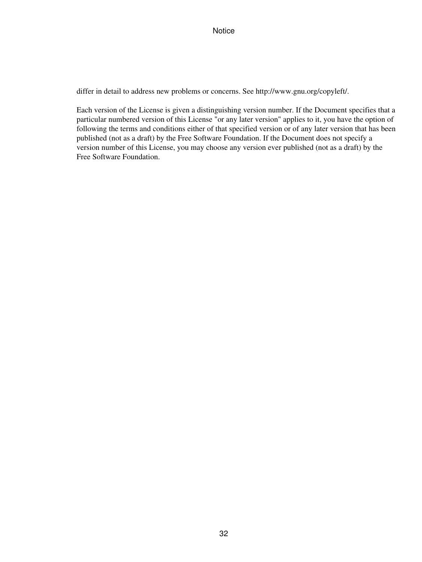differ in detail to address new problems or concerns. See http://www.gnu.org/copyleft/.

Each version of the License is given a distinguishing version number. If the Document specifies that a particular numbered version of this License "or any later version" applies to it, you have the option of following the terms and conditions either of that specified version or of any later version that has been published (not as a draft) by the Free Software Foundation. If the Document does not specify a version number of this License, you may choose any version ever published (not as a draft) by the Free Software Foundation.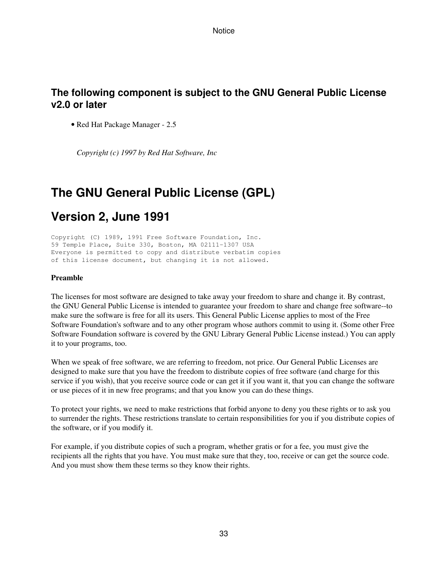### **The following component is subject to the GNU General Public License v2.0 or later**

• Red Hat Package Manager - 2.5

*Copyright (c) 1997 by Red Hat Software, Inc*

## **The GNU General Public License (GPL)**

## **Version 2, June 1991**

Copyright (C) 1989, 1991 Free Software Foundation, Inc. 59 Temple Place, Suite 330, Boston, MA 02111-1307 USA Everyone is permitted to copy and distribute verbatim copies of this license document, but changing it is not allowed.

#### **Preamble**

The licenses for most software are designed to take away your freedom to share and change it. By contrast, the GNU General Public License is intended to guarantee your freedom to share and change free software--to make sure the software is free for all its users. This General Public License applies to most of the Free Software Foundation's software and to any other program whose authors commit to using it. (Some other Free Software Foundation software is covered by the GNU Library General Public License instead.) You can apply it to your programs, too.

When we speak of free software, we are referring to freedom, not price. Our General Public Licenses are designed to make sure that you have the freedom to distribute copies of free software (and charge for this service if you wish), that you receive source code or can get it if you want it, that you can change the software or use pieces of it in new free programs; and that you know you can do these things.

To protect your rights, we need to make restrictions that forbid anyone to deny you these rights or to ask you to surrender the rights. These restrictions translate to certain responsibilities for you if you distribute copies of the software, or if you modify it.

For example, if you distribute copies of such a program, whether gratis or for a fee, you must give the recipients all the rights that you have. You must make sure that they, too, receive or can get the source code. And you must show them these terms so they know their rights.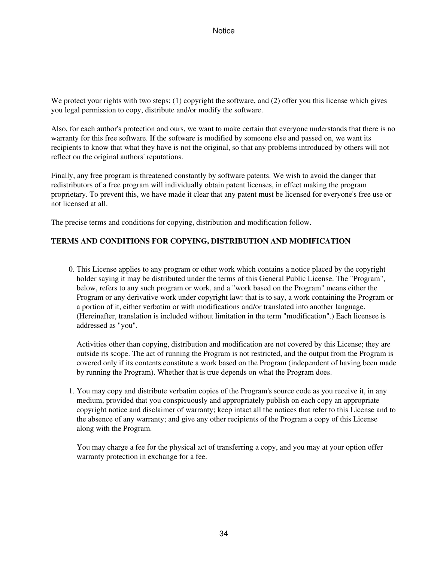We protect your rights with two steps: (1) copyright the software, and (2) offer you this license which gives you legal permission to copy, distribute and/or modify the software.

Also, for each author's protection and ours, we want to make certain that everyone understands that there is no warranty for this free software. If the software is modified by someone else and passed on, we want its recipients to know that what they have is not the original, so that any problems introduced by others will not reflect on the original authors' reputations.

Finally, any free program is threatened constantly by software patents. We wish to avoid the danger that redistributors of a free program will individually obtain patent licenses, in effect making the program proprietary. To prevent this, we have made it clear that any patent must be licensed for everyone's free use or not licensed at all.

The precise terms and conditions for copying, distribution and modification follow.

#### **TERMS AND CONDITIONS FOR COPYING, DISTRIBUTION AND MODIFICATION**

0. This License applies to any program or other work which contains a notice placed by the copyright holder saying it may be distributed under the terms of this General Public License. The "Program", below, refers to any such program or work, and a "work based on the Program" means either the Program or any derivative work under copyright law: that is to say, a work containing the Program or a portion of it, either verbatim or with modifications and/or translated into another language. (Hereinafter, translation is included without limitation in the term "modification".) Each licensee is addressed as "you".

Activities other than copying, distribution and modification are not covered by this License; they are outside its scope. The act of running the Program is not restricted, and the output from the Program is covered only if its contents constitute a work based on the Program (independent of having been made by running the Program). Whether that is true depends on what the Program does.

1. You may copy and distribute verbatim copies of the Program's source code as you receive it, in any medium, provided that you conspicuously and appropriately publish on each copy an appropriate copyright notice and disclaimer of warranty; keep intact all the notices that refer to this License and to the absence of any warranty; and give any other recipients of the Program a copy of this License along with the Program.

You may charge a fee for the physical act of transferring a copy, and you may at your option offer warranty protection in exchange for a fee.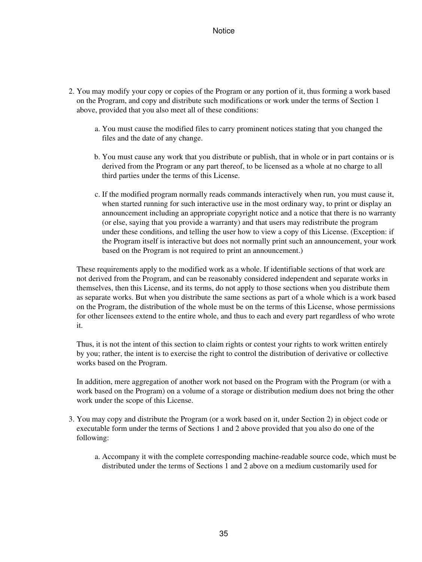- 2. You may modify your copy or copies of the Program or any portion of it, thus forming a work based on the Program, and copy and distribute such modifications or work under the terms of Section 1 above, provided that you also meet all of these conditions:
	- a. You must cause the modified files to carry prominent notices stating that you changed the files and the date of any change.
	- b. You must cause any work that you distribute or publish, that in whole or in part contains or is derived from the Program or any part thereof, to be licensed as a whole at no charge to all third parties under the terms of this License.
	- c. If the modified program normally reads commands interactively when run, you must cause it, when started running for such interactive use in the most ordinary way, to print or display an announcement including an appropriate copyright notice and a notice that there is no warranty (or else, saying that you provide a warranty) and that users may redistribute the program under these conditions, and telling the user how to view a copy of this License. (Exception: if the Program itself is interactive but does not normally print such an announcement, your work based on the Program is not required to print an announcement.)

These requirements apply to the modified work as a whole. If identifiable sections of that work are not derived from the Program, and can be reasonably considered independent and separate works in themselves, then this License, and its terms, do not apply to those sections when you distribute them as separate works. But when you distribute the same sections as part of a whole which is a work based on the Program, the distribution of the whole must be on the terms of this License, whose permissions for other licensees extend to the entire whole, and thus to each and every part regardless of who wrote it.

Thus, it is not the intent of this section to claim rights or contest your rights to work written entirely by you; rather, the intent is to exercise the right to control the distribution of derivative or collective works based on the Program.

In addition, mere aggregation of another work not based on the Program with the Program (or with a work based on the Program) on a volume of a storage or distribution medium does not bring the other work under the scope of this License.

- 3. You may copy and distribute the Program (or a work based on it, under Section 2) in object code or executable form under the terms of Sections 1 and 2 above provided that you also do one of the following:
	- a. Accompany it with the complete corresponding machine-readable source code, which must be distributed under the terms of Sections 1 and 2 above on a medium customarily used for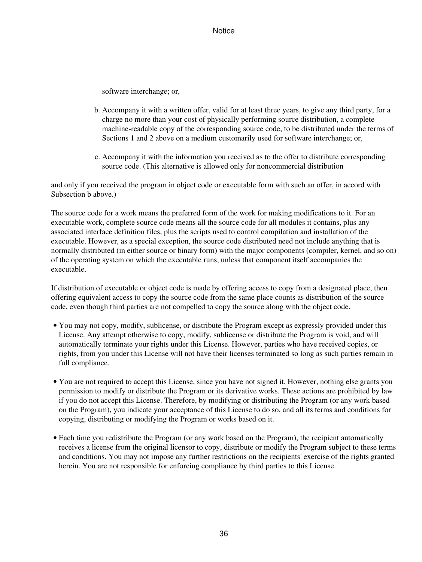software interchange; or,

- b. Accompany it with a written offer, valid for at least three years, to give any third party, for a charge no more than your cost of physically performing source distribution, a complete machine-readable copy of the corresponding source code, to be distributed under the terms of Sections 1 and 2 above on a medium customarily used for software interchange; or,
- c. Accompany it with the information you received as to the offer to distribute corresponding source code. (This alternative is allowed only for noncommercial distribution

and only if you received the program in object code or executable form with such an offer, in accord with Subsection b above.)

The source code for a work means the preferred form of the work for making modifications to it. For an executable work, complete source code means all the source code for all modules it contains, plus any associated interface definition files, plus the scripts used to control compilation and installation of the executable. However, as a special exception, the source code distributed need not include anything that is normally distributed (in either source or binary form) with the major components (compiler, kernel, and so on) of the operating system on which the executable runs, unless that component itself accompanies the executable.

If distribution of executable or object code is made by offering access to copy from a designated place, then offering equivalent access to copy the source code from the same place counts as distribution of the source code, even though third parties are not compelled to copy the source along with the object code.

- You may not copy, modify, sublicense, or distribute the Program except as expressly provided under this License. Any attempt otherwise to copy, modify, sublicense or distribute the Program is void, and will automatically terminate your rights under this License. However, parties who have received copies, or rights, from you under this License will not have their licenses terminated so long as such parties remain in full compliance.
- You are not required to accept this License, since you have not signed it. However, nothing else grants you permission to modify or distribute the Program or its derivative works. These actions are prohibited by law if you do not accept this License. Therefore, by modifying or distributing the Program (or any work based on the Program), you indicate your acceptance of this License to do so, and all its terms and conditions for copying, distributing or modifying the Program or works based on it.
- Each time you redistribute the Program (or any work based on the Program), the recipient automatically receives a license from the original licensor to copy, distribute or modify the Program subject to these terms and conditions. You may not impose any further restrictions on the recipients' exercise of the rights granted herein. You are not responsible for enforcing compliance by third parties to this License.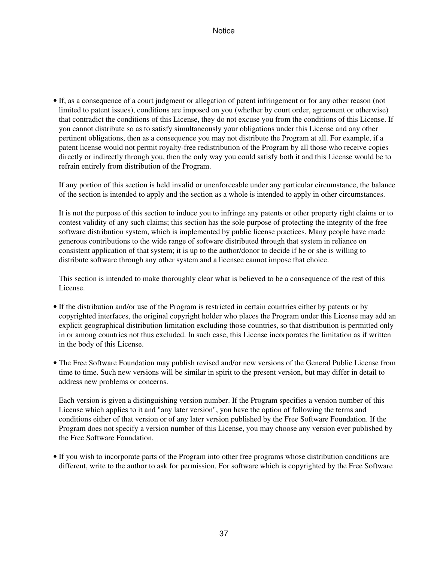• If, as a consequence of a court judgment or allegation of patent infringement or for any other reason (not limited to patent issues), conditions are imposed on you (whether by court order, agreement or otherwise) that contradict the conditions of this License, they do not excuse you from the conditions of this License. If you cannot distribute so as to satisfy simultaneously your obligations under this License and any other pertinent obligations, then as a consequence you may not distribute the Program at all. For example, if a patent license would not permit royalty-free redistribution of the Program by all those who receive copies directly or indirectly through you, then the only way you could satisfy both it and this License would be to refrain entirely from distribution of the Program.

If any portion of this section is held invalid or unenforceable under any particular circumstance, the balance of the section is intended to apply and the section as a whole is intended to apply in other circumstances.

It is not the purpose of this section to induce you to infringe any patents or other property right claims or to contest validity of any such claims; this section has the sole purpose of protecting the integrity of the free software distribution system, which is implemented by public license practices. Many people have made generous contributions to the wide range of software distributed through that system in reliance on consistent application of that system; it is up to the author/donor to decide if he or she is willing to distribute software through any other system and a licensee cannot impose that choice.

This section is intended to make thoroughly clear what is believed to be a consequence of the rest of this License.

- If the distribution and/or use of the Program is restricted in certain countries either by patents or by copyrighted interfaces, the original copyright holder who places the Program under this License may add an explicit geographical distribution limitation excluding those countries, so that distribution is permitted only in or among countries not thus excluded. In such case, this License incorporates the limitation as if written in the body of this License.
- The Free Software Foundation may publish revised and/or new versions of the General Public License from time to time. Such new versions will be similar in spirit to the present version, but may differ in detail to address new problems or concerns.

Each version is given a distinguishing version number. If the Program specifies a version number of this License which applies to it and "any later version", you have the option of following the terms and conditions either of that version or of any later version published by the Free Software Foundation. If the Program does not specify a version number of this License, you may choose any version ever published by the Free Software Foundation.

• If you wish to incorporate parts of the Program into other free programs whose distribution conditions are different, write to the author to ask for permission. For software which is copyrighted by the Free Software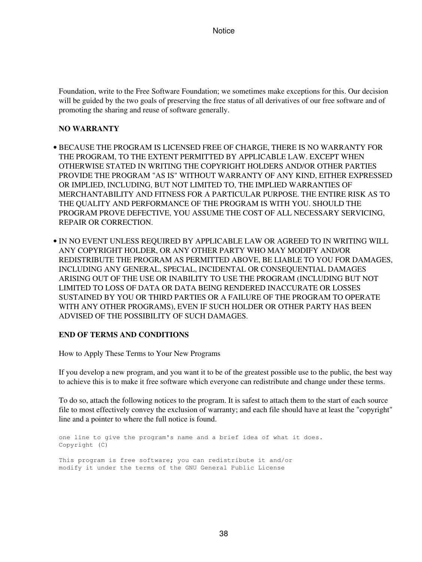Foundation, write to the Free Software Foundation; we sometimes make exceptions for this. Our decision will be guided by the two goals of preserving the free status of all derivatives of our free software and of promoting the sharing and reuse of software generally.

### **NO WARRANTY**

- BECAUSE THE PROGRAM IS LICENSED FREE OF CHARGE, THERE IS NO WARRANTY FOR THE PROGRAM, TO THE EXTENT PERMITTED BY APPLICABLE LAW. EXCEPT WHEN OTHERWISE STATED IN WRITING THE COPYRIGHT HOLDERS AND/OR OTHER PARTIES PROVIDE THE PROGRAM "AS IS" WITHOUT WARRANTY OF ANY KIND, EITHER EXPRESSED OR IMPLIED, INCLUDING, BUT NOT LIMITED TO, THE IMPLIED WARRANTIES OF MERCHANTABILITY AND FITNESS FOR A PARTICULAR PURPOSE. THE ENTIRE RISK AS TO THE QUALITY AND PERFORMANCE OF THE PROGRAM IS WITH YOU. SHOULD THE PROGRAM PROVE DEFECTIVE, YOU ASSUME THE COST OF ALL NECESSARY SERVICING, REPAIR OR CORRECTION.
- IN NO EVENT UNLESS REQUIRED BY APPLICABLE LAW OR AGREED TO IN WRITING WILL ANY COPYRIGHT HOLDER, OR ANY OTHER PARTY WHO MAY MODIFY AND/OR REDISTRIBUTE THE PROGRAM AS PERMITTED ABOVE, BE LIABLE TO YOU FOR DAMAGES, INCLUDING ANY GENERAL, SPECIAL, INCIDENTAL OR CONSEQUENTIAL DAMAGES ARISING OUT OF THE USE OR INABILITY TO USE THE PROGRAM (INCLUDING BUT NOT LIMITED TO LOSS OF DATA OR DATA BEING RENDERED INACCURATE OR LOSSES SUSTAINED BY YOU OR THIRD PARTIES OR A FAILURE OF THE PROGRAM TO OPERATE WITH ANY OTHER PROGRAMS), EVEN IF SUCH HOLDER OR OTHER PARTY HAS BEEN ADVISED OF THE POSSIBILITY OF SUCH DAMAGES.

#### **END OF TERMS AND CONDITIONS**

How to Apply These Terms to Your New Programs

If you develop a new program, and you want it to be of the greatest possible use to the public, the best way to achieve this is to make it free software which everyone can redistribute and change under these terms.

To do so, attach the following notices to the program. It is safest to attach them to the start of each source file to most effectively convey the exclusion of warranty; and each file should have at least the "copyright" line and a pointer to where the full notice is found.

one line to give the program's name and a brief idea of what it does. Copyright (C) This program is free software; you can redistribute it and/or modify it under the terms of the GNU General Public License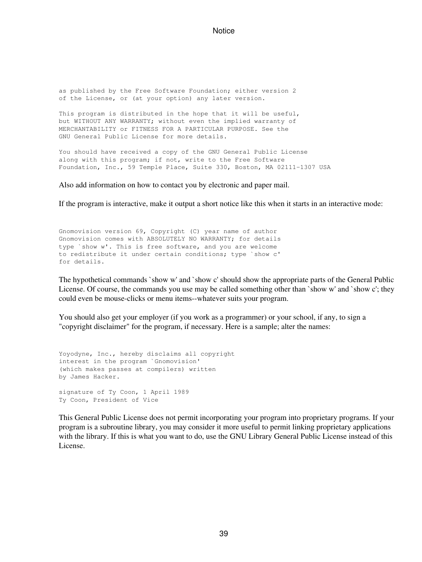as published by the Free Software Foundation; either version 2 of the License, or (at your option) any later version.

This program is distributed in the hope that it will be useful, but WITHOUT ANY WARRANTY; without even the implied warranty of MERCHANTABILITY or FITNESS FOR A PARTICULAR PURPOSE. See the GNU General Public License for more details.

You should have received a copy of the GNU General Public License along with this program; if not, write to the Free Software Foundation, Inc., 59 Temple Place, Suite 330, Boston, MA 02111-1307 USA

Also add information on how to contact you by electronic and paper mail.

If the program is interactive, make it output a short notice like this when it starts in an interactive mode:

Gnomovision version 69, Copyright (C) year name of author Gnomovision comes with ABSOLUTELY NO WARRANTY; for details type `show w'. This is free software, and you are welcome to redistribute it under certain conditions; type `show c' for details.

The hypothetical commands `show w' and `show c' should show the appropriate parts of the General Public License. Of course, the commands you use may be called something other than `show w' and `show c'; they could even be mouse-clicks or menu items--whatever suits your program.

You should also get your employer (if you work as a programmer) or your school, if any, to sign a "copyright disclaimer" for the program, if necessary. Here is a sample; alter the names:

Yoyodyne, Inc., hereby disclaims all copyright interest in the program `Gnomovision' (which makes passes at compilers) written by James Hacker. signature of Ty Coon, 1 April 1989 Ty Coon, President of Vice

This General Public License does not permit incorporating your program into proprietary programs. If your program is a subroutine library, you may consider it more useful to permit linking proprietary applications with the library. If this is what you want to do, use the GNU Library General Public License instead of this License.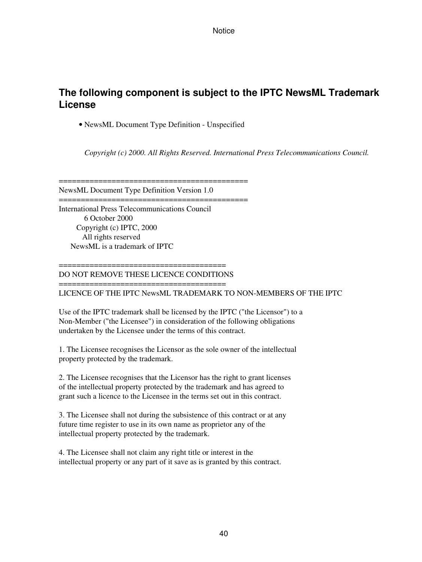## **The following component is subject to the IPTC NewsML Trademark License**

• NewsML Document Type Definition - Unspecified

*Copyright (c) 2000. All Rights Reserved. International Press Telecommunications Council.*

===========================================

NewsML Document Type Definition Version 1.0 ===========================================

International Press Telecommunications Council 6 October 2000 Copyright (c) IPTC, 2000 All rights reserved NewsML is a trademark of IPTC

======================================

#### DO NOT REMOVE THESE LICENCE CONDITIONS ======================================

LICENCE OF THE IPTC NewsML TRADEMARK TO NON-MEMBERS OF THE IPTC

Use of the IPTC trademark shall be licensed by the IPTC ("the Licensor") to a Non-Member ("the Licensee") in consideration of the following obligations undertaken by the Licensee under the terms of this contract.

1. The Licensee recognises the Licensor as the sole owner of the intellectual property protected by the trademark.

2. The Licensee recognises that the Licensor has the right to grant licenses of the intellectual property protected by the trademark and has agreed to grant such a licence to the Licensee in the terms set out in this contract.

3. The Licensee shall not during the subsistence of this contract or at any future time register to use in its own name as proprietor any of the intellectual property protected by the trademark.

4. The Licensee shall not claim any right title or interest in the intellectual property or any part of it save as is granted by this contract.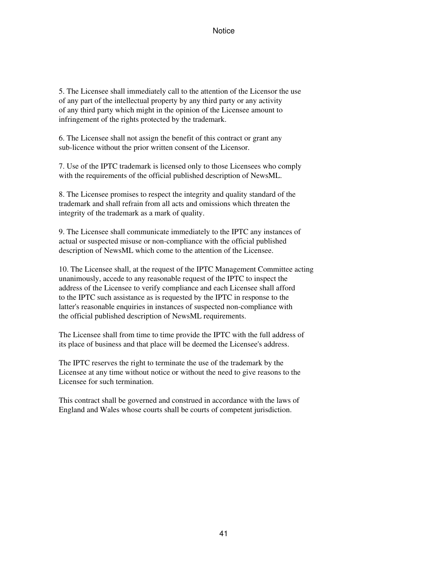5. The Licensee shall immediately call to the attention of the Licensor the use of any part of the intellectual property by any third party or any activity of any third party which might in the opinion of the Licensee amount to infringement of the rights protected by the trademark.

6. The Licensee shall not assign the benefit of this contract or grant any sub-licence without the prior written consent of the Licensor.

7. Use of the IPTC trademark is licensed only to those Licensees who comply with the requirements of the official published description of NewsML.

8. The Licensee promises to respect the integrity and quality standard of the trademark and shall refrain from all acts and omissions which threaten the integrity of the trademark as a mark of quality.

9. The Licensee shall communicate immediately to the IPTC any instances of actual or suspected misuse or non-compliance with the official published description of NewsML which come to the attention of the Licensee.

10. The Licensee shall, at the request of the IPTC Management Committee acting unanimously, accede to any reasonable request of the IPTC to inspect the address of the Licensee to verify compliance and each Licensee shall afford to the IPTC such assistance as is requested by the IPTC in response to the latter's reasonable enquiries in instances of suspected non-compliance with the official published description of NewsML requirements.

The Licensee shall from time to time provide the IPTC with the full address of its place of business and that place will be deemed the Licensee's address.

The IPTC reserves the right to terminate the use of the trademark by the Licensee at any time without notice or without the need to give reasons to the Licensee for such termination.

This contract shall be governed and construed in accordance with the laws of England and Wales whose courts shall be courts of competent jurisdiction.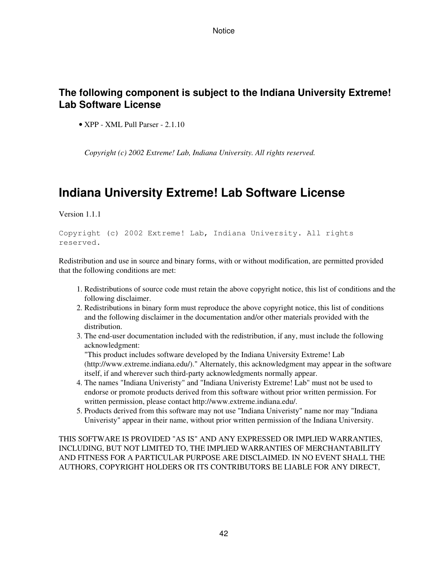## **The following component is subject to the Indiana University Extreme! Lab Software License**

• XPP - XML Pull Parser - 2.1.10

*Copyright (c) 2002 Extreme! Lab, Indiana University. All rights reserved.*

## **Indiana University Extreme! Lab Software License**

Version 1.1.1

Copyright (c) 2002 Extreme! Lab, Indiana University. All rights reserved.

Redistribution and use in source and binary forms, with or without modification, are permitted provided that the following conditions are met:

- 1. Redistributions of source code must retain the above copyright notice, this list of conditions and the following disclaimer.
- 2. Redistributions in binary form must reproduce the above copyright notice, this list of conditions and the following disclaimer in the documentation and/or other materials provided with the distribution.
- 3. The end-user documentation included with the redistribution, if any, must include the following acknowledgment:

"This product includes software developed by the Indiana University Extreme! Lab (http://www.extreme.indiana.edu/)." Alternately, this acknowledgment may appear in the software itself, if and wherever such third-party acknowledgments normally appear.

- 4. The names "Indiana Univeristy" and "Indiana Univeristy Extreme! Lab" must not be used to endorse or promote products derived from this software without prior written permission. For written permission, please contact http://www.extreme.indiana.edu/.
- 5. Products derived from this software may not use "Indiana Univeristy" name nor may "Indiana Univeristy" appear in their name, without prior written permission of the Indiana University.

THIS SOFTWARE IS PROVIDED "AS IS" AND ANY EXPRESSED OR IMPLIED WARRANTIES, INCLUDING, BUT NOT LIMITED TO, THE IMPLIED WARRANTIES OF MERCHANTABILITY AND FITNESS FOR A PARTICULAR PURPOSE ARE DISCLAIMED. IN NO EVENT SHALL THE AUTHORS, COPYRIGHT HOLDERS OR ITS CONTRIBUTORS BE LIABLE FOR ANY DIRECT,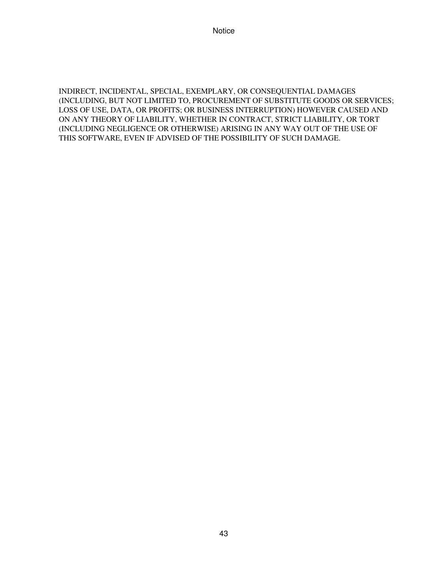INDIRECT, INCIDENTAL, SPECIAL, EXEMPLARY, OR CONSEQUENTIAL DAMAGES (INCLUDING, BUT NOT LIMITED TO, PROCUREMENT OF SUBSTITUTE GOODS OR SERVICES; LOSS OF USE, DATA, OR PROFITS; OR BUSINESS INTERRUPTION) HOWEVER CAUSED AND ON ANY THEORY OF LIABILITY, WHETHER IN CONTRACT, STRICT LIABILITY, OR TORT (INCLUDING NEGLIGENCE OR OTHERWISE) ARISING IN ANY WAY OUT OF THE USE OF THIS SOFTWARE, EVEN IF ADVISED OF THE POSSIBILITY OF SUCH DAMAGE.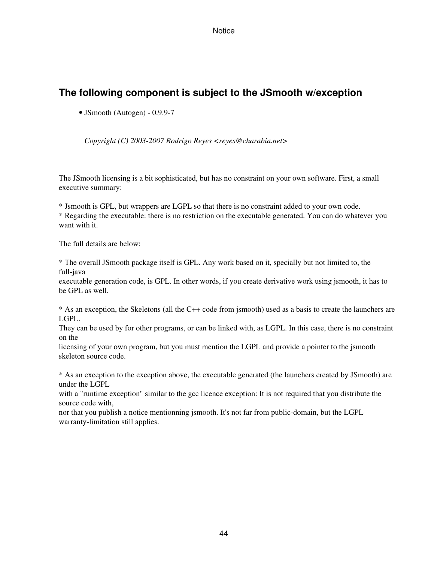## **The following component is subject to the JSmooth w/exception**

• JSmooth (Autogen) - 0.9.9-7

*Copyright (C) 2003-2007 Rodrigo Reyes <reyes@charabia.net>*

The JSmooth licensing is a bit sophisticated, but has no constraint on your own software. First, a small executive summary:

\* Jsmooth is GPL, but wrappers are LGPL so that there is no constraint added to your own code.

\* Regarding the executable: there is no restriction on the executable generated. You can do whatever you want with it.

The full details are below:

\* The overall JSmooth package itself is GPL. Any work based on it, specially but not limited to, the full-java

executable generation code, is GPL. In other words, if you create derivative work using jsmooth, it has to be GPL as well.

\* As an exception, the Skeletons (all the C++ code from jsmooth) used as a basis to create the launchers are LGPL.

They can be used by for other programs, or can be linked with, as LGPL. In this case, there is no constraint on the

licensing of your own program, but you must mention the LGPL and provide a pointer to the jsmooth skeleton source code.

\* As an exception to the exception above, the executable generated (the launchers created by JSmooth) are under the LGPL

with a "runtime exception" similar to the gcc licence exception: It is not required that you distribute the source code with,

nor that you publish a notice mentionning jsmooth. It's not far from public-domain, but the LGPL warranty-limitation still applies.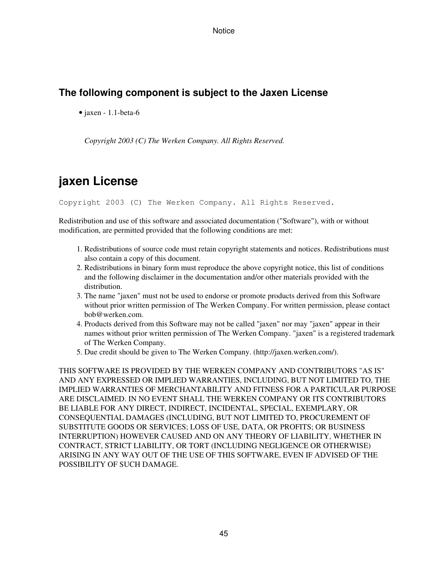## **The following component is subject to the Jaxen License**

• jaxen - 1.1-beta-6

*Copyright 2003 (C) The Werken Company. All Rights Reserved.*

# **jaxen License**

Copyright 2003 (C) The Werken Company. All Rights Reserved.

Redistribution and use of this software and associated documentation ("Software"), with or without modification, are permitted provided that the following conditions are met:

- 1. Redistributions of source code must retain copyright statements and notices. Redistributions must also contain a copy of this document.
- 2. Redistributions in binary form must reproduce the above copyright notice, this list of conditions and the following disclaimer in the documentation and/or other materials provided with the distribution.
- 3. The name "jaxen" must not be used to endorse or promote products derived from this Software without prior written permission of The Werken Company. For written permission, please contact bob@werken.com.
- 4. Products derived from this Software may not be called "jaxen" nor may "jaxen" appear in their names without prior written permission of The Werken Company. "jaxen" is a registered trademark of The Werken Company.
- 5. Due credit should be given to The Werken Company. (http://jaxen.werken.com/).

THIS SOFTWARE IS PROVIDED BY THE WERKEN COMPANY AND CONTRIBUTORS "AS IS" AND ANY EXPRESSED OR IMPLIED WARRANTIES, INCLUDING, BUT NOT LIMITED TO, THE IMPLIED WARRANTIES OF MERCHANTABILITY AND FITNESS FOR A PARTICULAR PURPOSE ARE DISCLAIMED. IN NO EVENT SHALL THE WERKEN COMPANY OR ITS CONTRIBUTORS BE LIABLE FOR ANY DIRECT, INDIRECT, INCIDENTAL, SPECIAL, EXEMPLARY, OR CONSEQUENTIAL DAMAGES (INCLUDING, BUT NOT LIMITED TO, PROCUREMENT OF SUBSTITUTE GOODS OR SERVICES; LOSS OF USE, DATA, OR PROFITS; OR BUSINESS INTERRUPTION) HOWEVER CAUSED AND ON ANY THEORY OF LIABILITY, WHETHER IN CONTRACT, STRICT LIABILITY, OR TORT (INCLUDING NEGLIGENCE OR OTHERWISE) ARISING IN ANY WAY OUT OF THE USE OF THIS SOFTWARE, EVEN IF ADVISED OF THE POSSIBILITY OF SUCH DAMAGE.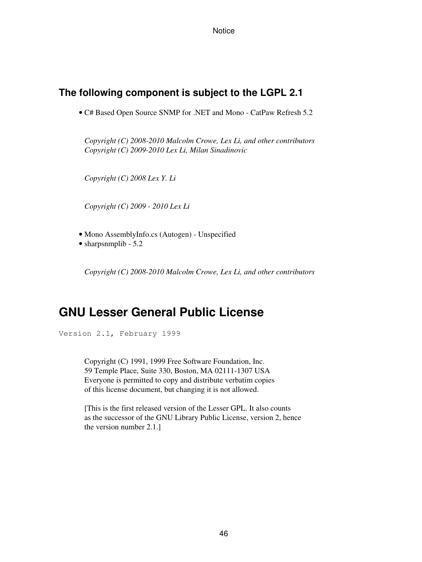### **The following component is subject to the LGPL 2.1**

• C# Based Open Source SNMP for .NET and Mono - CatPaw Refresh 5.2

*Copyright (C) 2008-2010 Malcolm Crowe, Lex Li, and other contributors Copyright (C) 2009-2010 Lex Li, Milan Sinadinovic*

*Copyright (C) 2008 Lex Y. Li*

*Copyright (C) 2009 - 2010 Lex Li*

- Mono AssemblyInfo.cs (Autogen) Unspecified
- sharpsnmplib 5.2

*Copyright (C) 2008-2010 Malcolm Crowe, Lex Li, and other contributors*

## **GNU Lesser General Public License**

Version 2.1, February 1999

Copyright (C) 1991, 1999 Free Software Foundation, Inc. 59 Temple Place, Suite 330, Boston, MA 02111-1307 USA Everyone is permitted to copy and distribute verbatim copies of this license document, but changing it is not allowed.

[This is the first released version of the Lesser GPL. It also counts as the successor of the GNU Library Public License, version 2, hence the version number 2.1.]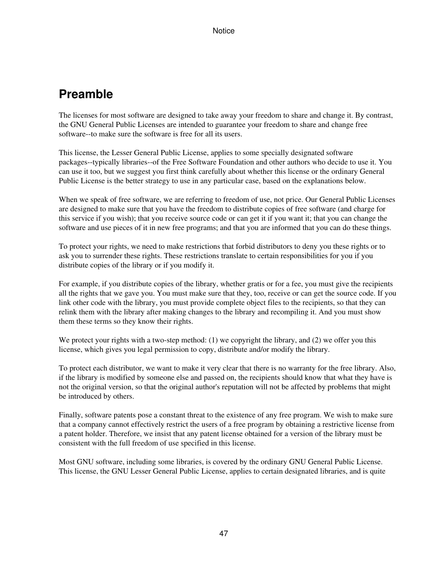# **Preamble**

The licenses for most software are designed to take away your freedom to share and change it. By contrast, the GNU General Public Licenses are intended to guarantee your freedom to share and change free software--to make sure the software is free for all its users.

This license, the Lesser General Public License, applies to some specially designated software packages--typically libraries--of the Free Software Foundation and other authors who decide to use it. You can use it too, but we suggest you first think carefully about whether this license or the ordinary General Public License is the better strategy to use in any particular case, based on the explanations below.

When we speak of free software, we are referring to freedom of use, not price. Our General Public Licenses are designed to make sure that you have the freedom to distribute copies of free software (and charge for this service if you wish); that you receive source code or can get it if you want it; that you can change the software and use pieces of it in new free programs; and that you are informed that you can do these things.

To protect your rights, we need to make restrictions that forbid distributors to deny you these rights or to ask you to surrender these rights. These restrictions translate to certain responsibilities for you if you distribute copies of the library or if you modify it.

For example, if you distribute copies of the library, whether gratis or for a fee, you must give the recipients all the rights that we gave you. You must make sure that they, too, receive or can get the source code. If you link other code with the library, you must provide complete object files to the recipients, so that they can relink them with the library after making changes to the library and recompiling it. And you must show them these terms so they know their rights.

We protect your rights with a two-step method: (1) we copyright the library, and (2) we offer you this license, which gives you legal permission to copy, distribute and/or modify the library.

To protect each distributor, we want to make it very clear that there is no warranty for the free library. Also, if the library is modified by someone else and passed on, the recipients should know that what they have is not the original version, so that the original author's reputation will not be affected by problems that might be introduced by others.

Finally, software patents pose a constant threat to the existence of any free program. We wish to make sure that a company cannot effectively restrict the users of a free program by obtaining a restrictive license from a patent holder. Therefore, we insist that any patent license obtained for a version of the library must be consistent with the full freedom of use specified in this license.

Most GNU software, including some libraries, is covered by the ordinary GNU General Public License. This license, the GNU Lesser General Public License, applies to certain designated libraries, and is quite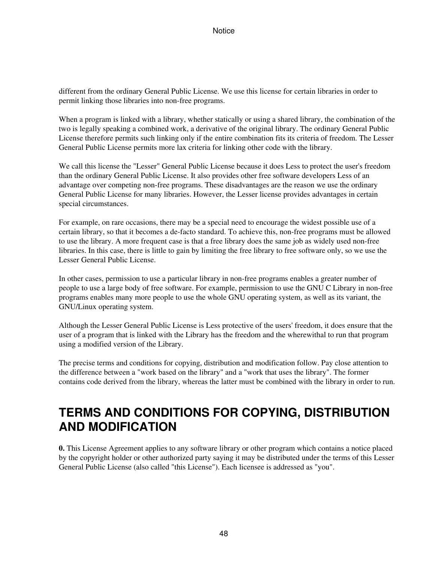different from the ordinary General Public License. We use this license for certain libraries in order to permit linking those libraries into non-free programs.

When a program is linked with a library, whether statically or using a shared library, the combination of the two is legally speaking a combined work, a derivative of the original library. The ordinary General Public License therefore permits such linking only if the entire combination fits its criteria of freedom. The Lesser General Public License permits more lax criteria for linking other code with the library.

We call this license the "Lesser" General Public License because it does Less to protect the user's freedom than the ordinary General Public License. It also provides other free software developers Less of an advantage over competing non-free programs. These disadvantages are the reason we use the ordinary General Public License for many libraries. However, the Lesser license provides advantages in certain special circumstances.

For example, on rare occasions, there may be a special need to encourage the widest possible use of a certain library, so that it becomes a de-facto standard. To achieve this, non-free programs must be allowed to use the library. A more frequent case is that a free library does the same job as widely used non-free libraries. In this case, there is little to gain by limiting the free library to free software only, so we use the Lesser General Public License.

In other cases, permission to use a particular library in non-free programs enables a greater number of people to use a large body of free software. For example, permission to use the GNU C Library in non-free programs enables many more people to use the whole GNU operating system, as well as its variant, the GNU/Linux operating system.

Although the Lesser General Public License is Less protective of the users' freedom, it does ensure that the user of a program that is linked with the Library has the freedom and the wherewithal to run that program using a modified version of the Library.

The precise terms and conditions for copying, distribution and modification follow. Pay close attention to the difference between a "work based on the library" and a "work that uses the library". The former contains code derived from the library, whereas the latter must be combined with the library in order to run.

# **TERMS AND CONDITIONS FOR COPYING, DISTRIBUTION AND MODIFICATION**

**0.** This License Agreement applies to any software library or other program which contains a notice placed by the copyright holder or other authorized party saying it may be distributed under the terms of this Lesser General Public License (also called "this License"). Each licensee is addressed as "you".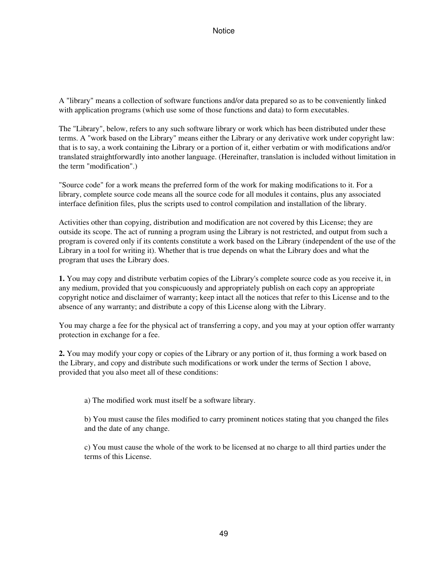A "library" means a collection of software functions and/or data prepared so as to be conveniently linked with application programs (which use some of those functions and data) to form executables.

The "Library", below, refers to any such software library or work which has been distributed under these terms. A "work based on the Library" means either the Library or any derivative work under copyright law: that is to say, a work containing the Library or a portion of it, either verbatim or with modifications and/or translated straightforwardly into another language. (Hereinafter, translation is included without limitation in the term "modification".)

"Source code" for a work means the preferred form of the work for making modifications to it. For a library, complete source code means all the source code for all modules it contains, plus any associated interface definition files, plus the scripts used to control compilation and installation of the library.

Activities other than copying, distribution and modification are not covered by this License; they are outside its scope. The act of running a program using the Library is not restricted, and output from such a program is covered only if its contents constitute a work based on the Library (independent of the use of the Library in a tool for writing it). Whether that is true depends on what the Library does and what the program that uses the Library does.

**1.** You may copy and distribute verbatim copies of the Library's complete source code as you receive it, in any medium, provided that you conspicuously and appropriately publish on each copy an appropriate copyright notice and disclaimer of warranty; keep intact all the notices that refer to this License and to the absence of any warranty; and distribute a copy of this License along with the Library.

You may charge a fee for the physical act of transferring a copy, and you may at your option offer warranty protection in exchange for a fee.

**2.** You may modify your copy or copies of the Library or any portion of it, thus forming a work based on the Library, and copy and distribute such modifications or work under the terms of Section 1 above, provided that you also meet all of these conditions:

a) The modified work must itself be a software library.

b) You must cause the files modified to carry prominent notices stating that you changed the files and the date of any change.

c) You must cause the whole of the work to be licensed at no charge to all third parties under the terms of this License.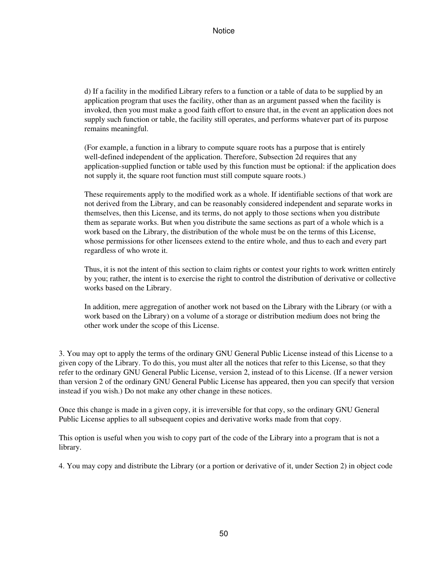d) If a facility in the modified Library refers to a function or a table of data to be supplied by an application program that uses the facility, other than as an argument passed when the facility is invoked, then you must make a good faith effort to ensure that, in the event an application does not supply such function or table, the facility still operates, and performs whatever part of its purpose remains meaningful.

(For example, a function in a library to compute square roots has a purpose that is entirely well-defined independent of the application. Therefore, Subsection 2d requires that any application-supplied function or table used by this function must be optional: if the application does not supply it, the square root function must still compute square roots.)

These requirements apply to the modified work as a whole. If identifiable sections of that work are not derived from the Library, and can be reasonably considered independent and separate works in themselves, then this License, and its terms, do not apply to those sections when you distribute them as separate works. But when you distribute the same sections as part of a whole which is a work based on the Library, the distribution of the whole must be on the terms of this License, whose permissions for other licensees extend to the entire whole, and thus to each and every part regardless of who wrote it.

Thus, it is not the intent of this section to claim rights or contest your rights to work written entirely by you; rather, the intent is to exercise the right to control the distribution of derivative or collective works based on the Library.

In addition, mere aggregation of another work not based on the Library with the Library (or with a work based on the Library) on a volume of a storage or distribution medium does not bring the other work under the scope of this License.

3. You may opt to apply the terms of the ordinary GNU General Public License instead of this License to a given copy of the Library. To do this, you must alter all the notices that refer to this License, so that they refer to the ordinary GNU General Public License, version 2, instead of to this License. (If a newer version than version 2 of the ordinary GNU General Public License has appeared, then you can specify that version instead if you wish.) Do not make any other change in these notices.

Once this change is made in a given copy, it is irreversible for that copy, so the ordinary GNU General Public License applies to all subsequent copies and derivative works made from that copy.

This option is useful when you wish to copy part of the code of the Library into a program that is not a library.

4. You may copy and distribute the Library (or a portion or derivative of it, under Section 2) in object code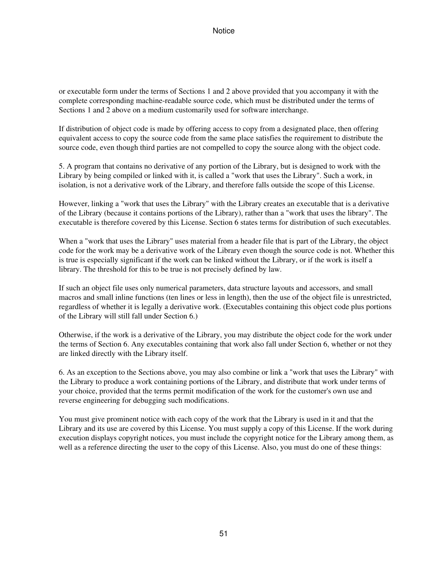or executable form under the terms of Sections 1 and 2 above provided that you accompany it with the complete corresponding machine-readable source code, which must be distributed under the terms of Sections 1 and 2 above on a medium customarily used for software interchange.

If distribution of object code is made by offering access to copy from a designated place, then offering equivalent access to copy the source code from the same place satisfies the requirement to distribute the source code, even though third parties are not compelled to copy the source along with the object code.

5. A program that contains no derivative of any portion of the Library, but is designed to work with the Library by being compiled or linked with it, is called a "work that uses the Library". Such a work, in isolation, is not a derivative work of the Library, and therefore falls outside the scope of this License.

However, linking a "work that uses the Library" with the Library creates an executable that is a derivative of the Library (because it contains portions of the Library), rather than a "work that uses the library". The executable is therefore covered by this License. Section 6 states terms for distribution of such executables.

When a "work that uses the Library" uses material from a header file that is part of the Library, the object code for the work may be a derivative work of the Library even though the source code is not. Whether this is true is especially significant if the work can be linked without the Library, or if the work is itself a library. The threshold for this to be true is not precisely defined by law.

If such an object file uses only numerical parameters, data structure layouts and accessors, and small macros and small inline functions (ten lines or less in length), then the use of the object file is unrestricted, regardless of whether it is legally a derivative work. (Executables containing this object code plus portions of the Library will still fall under Section 6.)

Otherwise, if the work is a derivative of the Library, you may distribute the object code for the work under the terms of Section 6. Any executables containing that work also fall under Section 6, whether or not they are linked directly with the Library itself.

6. As an exception to the Sections above, you may also combine or link a "work that uses the Library" with the Library to produce a work containing portions of the Library, and distribute that work under terms of your choice, provided that the terms permit modification of the work for the customer's own use and reverse engineering for debugging such modifications.

You must give prominent notice with each copy of the work that the Library is used in it and that the Library and its use are covered by this License. You must supply a copy of this License. If the work during execution displays copyright notices, you must include the copyright notice for the Library among them, as well as a reference directing the user to the copy of this License. Also, you must do one of these things: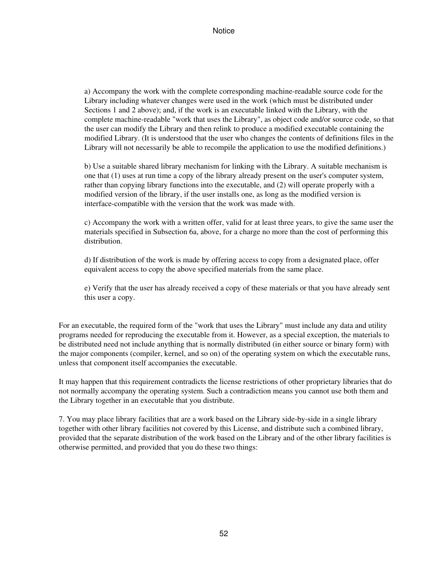a) Accompany the work with the complete corresponding machine-readable source code for the Library including whatever changes were used in the work (which must be distributed under Sections 1 and 2 above); and, if the work is an executable linked with the Library, with the complete machine-readable "work that uses the Library", as object code and/or source code, so that the user can modify the Library and then relink to produce a modified executable containing the modified Library. (It is understood that the user who changes the contents of definitions files in the Library will not necessarily be able to recompile the application to use the modified definitions.)

b) Use a suitable shared library mechanism for linking with the Library. A suitable mechanism is one that (1) uses at run time a copy of the library already present on the user's computer system, rather than copying library functions into the executable, and (2) will operate properly with a modified version of the library, if the user installs one, as long as the modified version is interface-compatible with the version that the work was made with.

c) Accompany the work with a written offer, valid for at least three years, to give the same user the materials specified in Subsection 6a, above, for a charge no more than the cost of performing this distribution.

d) If distribution of the work is made by offering access to copy from a designated place, offer equivalent access to copy the above specified materials from the same place.

e) Verify that the user has already received a copy of these materials or that you have already sent this user a copy.

For an executable, the required form of the "work that uses the Library" must include any data and utility programs needed for reproducing the executable from it. However, as a special exception, the materials to be distributed need not include anything that is normally distributed (in either source or binary form) with the major components (compiler, kernel, and so on) of the operating system on which the executable runs, unless that component itself accompanies the executable.

It may happen that this requirement contradicts the license restrictions of other proprietary libraries that do not normally accompany the operating system. Such a contradiction means you cannot use both them and the Library together in an executable that you distribute.

7. You may place library facilities that are a work based on the Library side-by-side in a single library together with other library facilities not covered by this License, and distribute such a combined library, provided that the separate distribution of the work based on the Library and of the other library facilities is otherwise permitted, and provided that you do these two things: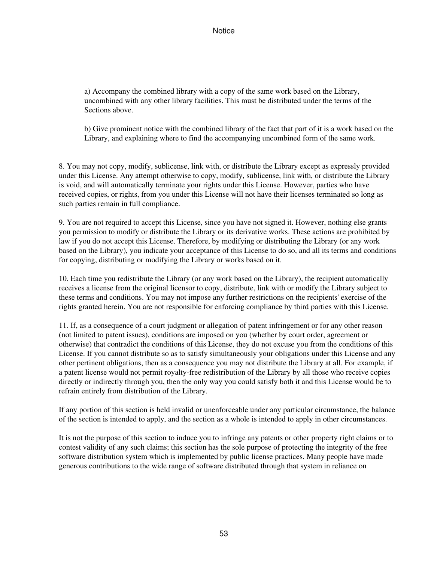a) Accompany the combined library with a copy of the same work based on the Library, uncombined with any other library facilities. This must be distributed under the terms of the Sections above.

b) Give prominent notice with the combined library of the fact that part of it is a work based on the Library, and explaining where to find the accompanying uncombined form of the same work.

8. You may not copy, modify, sublicense, link with, or distribute the Library except as expressly provided under this License. Any attempt otherwise to copy, modify, sublicense, link with, or distribute the Library is void, and will automatically terminate your rights under this License. However, parties who have received copies, or rights, from you under this License will not have their licenses terminated so long as such parties remain in full compliance.

9. You are not required to accept this License, since you have not signed it. However, nothing else grants you permission to modify or distribute the Library or its derivative works. These actions are prohibited by law if you do not accept this License. Therefore, by modifying or distributing the Library (or any work based on the Library), you indicate your acceptance of this License to do so, and all its terms and conditions for copying, distributing or modifying the Library or works based on it.

10. Each time you redistribute the Library (or any work based on the Library), the recipient automatically receives a license from the original licensor to copy, distribute, link with or modify the Library subject to these terms and conditions. You may not impose any further restrictions on the recipients' exercise of the rights granted herein. You are not responsible for enforcing compliance by third parties with this License.

11. If, as a consequence of a court judgment or allegation of patent infringement or for any other reason (not limited to patent issues), conditions are imposed on you (whether by court order, agreement or otherwise) that contradict the conditions of this License, they do not excuse you from the conditions of this License. If you cannot distribute so as to satisfy simultaneously your obligations under this License and any other pertinent obligations, then as a consequence you may not distribute the Library at all. For example, if a patent license would not permit royalty-free redistribution of the Library by all those who receive copies directly or indirectly through you, then the only way you could satisfy both it and this License would be to refrain entirely from distribution of the Library.

If any portion of this section is held invalid or unenforceable under any particular circumstance, the balance of the section is intended to apply, and the section as a whole is intended to apply in other circumstances.

It is not the purpose of this section to induce you to infringe any patents or other property right claims or to contest validity of any such claims; this section has the sole purpose of protecting the integrity of the free software distribution system which is implemented by public license practices. Many people have made generous contributions to the wide range of software distributed through that system in reliance on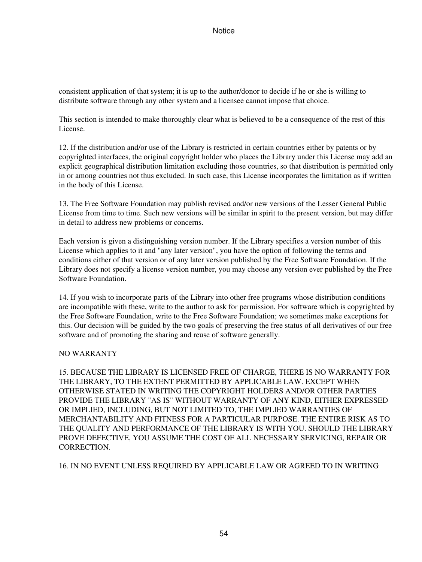consistent application of that system; it is up to the author/donor to decide if he or she is willing to distribute software through any other system and a licensee cannot impose that choice.

This section is intended to make thoroughly clear what is believed to be a consequence of the rest of this License.

12. If the distribution and/or use of the Library is restricted in certain countries either by patents or by copyrighted interfaces, the original copyright holder who places the Library under this License may add an explicit geographical distribution limitation excluding those countries, so that distribution is permitted only in or among countries not thus excluded. In such case, this License incorporates the limitation as if written in the body of this License.

13. The Free Software Foundation may publish revised and/or new versions of the Lesser General Public License from time to time. Such new versions will be similar in spirit to the present version, but may differ in detail to address new problems or concerns.

Each version is given a distinguishing version number. If the Library specifies a version number of this License which applies to it and "any later version", you have the option of following the terms and conditions either of that version or of any later version published by the Free Software Foundation. If the Library does not specify a license version number, you may choose any version ever published by the Free Software Foundation.

14. If you wish to incorporate parts of the Library into other free programs whose distribution conditions are incompatible with these, write to the author to ask for permission. For software which is copyrighted by the Free Software Foundation, write to the Free Software Foundation; we sometimes make exceptions for this. Our decision will be guided by the two goals of preserving the free status of all derivatives of our free software and of promoting the sharing and reuse of software generally.

### NO WARRANTY

15. BECAUSE THE LIBRARY IS LICENSED FREE OF CHARGE, THERE IS NO WARRANTY FOR THE LIBRARY, TO THE EXTENT PERMITTED BY APPLICABLE LAW. EXCEPT WHEN OTHERWISE STATED IN WRITING THE COPYRIGHT HOLDERS AND/OR OTHER PARTIES PROVIDE THE LIBRARY "AS IS" WITHOUT WARRANTY OF ANY KIND, EITHER EXPRESSED OR IMPLIED, INCLUDING, BUT NOT LIMITED TO, THE IMPLIED WARRANTIES OF MERCHANTABILITY AND FITNESS FOR A PARTICULAR PURPOSE. THE ENTIRE RISK AS TO THE QUALITY AND PERFORMANCE OF THE LIBRARY IS WITH YOU. SHOULD THE LIBRARY PROVE DEFECTIVE, YOU ASSUME THE COST OF ALL NECESSARY SERVICING, REPAIR OR CORRECTION.

16. IN NO EVENT UNLESS REQUIRED BY APPLICABLE LAW OR AGREED TO IN WRITING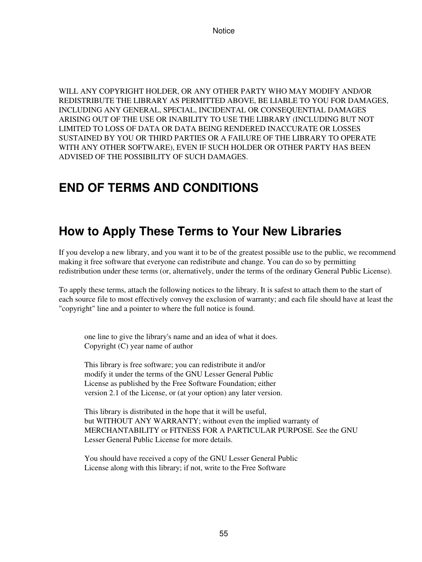WILL ANY COPYRIGHT HOLDER, OR ANY OTHER PARTY WHO MAY MODIFY AND/OR REDISTRIBUTE THE LIBRARY AS PERMITTED ABOVE, BE LIABLE TO YOU FOR DAMAGES, INCLUDING ANY GENERAL, SPECIAL, INCIDENTAL OR CONSEQUENTIAL DAMAGES ARISING OUT OF THE USE OR INABILITY TO USE THE LIBRARY (INCLUDING BUT NOT LIMITED TO LOSS OF DATA OR DATA BEING RENDERED INACCURATE OR LOSSES SUSTAINED BY YOU OR THIRD PARTIES OR A FAILURE OF THE LIBRARY TO OPERATE WITH ANY OTHER SOFTWARE), EVEN IF SUCH HOLDER OR OTHER PARTY HAS BEEN ADVISED OF THE POSSIBILITY OF SUCH DAMAGES.

# **END OF TERMS AND CONDITIONS**

# **How to Apply These Terms to Your New Libraries**

If you develop a new library, and you want it to be of the greatest possible use to the public, we recommend making it free software that everyone can redistribute and change. You can do so by permitting redistribution under these terms (or, alternatively, under the terms of the ordinary General Public License).

To apply these terms, attach the following notices to the library. It is safest to attach them to the start of each source file to most effectively convey the exclusion of warranty; and each file should have at least the "copyright" line and a pointer to where the full notice is found.

one line to give the library's name and an idea of what it does. Copyright (C) year name of author

This library is free software; you can redistribute it and/or modify it under the terms of the GNU Lesser General Public License as published by the Free Software Foundation; either version 2.1 of the License, or (at your option) any later version.

This library is distributed in the hope that it will be useful, but WITHOUT ANY WARRANTY; without even the implied warranty of MERCHANTABILITY or FITNESS FOR A PARTICULAR PURPOSE. See the GNU Lesser General Public License for more details.

You should have received a copy of the GNU Lesser General Public License along with this library; if not, write to the Free Software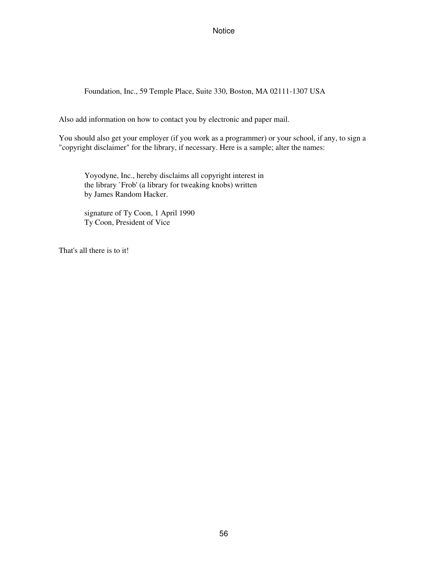Foundation, Inc., 59 Temple Place, Suite 330, Boston, MA 02111-1307 USA

Also add information on how to contact you by electronic and paper mail.

You should also get your employer (if you work as a programmer) or your school, if any, to sign a "copyright disclaimer" for the library, if necessary. Here is a sample; alter the names:

Yoyodyne, Inc., hereby disclaims all copyright interest in the library `Frob' (a library for tweaking knobs) written by James Random Hacker.

signature of Ty Coon, 1 April 1990 Ty Coon, President of Vice

That's all there is to it!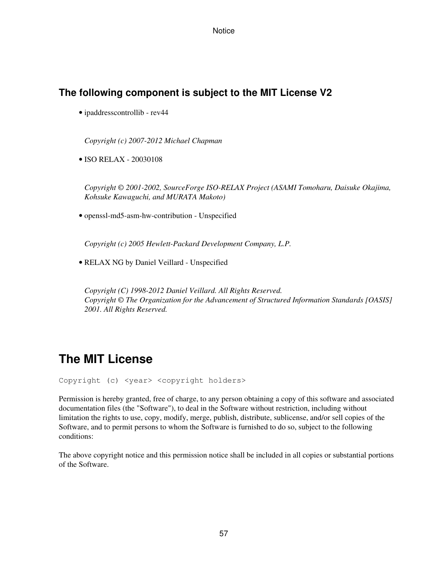## **The following component is subject to the MIT License V2**

• ipaddresscontrollib - rev44

*Copyright (c) 2007-2012 Michael Chapman*

• ISO RELAX - 20030108

*Copyright © 2001-2002, SourceForge ISO-RELAX Project (ASAMI Tomoharu, Daisuke Okajima, Kohsuke Kawaguchi, and MURATA Makoto)*

• openssl-md5-asm-hw-contribution - Unspecified

*Copyright (c) 2005 Hewlett-Packard Development Company, L.P.*

• RELAX NG by Daniel Veillard - Unspecified

*Copyright (C) 1998-2012 Daniel Veillard. All Rights Reserved. Copyright © The Organization for the Advancement of Structured Information Standards [OASIS] 2001. All Rights Reserved.*

## **The MIT License**

```
Copyright (c) <year> <copyright holders>
```
Permission is hereby granted, free of charge, to any person obtaining a copy of this software and associated documentation files (the "Software"), to deal in the Software without restriction, including without limitation the rights to use, copy, modify, merge, publish, distribute, sublicense, and/or sell copies of the Software, and to permit persons to whom the Software is furnished to do so, subject to the following conditions:

The above copyright notice and this permission notice shall be included in all copies or substantial portions of the Software.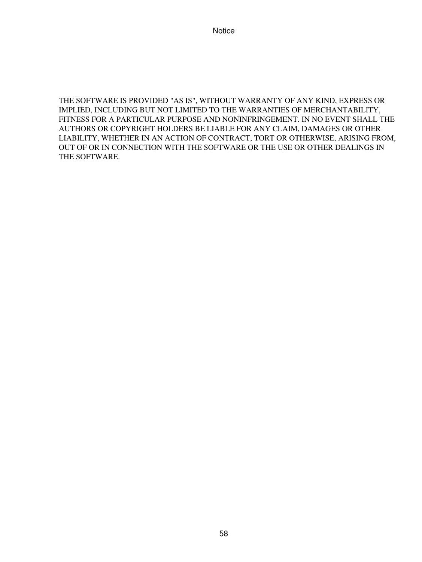THE SOFTWARE IS PROVIDED "AS IS", WITHOUT WARRANTY OF ANY KIND, EXPRESS OR IMPLIED, INCLUDING BUT NOT LIMITED TO THE WARRANTIES OF MERCHANTABILITY, FITNESS FOR A PARTICULAR PURPOSE AND NONINFRINGEMENT. IN NO EVENT SHALL THE AUTHORS OR COPYRIGHT HOLDERS BE LIABLE FOR ANY CLAIM, DAMAGES OR OTHER LIABILITY, WHETHER IN AN ACTION OF CONTRACT, TORT OR OTHERWISE, ARISING FROM, OUT OF OR IN CONNECTION WITH THE SOFTWARE OR THE USE OR OTHER DEALINGS IN THE SOFTWARE.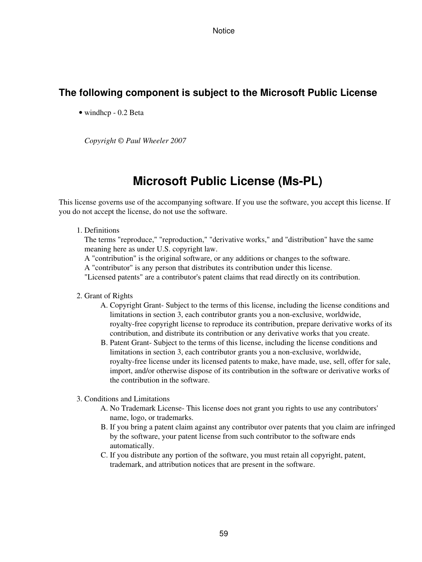## **The following component is subject to the Microsoft Public License**

• windhcp - 0.2 Beta

*Copyright © Paul Wheeler 2007*

## **Microsoft Public License (Ms-PL)**

This license governs use of the accompanying software. If you use the software, you accept this license. If you do not accept the license, do not use the software.

Definitions 1.

The terms "reproduce," "reproduction," "derivative works," and "distribution" have the same meaning here as under U.S. copyright law.

A "contribution" is the original software, or any additions or changes to the software.

A "contributor" is any person that distributes its contribution under this license.

"Licensed patents" are a contributor's patent claims that read directly on its contribution.

- 2. Grant of Rights
	- A. Copyright Grant- Subject to the terms of this license, including the license conditions and limitations in section 3, each contributor grants you a non-exclusive, worldwide, royalty-free copyright license to reproduce its contribution, prepare derivative works of its contribution, and distribute its contribution or any derivative works that you create.
	- B. Patent Grant- Subject to the terms of this license, including the license conditions and limitations in section 3, each contributor grants you a non-exclusive, worldwide, royalty-free license under its licensed patents to make, have made, use, sell, offer for sale, import, and/or otherwise dispose of its contribution in the software or derivative works of the contribution in the software.
- Conditions and Limitations 3.
	- A. No Trademark License- This license does not grant you rights to use any contributors' name, logo, or trademarks.
	- B. If you bring a patent claim against any contributor over patents that you claim are infringed by the software, your patent license from such contributor to the software ends automatically.
	- C. If you distribute any portion of the software, you must retain all copyright, patent, trademark, and attribution notices that are present in the software.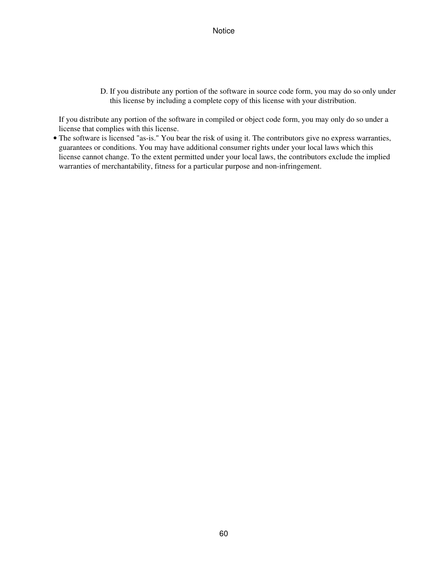D. If you distribute any portion of the software in source code form, you may do so only under this license by including a complete copy of this license with your distribution.

If you distribute any portion of the software in compiled or object code form, you may only do so under a license that complies with this license.

• The software is licensed "as-is." You bear the risk of using it. The contributors give no express warranties, guarantees or conditions. You may have additional consumer rights under your local laws which this license cannot change. To the extent permitted under your local laws, the contributors exclude the implied warranties of merchantability, fitness for a particular purpose and non-infringement.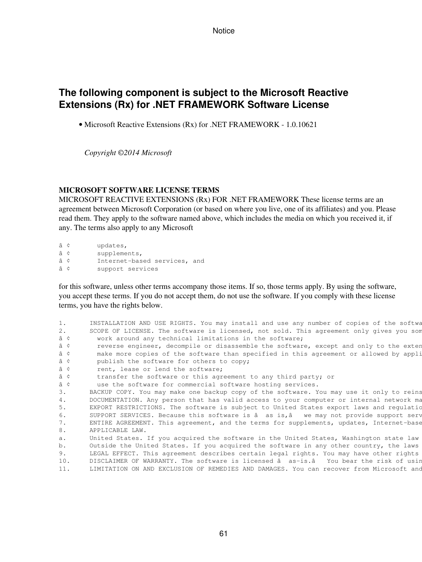## **The following component is subject to the Microsoft Reactive Extensions (Rx) for .NET FRAMEWORK Software License**

• Microsoft Reactive Extensions (Rx) for .NET FRAMEWORK - 1.0.10621

*Copyright ©2014 Microsoft*

### **MICROSOFT SOFTWARE LICENSE TERMS**

MICROSOFT REACTIVE EXTENSIONS (Rx) FOR .NET FRAMEWORK These license terms are an agreement between Microsoft Corporation (or based on where you live, one of its affiliates) and you. Please read them. They apply to the software named above, which includes the media on which you received it, if any. The terms also apply to any Microsoft

| â¢  | updates,                     |
|-----|------------------------------|
| â ¢ | supplements,                 |
| â ¢ | Internet-based services, and |
| â ¢ | support services             |

for this software, unless other terms accompany those items. If so, those terms apply. By using the software, you accept these terms. If you do not accept them, do not use the software. If you comply with these license terms, you have the rights below.

| INSTALLATION AND USE RIGHTS. You may install and use any number of copies of the softwa |
|-----------------------------------------------------------------------------------------|
| SCOPE OF LICENSE. The software is licensed, not sold. This agreement only gives you son |
| work around any technical limitations in the software;                                  |
| reverse engineer, decompile or disassemble the software, except and only to the exten   |
| make more copies of the software than specified in this agreement or allowed by appli   |
| publish the software for others to copy;                                                |
| rent, lease or lend the software;                                                       |
| transfer the software or this agreement to any third party; or                          |
| use the software for commercial software hosting services.                              |
| BACKUP COPY. You may make one backup copy of the software. You may use it only to reins |
| DOCUMENTATION. Any person that has valid access to your computer or internal network ma |
| EXPORT RESTRICTIONS. The software is subject to United States export laws and regulatio |
| SUPPORT SERVICES. Because this software is â as is, â we may not provide support serv   |
| ENTIRE AGREEMENT. This agreement, and the terms for supplements, updates, Internet-base |
| APPLICABLE LAW.                                                                         |
| United States. If you acquired the software in the United States, Washington state law  |
| Outside the United States. If you acquired the software in any other country, the laws  |
| LEGAL EFFECT. This agreement describes certain legal rights. You may have other right   |
| DISCLAIMER OF WARRANTY. The software is licensed â as-is.â  You bear the risk of usin   |
| LIMITATION ON AND EXCLUSION OF REMEDIES AND DAMAGES. You can recover from Microsoft a   |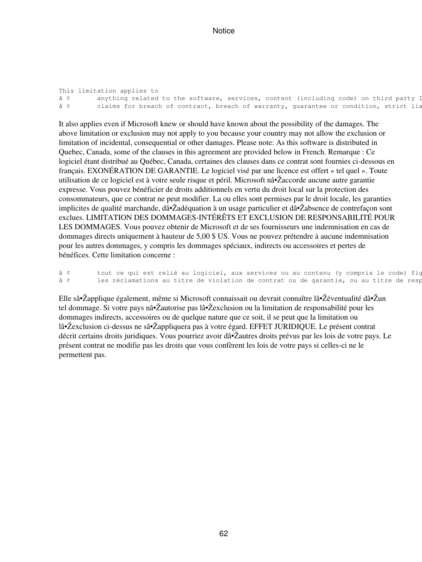This limitation applies to  $â$   $\diamond$  anything related to the software, services, content (including code) on third party I â ¢ claims for breach of contract, breach of warranty, guarantee or condition, strict lia

It also applies even if Microsoft knew or should have known about the possibility of the damages. The above limitation or exclusion may not apply to you because your country may not allow the exclusion or limitation of incidental, consequential or other damages. Please note: As this software is distributed in Quebec, Canada, some of the clauses in this agreement are provided below in French. Remarque : Ce logiciel étant distribué au Québec, Canada, certaines des clauses dans ce contrat sont fournies ci-dessous en français. EXONÉRATION DE GARANTIE. Le logiciel visé par une licence est offert « tel quel ». Toute utilisation de ce logiciel est à votre seule risque et péril. Microsoft nâ• Žaccorde aucune autre garantie expresse. Vous pouvez bénéficier de droits additionnels en vertu du droit local sur la protection des consommateurs, que ce contrat ne peut modifier. La ou elles sont permises par le droit locale, les garanties implicites de qualité marchande, dâ• Žadéquation à un usage particulier et dâ• Žabsence de contrefaçon sont exclues. LIMITATION DES DOMMAGES-INTÉRÊTS ET EXCLUSION DE RESPONSABILITÉ POUR LES DOMMAGES. Vous pouvez obtenir de Microsoft et de ses fournisseurs une indemnisation en cas de dommages directs uniquement à hauteur de 5,00 \$ US. Vous ne pouvez prétendre à aucune indemnisation pour les autres dommages, y compris les dommages spéciaux, indirects ou accessoires et pertes de bénéfices. Cette limitation concerne :

â ¢tout ce qui est relié au logiciel, aux services ou au contenu (y compris le code) figurant sur des sites in<br>A ¢ les réclamations au titre de violation de contrat ou de garantie, ou au titre de resp les réclamations au titre de violation de contrat ou de garantie, ou au titre de resp

Elle s╎applique également, même si Microsoft connaissait ou devrait connaître l╎éventualité d╎un tel dommage. Si votre pays n╎autorise pas l╎exclusion ou la limitation de responsabilité pour les dommages indirects, accessoires ou de quelque nature que ce soit, il se peut que la limitation ou l╎exclusion ci-dessus ne s╎appliquera pas à votre égard. EFFET JURIDIQUE. Le présent contrat décrit certains droits juridiques. Vous pourriez avoir dâ• Žautres droits prévus par les lois de votre pays. Le présent contrat ne modifie pas les droits que vous confèrent les lois de votre pays si celles-ci ne le permettent pas.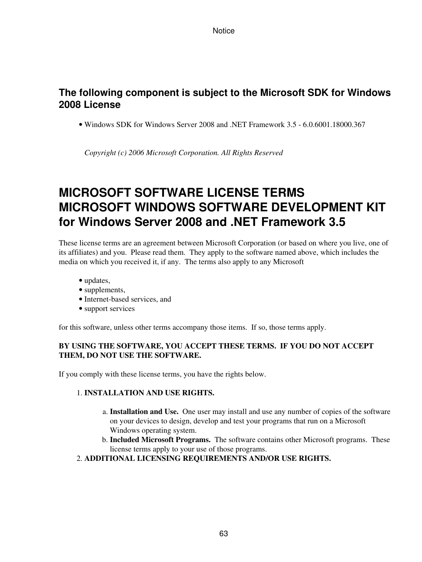## **The following component is subject to the Microsoft SDK for Windows 2008 License**

• Windows SDK for Windows Server 2008 and .NET Framework 3.5 - 6.0.6001.18000.367

*Copyright (c) 2006 Microsoft Corporation. All Rights Reserved*

# **MICROSOFT SOFTWARE LICENSE TERMS MICROSOFT WINDOWS SOFTWARE DEVELOPMENT KIT for Windows Server 2008 and .NET Framework 3.5**

These license terms are an agreement between Microsoft Corporation (or based on where you live, one of its affiliates) and you. Please read them. They apply to the software named above, which includes the media on which you received it, if any. The terms also apply to any Microsoft

- updates,
- supplements,
- Internet-based services, and
- support services

for this software, unless other terms accompany those items. If so, those terms apply.

### **BY USING THE SOFTWARE, YOU ACCEPT THESE TERMS. IF YOU DO NOT ACCEPT THEM, DO NOT USE THE SOFTWARE.**

If you comply with these license terms, you have the rights below.

### 1. **INSTALLATION AND USE RIGHTS.**

- **Installation and Use.** One user may install and use any number of copies of the software a. on your devices to design, develop and test your programs that run on a Microsoft Windows operating system.
- **Included Microsoft Programs.** The software contains other Microsoft programs. These b. license terms apply to your use of those programs.

### 2. **ADDITIONAL LICENSING REQUIREMENTS AND/OR USE RIGHTS.**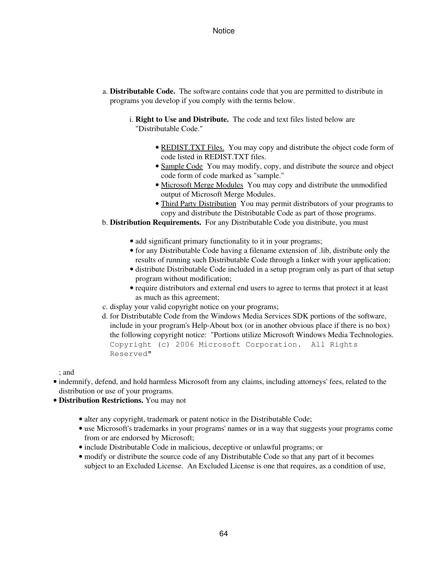- **Distributable Code.** The software contains code that you are permitted to distribute in a. programs you develop if you comply with the terms below.
	- **Right to Use and Distribute.** The code and text files listed below are i. "Distributable Code."
		- REDIST.TXT Files. You may copy and distribute the object code form of code listed in REDIST.TXT files.
		- Sample Code You may modify, copy, and distribute the source and object code form of code marked as "sample."
		- Microsoft Merge Modules You may copy and distribute the unmodified output of Microsoft Merge Modules.
		- Third Party Distribution You may permit distributors of your programs to copy and distribute the Distributable Code as part of those programs.
- **Distribution Requirements.** For any Distributable Code you distribute, you must b.
	- add significant primary functionality to it in your programs;
	- for any Distributable Code having a filename extension of .lib, distribute only the results of running such Distributable Code through a linker with your application;
	- distribute Distributable Code included in a setup program only as part of that setup program without modification;
	- require distributors and external end users to agree to terms that protect it at least as much as this agreement;
- c. display your valid copyright notice on your programs;
- d. for Distributable Code from the Windows Media Services SDK portions of the software, include in your program's Help-About box (or in another obvious place if there is no box) the following copyright notice: "Portions utilize Microsoft Windows Media Technologies. Copyright (c) 2006 Microsoft Corporation. All Rights Reserved"

; and

- indemnify, defend, and hold harmless Microsoft from any claims, including attorneys' fees, related to the distribution or use of your programs.
- **Distribution Restrictions.** You may not
	- alter any copyright, trademark or patent notice in the Distributable Code;
	- use Microsoft's trademarks in your programs' names or in a way that suggests your programs come from or are endorsed by Microsoft;
	- include Distributable Code in malicious, deceptive or unlawful programs; or
	- modify or distribute the source code of any Distributable Code so that any part of it becomes subject to an Excluded License. An Excluded License is one that requires, as a condition of use,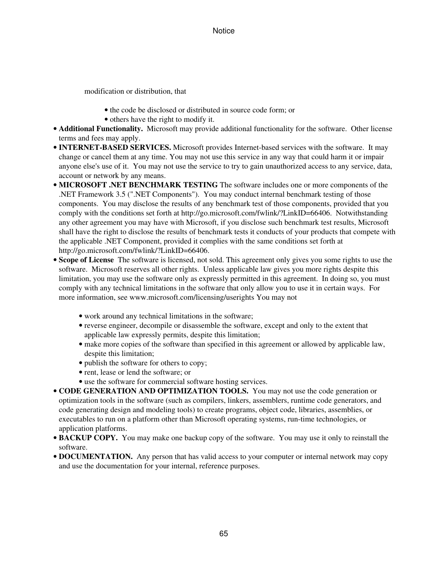modification or distribution, that

- the code be disclosed or distributed in source code form; or
- others have the right to modify it.
- Additional Functionality. Microsoft may provide additional functionality for the software. Other license terms and fees may apply.
- **INTERNET-BASED SERVICES.** Microsoft provides Internet-based services with the software. It may change or cancel them at any time. You may not use this service in any way that could harm it or impair anyone else's use of it. You may not use the service to try to gain unauthorized access to any service, data, account or network by any means.
- **MICROSOFT .NET BENCHMARK TESTING** The software includes one or more components of the .NET Framework 3.5 (".NET Components"). You may conduct internal benchmark testing of those components. You may disclose the results of any benchmark test of those components, provided that you comply with the conditions set forth at http://go.microsoft.com/fwlink/?LinkID=66406. Notwithstanding any other agreement you may have with Microsoft, if you disclose such benchmark test results, Microsoft shall have the right to disclose the results of benchmark tests it conducts of your products that compete with the applicable .NET Component, provided it complies with the same conditions set forth at http://go.microsoft.com/fwlink/?LinkID=66406.
- **Scope of License** The software is licensed, not sold. This agreement only gives you some rights to use the software. Microsoft reserves all other rights. Unless applicable law gives you more rights despite this limitation, you may use the software only as expressly permitted in this agreement. In doing so, you must comply with any technical limitations in the software that only allow you to use it in certain ways. For more information, see www.microsoft.com/licensing/userights You may not
	- work around any technical limitations in the software;
	- reverse engineer, decompile or disassemble the software, except and only to the extent that applicable law expressly permits, despite this limitation;
	- make more copies of the software than specified in this agreement or allowed by applicable law, despite this limitation;
	- publish the software for others to copy;
	- rent, lease or lend the software; or
	- use the software for commercial software hosting services.
- CODE GENERATION AND OPTIMIZATION TOOLS. You may not use the code generation or optimization tools in the software (such as compilers, linkers, assemblers, runtime code generators, and code generating design and modeling tools) to create programs, object code, libraries, assemblies, or executables to run on a platform other than Microsoft operating systems, run-time technologies, or application platforms.
- BACKUP COPY. You may make one backup copy of the software. You may use it only to reinstall the software.
- DOCUMENTATION. Any person that has valid access to your computer or internal network may copy and use the documentation for your internal, reference purposes.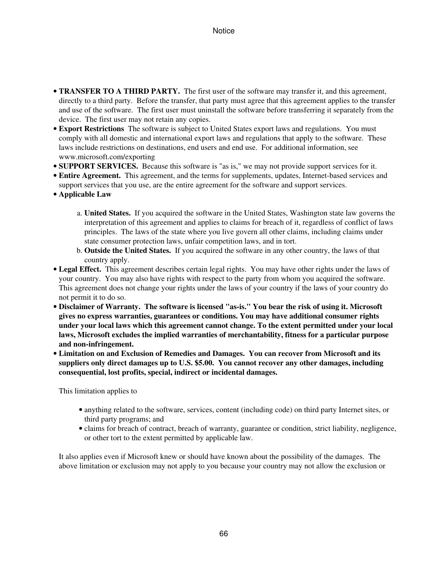- TRANSFER TO A THIRD PARTY. The first user of the software may transfer it, and this agreement, directly to a third party. Before the transfer, that party must agree that this agreement applies to the transfer and use of the software. The first user must uninstall the software before transferring it separately from the device. The first user may not retain any copies.
- **Export Restrictions** The software is subject to United States export laws and regulations. You must comply with all domestic and international export laws and regulations that apply to the software. These laws include restrictions on destinations, end users and end use. For additional information, see www.microsoft.com/exporting
- **SUPPORT SERVICES.** Because this software is "as is," we may not provide support services for it.
- **Entire Agreement.** This agreement, and the terms for supplements, updates, Internet-based services and support services that you use, are the entire agreement for the software and support services.
- **Applicable Law**
	- **United States.** If you acquired the software in the United States, Washington state law governs the a. interpretation of this agreement and applies to claims for breach of it, regardless of conflict of laws principles. The laws of the state where you live govern all other claims, including claims under state consumer protection laws, unfair competition laws, and in tort.
	- **Outside the United States.** If you acquired the software in any other country, the laws of that b. country apply.
- **Legal Effect.** This agreement describes certain legal rights. You may have other rights under the laws of your country. You may also have rights with respect to the party from whom you acquired the software. This agreement does not change your rights under the laws of your country if the laws of your country do not permit it to do so.
- **Disclaimer of Warranty. The software is licensed "as-is." You bear the risk of using it. Microsoft gives no express warranties, guarantees or conditions. You may have additional consumer rights under your local laws which this agreement cannot change. To the extent permitted under your local laws, Microsoft excludes the implied warranties of merchantability, fitness for a particular purpose and non-infringement.**
- **Limitation on and Exclusion of Remedies and Damages. You can recover from Microsoft and its suppliers only direct damages up to U.S. \$5.00. You cannot recover any other damages, including consequential, lost profits, special, indirect or incidental damages.**

This limitation applies to

- anything related to the software, services, content (including code) on third party Internet sites, or third party programs; and
- claims for breach of contract, breach of warranty, guarantee or condition, strict liability, negligence, or other tort to the extent permitted by applicable law.

It also applies even if Microsoft knew or should have known about the possibility of the damages. The above limitation or exclusion may not apply to you because your country may not allow the exclusion or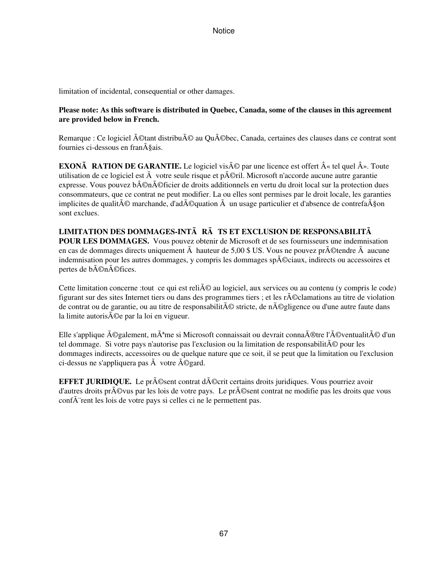limitation of incidental, consequential or other damages.

### **Please note: As this software is distributed in Quebec, Canada, some of the clauses in this agreement are provided below in French.**

Remarque : Ce logiciel étant distribué au Québec, Canada, certaines des clauses dans ce contrat sont fournies ci-dessous en fran $\tilde{A}$ §ais.

**EXONÃ RATION DE GARANTIE.** Le logiciel vis $\tilde{A}$ © par une licence est offert  $\hat{A}$ « tel quel  $\hat{A}$ ». Toute utilisation de ce logiciel est  $\tilde{A}$  votre seule risque et p $\tilde{A}$ ©ril. Microsoft n'accorde aucune autre garantie expresse. Vous pouvez b©néficier de droits additionnels en vertu du droit local sur la protection dues consommateurs, que ce contrat ne peut modifier. La ou elles sont permises par le droit locale, les garanties implicites de qualit $\tilde{A} \mathbb{O}$  marchande, d'ad $\tilde{A} \mathbb{O}$ quation  $\tilde{A}$  un usage particulier et d'absence de contrefa $\tilde{A}$ 80n sont exclues.

### **LIMITATION DES DOMMAGES-INTÃRÃTS ET EXCLUSION DE RESPONSABILITÃ POUR LES DOMMAGES.** Vous pouvez obtenir de Microsoft et de ses fournisseurs une indemnisation en cas de dommages directs uniquement  $\tilde{A}$  hauteur de 5,00 \$ US. Vous ne pouvez pr $\tilde{A}$ ©tendre  $\tilde{A}$  aucune indemnisation pour les autres dommages, y compris les dommages sp $\tilde{A}$ ©ciaux, indirects ou accessoires et pertes de bénéfices.

Cette limitation concerne :tout ce qui est reli $\tilde{A} \odot$  au logiciel, aux services ou au contenu (y compris le code) figurant sur des sites Internet tiers ou dans des programmes tiers ; et les r $\tilde{A}$ ©clamations au titre de violation de contrat ou de garantie, ou au titre de responsabilit $\tilde{A} \mathbb{O}$  stricte, de n $\tilde{A} \mathbb{O}$ gligence ou d'une autre faute dans la limite autoris $\tilde{A}$ ©e par la loi en vigueur.

Elle s'applique  $\tilde{A}^{\odot}$ galement, m $\tilde{A}^{\text{a}}$ me si Microsoft connaissait ou devrait conna $\tilde{A}^{\odot}$ tre l' $\tilde{A}^{\odot}$ ventualit $\tilde{A}^{\odot}$  d'un tel dommage. Si votre pays n'autorise pas l'exclusion ou la limitation de responsabilit $\tilde{A}$ © pour les dommages indirects, accessoires ou de quelque nature que ce soit, il se peut que la limitation ou l'exclusion ci-dessus ne s'appliquera pas  $\tilde{A}$  votre  $\tilde{A}$ Ogard.

**EFFET JURIDIQUE.** Le pr©sent contrat d©crit certains droits juridiques. Vous pourriez avoir d'autres droits pr $\tilde{A}$ ©vus par les lois de votre pays. Le pr $\tilde{A}$ ©sent contrat ne modifie pas les droits que vous conf $\tilde{A}$  rent les lois de votre pays si celles ci ne le permettent pas.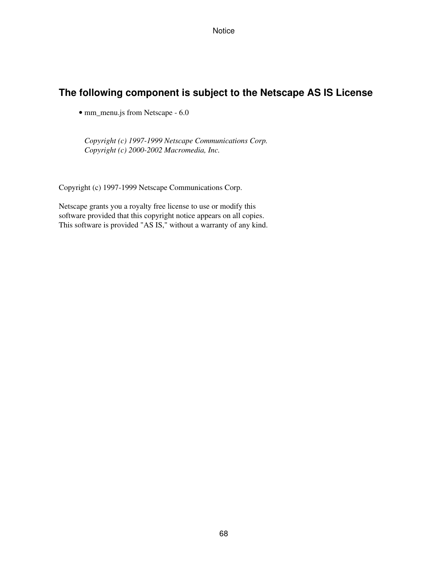### **The following component is subject to the Netscape AS IS License**

• mm\_menu.js from Netscape - 6.0

*Copyright (c) 1997-1999 Netscape Communications Corp. Copyright (c) 2000-2002 Macromedia, Inc.*

Copyright (c) 1997-1999 Netscape Communications Corp.

Netscape grants you a royalty free license to use or modify this software provided that this copyright notice appears on all copies. This software is provided "AS IS," without a warranty of any kind.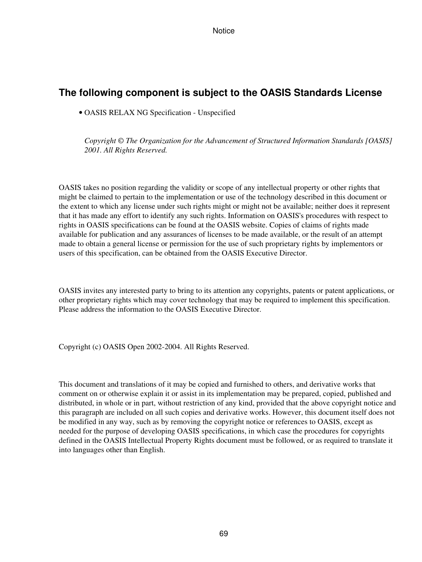## **The following component is subject to the OASIS Standards License**

• OASIS RELAX NG Specification - Unspecified

*Copyright © The Organization for the Advancement of Structured Information Standards [OASIS] 2001. All Rights Reserved.*

OASIS takes no position regarding the validity or scope of any intellectual property or other rights that might be claimed to pertain to the implementation or use of the technology described in this document or the extent to which any license under such rights might or might not be available; neither does it represent that it has made any effort to identify any such rights. Information on OASIS's procedures with respect to rights in OASIS specifications can be found at the OASIS website. Copies of claims of rights made available for publication and any assurances of licenses to be made available, or the result of an attempt made to obtain a general license or permission for the use of such proprietary rights by implementors or users of this specification, can be obtained from the OASIS Executive Director.

OASIS invites any interested party to bring to its attention any copyrights, patents or patent applications, or other proprietary rights which may cover technology that may be required to implement this specification. Please address the information to the OASIS Executive Director.

Copyright (c) OASIS Open 2002-2004. All Rights Reserved.

This document and translations of it may be copied and furnished to others, and derivative works that comment on or otherwise explain it or assist in its implementation may be prepared, copied, published and distributed, in whole or in part, without restriction of any kind, provided that the above copyright notice and this paragraph are included on all such copies and derivative works. However, this document itself does not be modified in any way, such as by removing the copyright notice or references to OASIS, except as needed for the purpose of developing OASIS specifications, in which case the procedures for copyrights defined in the OASIS Intellectual Property Rights document must be followed, or as required to translate it into languages other than English.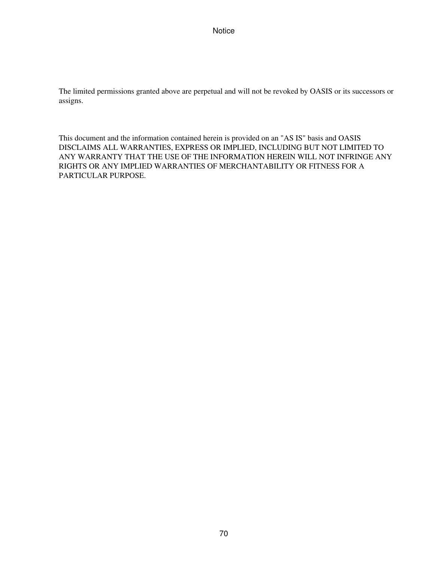The limited permissions granted above are perpetual and will not be revoked by OASIS or its successors or assigns.

This document and the information contained herein is provided on an "AS IS" basis and OASIS DISCLAIMS ALL WARRANTIES, EXPRESS OR IMPLIED, INCLUDING BUT NOT LIMITED TO ANY WARRANTY THAT THE USE OF THE INFORMATION HEREIN WILL NOT INFRINGE ANY RIGHTS OR ANY IMPLIED WARRANTIES OF MERCHANTABILITY OR FITNESS FOR A PARTICULAR PURPOSE.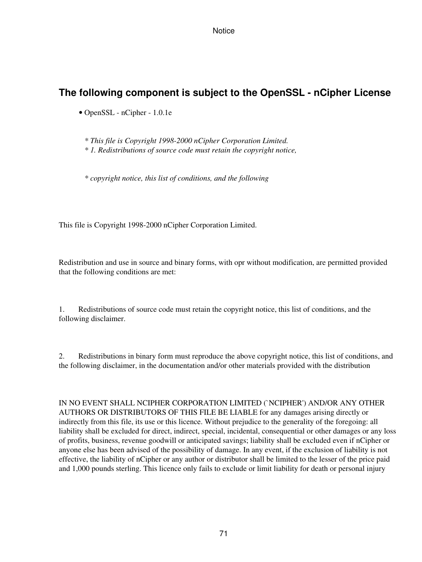## **The following component is subject to the OpenSSL - nCipher License**

• OpenSSL - nCipher - 1.0.1e

*\* This file is Copyright 1998-2000 nCipher Corporation Limited.*

*\* 1. Redistributions of source code must retain the copyright notice,*

*\* copyright notice, this list of conditions, and the following*

This file is Copyright 1998-2000 nCipher Corporation Limited.

Redistribution and use in source and binary forms, with opr without modification, are permitted provided that the following conditions are met:

1. Redistributions of source code must retain the copyright notice, this list of conditions, and the following disclaimer.

2. Redistributions in binary form must reproduce the above copyright notice, this list of conditions, and the following disclaimer, in the documentation and/or other materials provided with the distribution

IN NO EVENT SHALL NCIPHER CORPORATION LIMITED (`NCIPHER') AND/OR ANY OTHER AUTHORS OR DISTRIBUTORS OF THIS FILE BE LIABLE for any damages arising directly or indirectly from this file, its use or this licence. Without prejudice to the generality of the foregoing: all liability shall be excluded for direct, indirect, special, incidental, consequential or other damages or any loss of profits, business, revenue goodwill or anticipated savings; liability shall be excluded even if nCipher or anyone else has been advised of the possibility of damage. In any event, if the exclusion of liability is not effective, the liability of nCipher or any author or distributor shall be limited to the lesser of the price paid and 1,000 pounds sterling. This licence only fails to exclude or limit liability for death or personal injury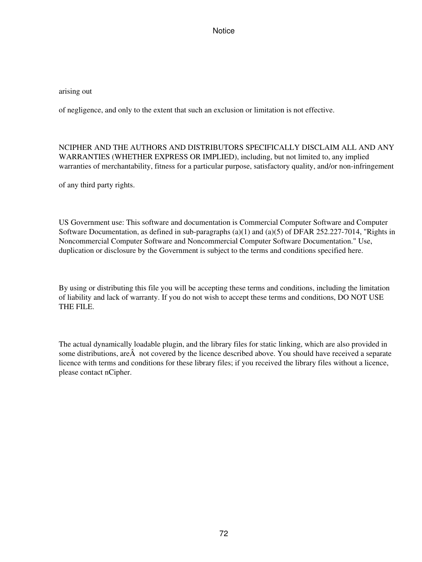arising out

of negligence, and only to the extent that such an exclusion or limitation is not effective.

NCIPHER AND THE AUTHORS AND DISTRIBUTORS SPECIFICALLY DISCLAIM ALL AND ANY WARRANTIES (WHETHER EXPRESS OR IMPLIED), including, but not limited to, any implied warranties of merchantability, fitness for a particular purpose, satisfactory quality, and/or non-infringement

of any third party rights.

US Government use: This software and documentation is Commercial Computer Software and Computer Software Documentation, as defined in sub-paragraphs (a)(1) and (a)(5) of DFAR 252.227-7014, "Rights in Noncommercial Computer Software and Noncommercial Computer Software Documentation." Use, duplication or disclosure by the Government is subject to the terms and conditions specified here.

By using or distributing this file you will be accepting these terms and conditions, including the limitation of liability and lack of warranty. If you do not wish to accept these terms and conditions, DO NOT USE THE FILE.

The actual dynamically loadable plugin, and the library files for static linking, which are also provided in some distributions, are  $\hat{A}$  not covered by the licence described above. You should have received a separate licence with terms and conditions for these library files; if you received the library files without a licence, please contact nCipher.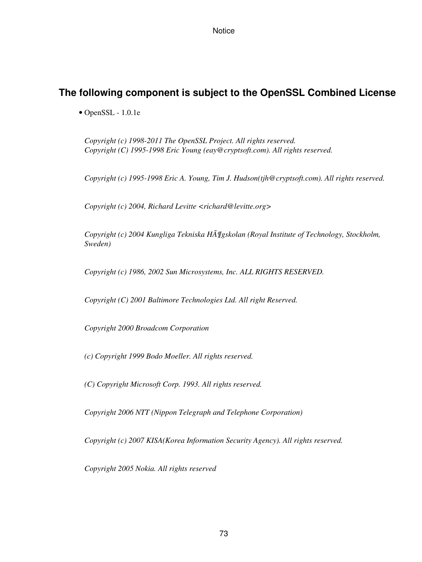## **The following component is subject to the OpenSSL Combined License**

• OpenSSL - 1.0.1e

*Copyright (c) 1998-2011 The OpenSSL Project. All rights reserved. Copyright (C) 1995-1998 Eric Young (eay@cryptsoft.com). All rights reserved.*

*Copyright (c) 1995-1998 Eric A. Young, Tim J. Hudson(tjh@cryptsoft.com). All rights reserved.*

*Copyright (c) 2004, Richard Levitte <richard@levitte.org>*

*Copyright (c) 2004 Kungliga Tekniska Högskolan (Royal Institute of Technology, Stockholm, Sweden)*

*Copyright (c) 1986, 2002 Sun Microsystems, Inc. ALL RIGHTS RESERVED.*

*Copyright (C) 2001 Baltimore Technologies Ltd. All right Reserved.*

*Copyright 2000 Broadcom Corporation*

*(c) Copyright 1999 Bodo Moeller. All rights reserved.*

*(C) Copyright Microsoft Corp. 1993. All rights reserved.*

*Copyright 2006 NTT (Nippon Telegraph and Telephone Corporation)*

*Copyright (c) 2007 KISA(Korea Information Security Agency). All rights reserved.*

*Copyright 2005 Nokia. All rights reserved*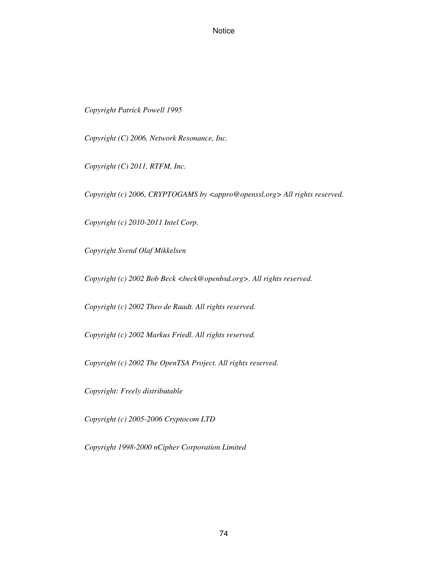*Copyright Patrick Powell 1995*

*Copyright (C) 2006, Network Resonance, Inc.*

*Copyright (C) 2011, RTFM, Inc.*

*Copyright (c) 2006, CRYPTOGAMS by <appro@openssl.org> All rights reserved.*

*Copyright (c) 2010-2011 Intel Corp.*

*Copyright Svend Olaf Mikkelsen*

*Copyright (c) 2002 Bob Beck <beck@openbsd.org>. All rights reserved.*

*Copyright (c) 2002 Theo de Raadt. All rights reserved.*

*Copyright (c) 2002 Markus Friedl. All rights reserved.*

*Copyright (c) 2002 The OpenTSA Project. All rights reserved.*

*Copyright: Freely distributable*

*Copyright (c) 2005-2006 Cryptocom LTD*

*Copyright 1998-2000 nCipher Corporation Limited*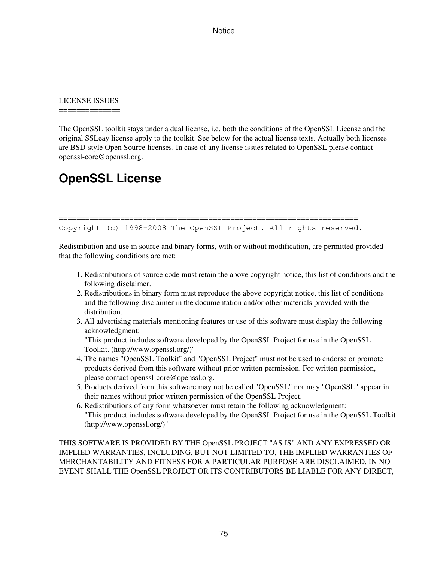#### LICENSE ISSUES ==============

The OpenSSL toolkit stays under a dual license, i.e. both the conditions of the OpenSSL License and the original SSLeay license apply to the toolkit. See below for the actual license texts. Actually both licenses are BSD-style Open Source licenses. In case of any license issues related to OpenSSL please contact openssl-core@openssl.org.

# **OpenSSL License**

---------------

====================================================================

Copyright (c) 1998-2008 The OpenSSL Project. All rights reserved.

Redistribution and use in source and binary forms, with or without modification, are permitted provided that the following conditions are met:

- 1. Redistributions of source code must retain the above copyright notice, this list of conditions and the following disclaimer.
- 2. Redistributions in binary form must reproduce the above copyright notice, this list of conditions and the following disclaimer in the documentation and/or other materials provided with the distribution.
- All advertising materials mentioning features or use of this software must display the following 3. acknowledgment:

"This product includes software developed by the OpenSSL Project for use in the OpenSSL Toolkit. (http://www.openssl.org/)"

- 4. The names "OpenSSL Toolkit" and "OpenSSL Project" must not be used to endorse or promote products derived from this software without prior written permission. For written permission, please contact openssl-core@openssl.org.
- 5. Products derived from this software may not be called "OpenSSL" nor may "OpenSSL" appear in their names without prior written permission of the OpenSSL Project.
- 6. Redistributions of any form whatsoever must retain the following acknowledgment: "This product includes software developed by the OpenSSL Project for use in the OpenSSL Toolkit (http://www.openssl.org/)"

THIS SOFTWARE IS PROVIDED BY THE OpenSSL PROJECT "AS IS" AND ANY EXPRESSED OR IMPLIED WARRANTIES, INCLUDING, BUT NOT LIMITED TO, THE IMPLIED WARRANTIES OF MERCHANTABILITY AND FITNESS FOR A PARTICULAR PURPOSE ARE DISCLAIMED. IN NO EVENT SHALL THE OpenSSL PROJECT OR ITS CONTRIBUTORS BE LIABLE FOR ANY DIRECT,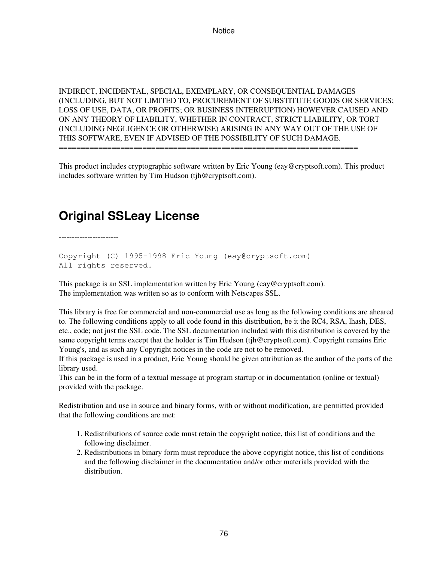INDIRECT, INCIDENTAL, SPECIAL, EXEMPLARY, OR CONSEQUENTIAL DAMAGES (INCLUDING, BUT NOT LIMITED TO, PROCUREMENT OF SUBSTITUTE GOODS OR SERVICES; LOSS OF USE, DATA, OR PROFITS; OR BUSINESS INTERRUPTION) HOWEVER CAUSED AND ON ANY THEORY OF LIABILITY, WHETHER IN CONTRACT, STRICT LIABILITY, OR TORT (INCLUDING NEGLIGENCE OR OTHERWISE) ARISING IN ANY WAY OUT OF THE USE OF THIS SOFTWARE, EVEN IF ADVISED OF THE POSSIBILITY OF SUCH DAMAGE. ====================================================================

This product includes cryptographic software written by Eric Young (eay@cryptsoft.com). This product includes software written by Tim Hudson (tjh@cryptsoft.com).

# **Original SSLeay License**

-----------------------

Copyright (C) 1995-1998 Eric Young (eay@cryptsoft.com) All rights reserved.

This package is an SSL implementation written by Eric Young (eay@cryptsoft.com). The implementation was written so as to conform with Netscapes SSL.

This library is free for commercial and non-commercial use as long as the following conditions are aheared to. The following conditions apply to all code found in this distribution, be it the RC4, RSA, lhash, DES, etc., code; not just the SSL code. The SSL documentation included with this distribution is covered by the same copyright terms except that the holder is Tim Hudson (tjh@cryptsoft.com). Copyright remains Eric Young's, and as such any Copyright notices in the code are not to be removed.

If this package is used in a product, Eric Young should be given attribution as the author of the parts of the library used.

This can be in the form of a textual message at program startup or in documentation (online or textual) provided with the package.

Redistribution and use in source and binary forms, with or without modification, are permitted provided that the following conditions are met:

- 1. Redistributions of source code must retain the copyright notice, this list of conditions and the following disclaimer.
- 2. Redistributions in binary form must reproduce the above copyright notice, this list of conditions and the following disclaimer in the documentation and/or other materials provided with the distribution.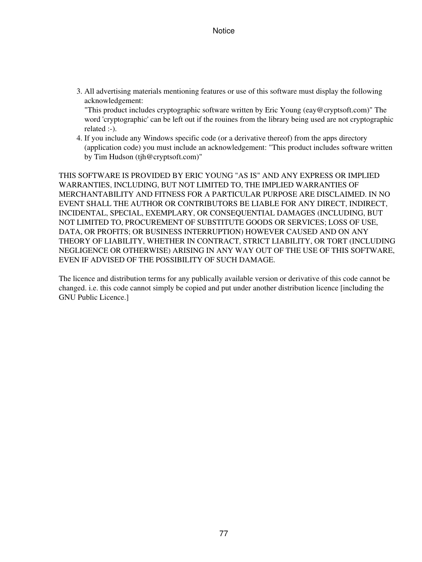All advertising materials mentioning features or use of this software must display the following 3. acknowledgement:

"This product includes cryptographic software written by Eric Young (eay@cryptsoft.com)" The word 'cryptographic' can be left out if the rouines from the library being used are not cryptographic related :-).

4. If you include any Windows specific code (or a derivative thereof) from the apps directory (application code) you must include an acknowledgement: "This product includes software written by Tim Hudson (tjh@cryptsoft.com)"

THIS SOFTWARE IS PROVIDED BY ERIC YOUNG "AS IS" AND ANY EXPRESS OR IMPLIED WARRANTIES, INCLUDING, BUT NOT LIMITED TO, THE IMPLIED WARRANTIES OF MERCHANTABILITY AND FITNESS FOR A PARTICULAR PURPOSE ARE DISCLAIMED. IN NO EVENT SHALL THE AUTHOR OR CONTRIBUTORS BE LIABLE FOR ANY DIRECT, INDIRECT, INCIDENTAL, SPECIAL, EXEMPLARY, OR CONSEQUENTIAL DAMAGES (INCLUDING, BUT NOT LIMITED TO, PROCUREMENT OF SUBSTITUTE GOODS OR SERVICES; LOSS OF USE, DATA, OR PROFITS; OR BUSINESS INTERRUPTION) HOWEVER CAUSED AND ON ANY THEORY OF LIABILITY, WHETHER IN CONTRACT, STRICT LIABILITY, OR TORT (INCLUDING NEGLIGENCE OR OTHERWISE) ARISING IN ANY WAY OUT OF THE USE OF THIS SOFTWARE, EVEN IF ADVISED OF THE POSSIBILITY OF SUCH DAMAGE.

The licence and distribution terms for any publically available version or derivative of this code cannot be changed. i.e. this code cannot simply be copied and put under another distribution licence [including the GNU Public Licence.]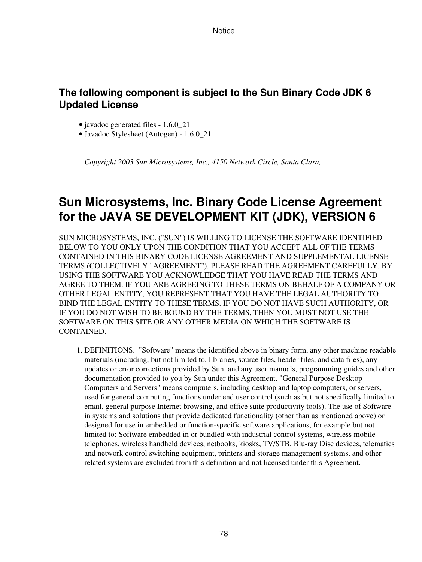### **The following component is subject to the Sun Binary Code JDK 6 Updated License**

- javadoc generated files 1.6.0\_21
- Javadoc Stylesheet (Autogen) 1.6.0\_21

*Copyright 2003 Sun Microsystems, Inc., 4150 Network Circle, Santa Clara,*

## **Sun Microsystems, Inc. Binary Code License Agreement for the JAVA SE DEVELOPMENT KIT (JDK), VERSION 6**

SUN MICROSYSTEMS, INC. ("SUN") IS WILLING TO LICENSE THE SOFTWARE IDENTIFIED BELOW TO YOU ONLY UPON THE CONDITION THAT YOU ACCEPT ALL OF THE TERMS CONTAINED IN THIS BINARY CODE LICENSE AGREEMENT AND SUPPLEMENTAL LICENSE TERMS (COLLECTIVELY "AGREEMENT"). PLEASE READ THE AGREEMENT CAREFULLY. BY USING THE SOFTWARE YOU ACKNOWLEDGE THAT YOU HAVE READ THE TERMS AND AGREE TO THEM. IF YOU ARE AGREEING TO THESE TERMS ON BEHALF OF A COMPANY OR OTHER LEGAL ENTITY, YOU REPRESENT THAT YOU HAVE THE LEGAL AUTHORITY TO BIND THE LEGAL ENTITY TO THESE TERMS. IF YOU DO NOT HAVE SUCH AUTHORITY, OR IF YOU DO NOT WISH TO BE BOUND BY THE TERMS, THEN YOU MUST NOT USE THE SOFTWARE ON THIS SITE OR ANY OTHER MEDIA ON WHICH THE SOFTWARE IS CONTAINED.

1. DEFINITIONS. "Software" means the identified above in binary form, any other machine readable materials (including, but not limited to, libraries, source files, header files, and data files), any updates or error corrections provided by Sun, and any user manuals, programming guides and other documentation provided to you by Sun under this Agreement. "General Purpose Desktop Computers and Servers" means computers, including desktop and laptop computers, or servers, used for general computing functions under end user control (such as but not specifically limited to email, general purpose Internet browsing, and office suite productivity tools). The use of Software in systems and solutions that provide dedicated functionality (other than as mentioned above) or designed for use in embedded or function-specific software applications, for example but not limited to: Software embedded in or bundled with industrial control systems, wireless mobile telephones, wireless handheld devices, netbooks, kiosks, TV/STB, Blu-ray Disc devices, telematics and network control switching equipment, printers and storage management systems, and other related systems are excluded from this definition and not licensed under this Agreement.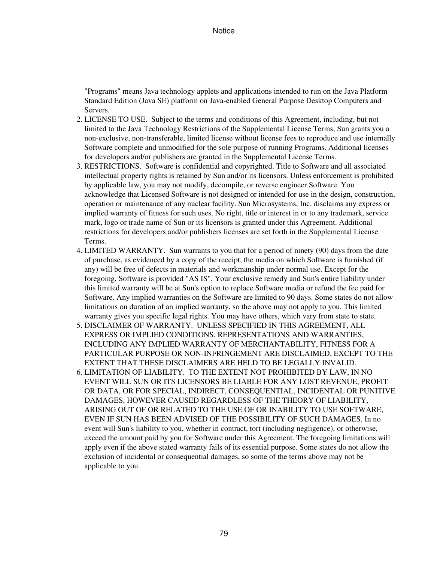"Programs" means Java technology applets and applications intended to run on the Java Platform Standard Edition (Java SE) platform on Java-enabled General Purpose Desktop Computers and Servers.

- 2. LICENSE TO USE. Subject to the terms and conditions of this Agreement, including, but not limited to the Java Technology Restrictions of the Supplemental License Terms, Sun grants you a non-exclusive, non-transferable, limited license without license fees to reproduce and use internally Software complete and unmodified for the sole purpose of running Programs. Additional licenses for developers and/or publishers are granted in the Supplemental License Terms.
- RESTRICTIONS. Software is confidential and copyrighted. Title to Software and all associated 3. intellectual property rights is retained by Sun and/or its licensors. Unless enforcement is prohibited by applicable law, you may not modify, decompile, or reverse engineer Software. You acknowledge that Licensed Software is not designed or intended for use in the design, construction, operation or maintenance of any nuclear facility. Sun Microsystems, Inc. disclaims any express or implied warranty of fitness for such uses. No right, title or interest in or to any trademark, service mark, logo or trade name of Sun or its licensors is granted under this Agreement. Additional restrictions for developers and/or publishers licenses are set forth in the Supplemental License Terms.
- LIMITED WARRANTY. Sun warrants to you that for a period of ninety (90) days from the date 4. of purchase, as evidenced by a copy of the receipt, the media on which Software is furnished (if any) will be free of defects in materials and workmanship under normal use. Except for the foregoing, Software is provided "AS IS". Your exclusive remedy and Sun's entire liability under this limited warranty will be at Sun's option to replace Software media or refund the fee paid for Software. Any implied warranties on the Software are limited to 90 days. Some states do not allow limitations on duration of an implied warranty, so the above may not apply to you. This limited warranty gives you specific legal rights. You may have others, which vary from state to state.
- DISCLAIMER OF WARRANTY. UNLESS SPECIFIED IN THIS AGREEMENT, ALL 5. EXPRESS OR IMPLIED CONDITIONS, REPRESENTATIONS AND WARRANTIES, INCLUDING ANY IMPLIED WARRANTY OF MERCHANTABILITY, FITNESS FOR A PARTICULAR PURPOSE OR NON-INFRINGEMENT ARE DISCLAIMED, EXCEPT TO THE EXTENT THAT THESE DISCLAIMERS ARE HELD TO BE LEGALLY INVALID.
- LIMITATION OF LIABILITY. TO THE EXTENT NOT PROHIBITED BY LAW, IN NO 6. EVENT WILL SUN OR ITS LICENSORS BE LIABLE FOR ANY LOST REVENUE, PROFIT OR DATA, OR FOR SPECIAL, INDIRECT, CONSEQUENTIAL, INCIDENTAL OR PUNITIVE DAMAGES, HOWEVER CAUSED REGARDLESS OF THE THEORY OF LIABILITY, ARISING OUT OF OR RELATED TO THE USE OF OR INABILITY TO USE SOFTWARE, EVEN IF SUN HAS BEEN ADVISED OF THE POSSIBILITY OF SUCH DAMAGES. In no event will Sun's liability to you, whether in contract, tort (including negligence), or otherwise, exceed the amount paid by you for Software under this Agreement. The foregoing limitations will apply even if the above stated warranty fails of its essential purpose. Some states do not allow the exclusion of incidental or consequential damages, so some of the terms above may not be applicable to you.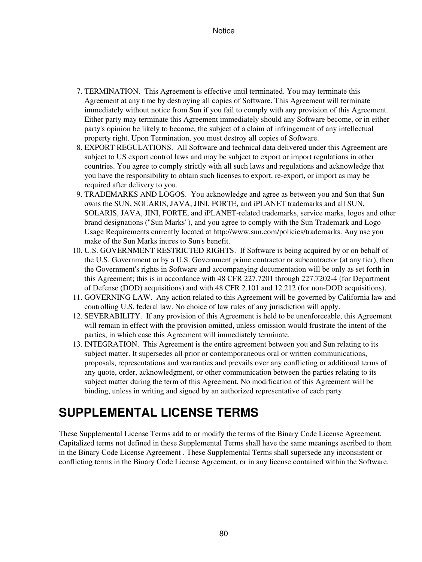- 7. TERMINATION. This Agreement is effective until terminated. You may terminate this Agreement at any time by destroying all copies of Software. This Agreement will terminate immediately without notice from Sun if you fail to comply with any provision of this Agreement. Either party may terminate this Agreement immediately should any Software become, or in either party's opinion be likely to become, the subject of a claim of infringement of any intellectual property right. Upon Termination, you must destroy all copies of Software.
- EXPORT REGULATIONS. All Software and technical data delivered under this Agreement are 8. subject to US export control laws and may be subject to export or import regulations in other countries. You agree to comply strictly with all such laws and regulations and acknowledge that you have the responsibility to obtain such licenses to export, re-export, or import as may be required after delivery to you.
- TRADEMARKS AND LOGOS. You acknowledge and agree as between you and Sun that Sun 9. owns the SUN, SOLARIS, JAVA, JINI, FORTE, and iPLANET trademarks and all SUN, SOLARIS, JAVA, JINI, FORTE, and iPLANET-related trademarks, service marks, logos and other brand designations ("Sun Marks"), and you agree to comply with the Sun Trademark and Logo Usage Requirements currently located at http://www.sun.com/policies/trademarks. Any use you make of the Sun Marks inures to Sun's benefit.
- 10. U.S. GOVERNMENT RESTRICTED RIGHTS. If Software is being acquired by or on behalf of the U.S. Government or by a U.S. Government prime contractor or subcontractor (at any tier), then the Government's rights in Software and accompanying documentation will be only as set forth in this Agreement; this is in accordance with 48 CFR 227.7201 through 227.7202-4 (for Department of Defense (DOD) acquisitions) and with 48 CFR 2.101 and 12.212 (for non-DOD acquisitions).
- 11. GOVERNING LAW. Any action related to this Agreement will be governed by California law and controlling U.S. federal law. No choice of law rules of any jurisdiction will apply.
- 12. SEVERABILITY. If any provision of this Agreement is held to be unenforceable, this Agreement will remain in effect with the provision omitted, unless omission would frustrate the intent of the parties, in which case this Agreement will immediately terminate.
- 13. INTEGRATION. This Agreement is the entire agreement between you and Sun relating to its subject matter. It supersedes all prior or contemporaneous oral or written communications, proposals, representations and warranties and prevails over any conflicting or additional terms of any quote, order, acknowledgment, or other communication between the parties relating to its subject matter during the term of this Agreement. No modification of this Agreement will be binding, unless in writing and signed by an authorized representative of each party.

# **SUPPLEMENTAL LICENSE TERMS**

These Supplemental License Terms add to or modify the terms of the Binary Code License Agreement. Capitalized terms not defined in these Supplemental Terms shall have the same meanings ascribed to them in the Binary Code License Agreement . These Supplemental Terms shall supersede any inconsistent or conflicting terms in the Binary Code License Agreement, or in any license contained within the Software.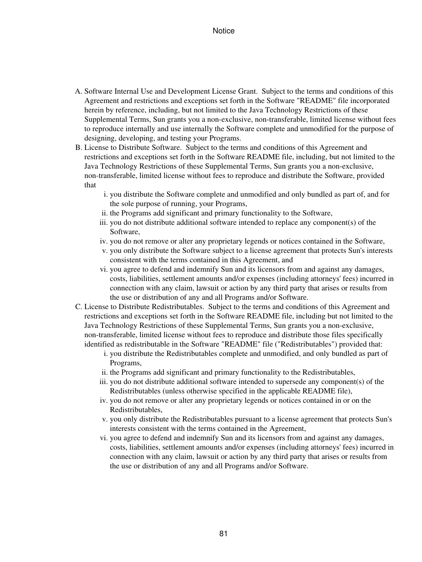- A. Software Internal Use and Development License Grant. Subject to the terms and conditions of this Agreement and restrictions and exceptions set forth in the Software "README" file incorporated herein by reference, including, but not limited to the Java Technology Restrictions of these Supplemental Terms, Sun grants you a non-exclusive, non-transferable, limited license without fees to reproduce internally and use internally the Software complete and unmodified for the purpose of designing, developing, and testing your Programs.
- B. License to Distribute Software. Subject to the terms and conditions of this Agreement and restrictions and exceptions set forth in the Software README file, including, but not limited to the Java Technology Restrictions of these Supplemental Terms, Sun grants you a non-exclusive, non-transferable, limited license without fees to reproduce and distribute the Software, provided that
	- i. you distribute the Software complete and unmodified and only bundled as part of, and for the sole purpose of running, your Programs,
	- ii. the Programs add significant and primary functionality to the Software,
	- iii. you do not distribute additional software intended to replace any component(s) of the Software,
	- iv. you do not remove or alter any proprietary legends or notices contained in the Software,
	- v. you only distribute the Software subject to a license agreement that protects Sun's interests consistent with the terms contained in this Agreement, and
	- vi. you agree to defend and indemnify Sun and its licensors from and against any damages, costs, liabilities, settlement amounts and/or expenses (including attorneys' fees) incurred in connection with any claim, lawsuit or action by any third party that arises or results from the use or distribution of any and all Programs and/or Software.
- C. License to Distribute Redistributables. Subject to the terms and conditions of this Agreement and restrictions and exceptions set forth in the Software README file, including but not limited to the Java Technology Restrictions of these Supplemental Terms, Sun grants you a non-exclusive, non-transferable, limited license without fees to reproduce and distribute those files specifically identified as redistributable in the Software "README" file ("Redistributables") provided that:
	- i. you distribute the Redistributables complete and unmodified, and only bundled as part of Programs,
	- ii. the Programs add significant and primary functionality to the Redistributables,
	- iii. you do not distribute additional software intended to supersede any component(s) of the Redistributables (unless otherwise specified in the applicable README file),
	- iv. you do not remove or alter any proprietary legends or notices contained in or on the Redistributables,
	- v. you only distribute the Redistributables pursuant to a license agreement that protects Sun's interests consistent with the terms contained in the Agreement,
	- vi. you agree to defend and indemnify Sun and its licensors from and against any damages, costs, liabilities, settlement amounts and/or expenses (including attorneys' fees) incurred in connection with any claim, lawsuit or action by any third party that arises or results from the use or distribution of any and all Programs and/or Software.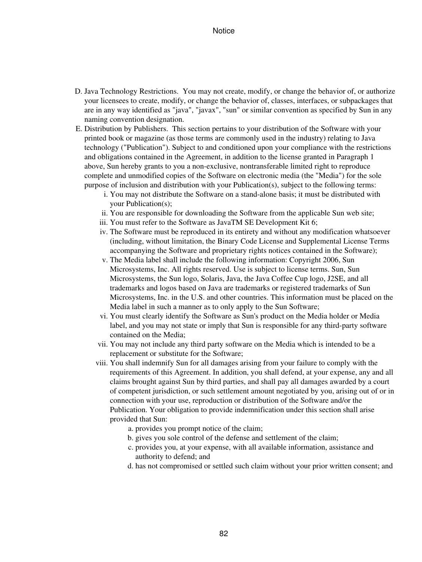- D. Java Technology Restrictions. You may not create, modify, or change the behavior of, or authorize your licensees to create, modify, or change the behavior of, classes, interfaces, or subpackages that are in any way identified as "java", "javax", "sun" or similar convention as specified by Sun in any naming convention designation.
- E. Distribution by Publishers. This section pertains to your distribution of the Software with your printed book or magazine (as those terms are commonly used in the industry) relating to Java technology ("Publication"). Subject to and conditioned upon your compliance with the restrictions and obligations contained in the Agreement, in addition to the license granted in Paragraph 1 above, Sun hereby grants to you a non-exclusive, nontransferable limited right to reproduce complete and unmodified copies of the Software on electronic media (the "Media") for the sole purpose of inclusion and distribution with your Publication(s), subject to the following terms:
	- You may not distribute the Software on a stand-alone basis; it must be distributed with i. your Publication(s);
	- ii. You are responsible for downloading the Software from the applicable Sun web site;
	- iii. You must refer to the Software as JavaTM SE Development Kit 6;
	- iv. The Software must be reproduced in its entirety and without any modification whatsoever (including, without limitation, the Binary Code License and Supplemental License Terms accompanying the Software and proprietary rights notices contained in the Software);
	- v. The Media label shall include the following information: Copyright 2006, Sun Microsystems, Inc. All rights reserved. Use is subject to license terms. Sun, Sun Microsystems, the Sun logo, Solaris, Java, the Java Coffee Cup logo, J2SE, and all trademarks and logos based on Java are trademarks or registered trademarks of Sun Microsystems, Inc. in the U.S. and other countries. This information must be placed on the Media label in such a manner as to only apply to the Sun Software;
	- vi. You must clearly identify the Software as Sun's product on the Media holder or Media label, and you may not state or imply that Sun is responsible for any third-party software contained on the Media;
	- vii. You may not include any third party software on the Media which is intended to be a replacement or substitute for the Software;
	- viii. You shall indemnify Sun for all damages arising from your failure to comply with the requirements of this Agreement. In addition, you shall defend, at your expense, any and all claims brought against Sun by third parties, and shall pay all damages awarded by a court of competent jurisdiction, or such settlement amount negotiated by you, arising out of or in connection with your use, reproduction or distribution of the Software and/or the Publication. Your obligation to provide indemnification under this section shall arise provided that Sun:
		- a. provides you prompt notice of the claim;
		- b. gives you sole control of the defense and settlement of the claim;
		- c. provides you, at your expense, with all available information, assistance and authority to defend; and
		- d. has not compromised or settled such claim without your prior written consent; and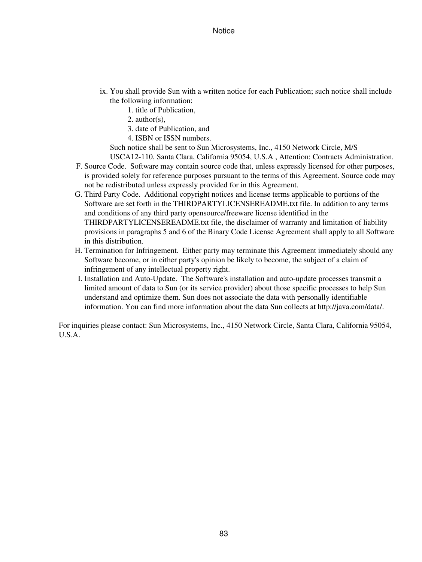- ix. You shall provide Sun with a written notice for each Publication; such notice shall include the following information:
	- 1. title of Publication,
	- 2. author(s),
	- 3. date of Publication, and
	- 4. ISBN or ISSN numbers.

Such notice shall be sent to Sun Microsystems, Inc., 4150 Network Circle, M/S

- USCA12-110, Santa Clara, California 95054, U.S.A , Attention: Contracts Administration. F. Source Code. Software may contain source code that, unless expressly licensed for other purposes, is provided solely for reference purposes pursuant to the terms of this Agreement. Source code may not be redistributed unless expressly provided for in this Agreement.
- G. Third Party Code. Additional copyright notices and license terms applicable to portions of the Software are set forth in the THIRDPARTYLICENSEREADME.txt file. In addition to any terms and conditions of any third party opensource/freeware license identified in the THIRDPARTYLICENSEREADME.txt file, the disclaimer of warranty and limitation of liability provisions in paragraphs 5 and 6 of the Binary Code License Agreement shall apply to all Software in this distribution.
- H. Termination for Infringement. Either party may terminate this Agreement immediately should any Software become, or in either party's opinion be likely to become, the subject of a claim of infringement of any intellectual property right.
- I. Installation and Auto-Update. The Software's installation and auto-update processes transmit a limited amount of data to Sun (or its service provider) about those specific processes to help Sun understand and optimize them. Sun does not associate the data with personally identifiable information. You can find more information about the data Sun collects at http://java.com/data/.

For inquiries please contact: Sun Microsystems, Inc., 4150 Network Circle, Santa Clara, California 95054, U.S.A.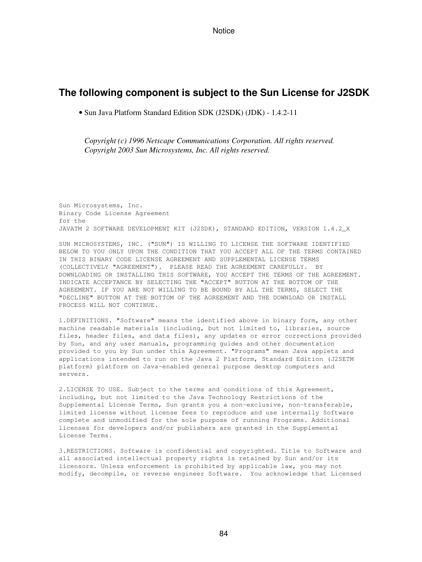### **The following component is subject to the Sun License for J2SDK**

• Sun Java Platform Standard Edition SDK (J2SDK) (JDK) - 1.4.2-11

*Copyright (c) 1996 Netscape Communications Corporation. All rights reserved. Copyright 2003 Sun Microsystems, Inc. All rights reserved.*

Sun Microsystems, Inc. Binary Code License Agreement for the JAVATM 2 SOFTWARE DEVELOPMENT KIT (J2SDK), STANDARD EDITION, VERSION 1.4.2\_X

SUN MICROSYSTEMS, INC. ("SUN") IS WILLING TO LICENSE THE SOFTWARE IDENTIFIED BELOW TO YOU ONLY UPON THE CONDITION THAT YOU ACCEPT ALL OF THE TERMS CONTAINED IN THIS BINARY CODE LICENSE AGREEMENT AND SUPPLEMENTAL LICENSE TERMS (COLLECTIVELY "AGREEMENT"). PLEASE READ THE AGREEMENT CAREFULLY. BY DOWNLOADING OR INSTALLING THIS SOFTWARE, YOU ACCEPT THE TERMS OF THE AGREEMENT. INDICATE ACCEPTANCE BY SELECTING THE "ACCEPT" BUTTON AT THE BOTTOM OF THE AGREEMENT. IF YOU ARE NOT WILLING TO BE BOUND BY ALL THE TERMS, SELECT THE "DECLINE" BUTTON AT THE BOTTOM OF THE AGREEMENT AND THE DOWNLOAD OR INSTALL PROCESS WILL NOT CONTINUE.

1.DEFINITIONS. "Software" means the identified above in binary form, any other machine readable materials (including, but not limited to, libraries, source files, header files, and data files), any updates or error corrections provided by Sun, and any user manuals, programming guides and other documentation provided to you by Sun under this Agreement. "Programs" mean Java applets and applications intended to run on the Java 2 Platform, Standard Edition (J2SETM platform) platform on Java-enabled general purpose desktop computers and servers.

2.LICENSE TO USE. Subject to the terms and conditions of this Agreement, including, but not limited to the Java Technology Restrictions of the Supplemental License Terms, Sun grants you a non-exclusive, non-transferable, limited license without license fees to reproduce and use internally Software complete and unmodified for the sole purpose of running Programs. Additional licenses for developers and/or publishers are granted in the Supplemental License Terms.

3.RESTRICTIONS. Software is confidential and copyrighted. Title to Software and all associated intellectual property rights is retained by Sun and/or its licensors. Unless enforcement is prohibited by applicable law, you may not modify, decompile, or reverse engineer Software. You acknowledge that Licensed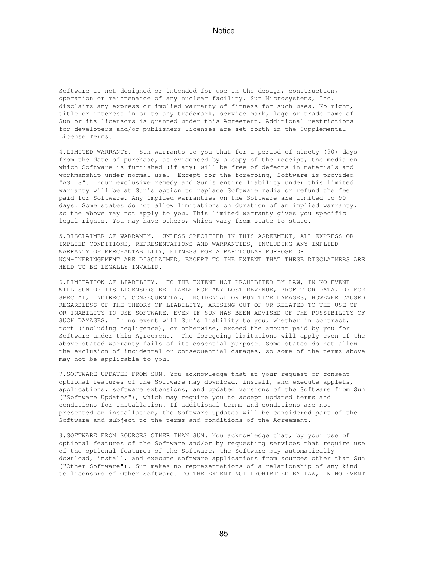Software is not designed or intended for use in the design, construction, operation or maintenance of any nuclear facility. Sun Microsystems, Inc. disclaims any express or implied warranty of fitness for such uses. No right, title or interest in or to any trademark, service mark, logo or trade name of Sun or its licensors is granted under this Agreement. Additional restrictions for developers and/or publishers licenses are set forth in the Supplemental License Terms.

4.LIMITED WARRANTY. Sun warrants to you that for a period of ninety (90) days from the date of purchase, as evidenced by a copy of the receipt, the media on which Software is furnished (if any) will be free of defects in materials and workmanship under normal use. Except for the foregoing, Software is provided "AS IS". Your exclusive remedy and Sun's entire liability under this limited warranty will be at Sun's option to replace Software media or refund the fee paid for Software. Any implied warranties on the Software are limited to 90 days. Some states do not allow limitations on duration of an implied warranty, so the above may not apply to you. This limited warranty gives you specific legal rights. You may have others, which vary from state to state.

5.DISCLAIMER OF WARRANTY. UNLESS SPECIFIED IN THIS AGREEMENT, ALL EXPRESS OR IMPLIED CONDITIONS, REPRESENTATIONS AND WARRANTIES, INCLUDING ANY IMPLIED WARRANTY OF MERCHANTABILITY, FITNESS FOR A PARTICULAR PURPOSE OR NON-INFRINGEMENT ARE DISCLAIMED, EXCEPT TO THE EXTENT THAT THESE DISCLAIMERS ARE HELD TO BE LEGALLY INVALID.

6.LIMITATION OF LIABILITY. TO THE EXTENT NOT PROHIBITED BY LAW, IN NO EVENT WILL SUN OR ITS LICENSORS BE LIABLE FOR ANY LOST REVENUE, PROFIT OR DATA, OR FOR SPECIAL, INDIRECT, CONSEQUENTIAL, INCIDENTAL OR PUNITIVE DAMAGES, HOWEVER CAUSED REGARDLESS OF THE THEORY OF LIABILITY, ARISING OUT OF OR RELATED TO THE USE OF OR INABILITY TO USE SOFTWARE, EVEN IF SUN HAS BEEN ADVISED OF THE POSSIBILITY OF SUCH DAMAGES. In no event will Sun's liability to you, whether in contract, tort (including negligence), or otherwise, exceed the amount paid by you for Software under this Agreement. The foregoing limitations will apply even if the above stated warranty fails of its essential purpose. Some states do not allow the exclusion of incidental or consequential damages, so some of the terms above may not be applicable to you.

7.SOFTWARE UPDATES FROM SUN. You acknowledge that at your request or consent optional features of the Software may download, install, and execute applets, applications, software extensions, and updated versions of the Software from Sun ("Software Updates"), which may require you to accept updated terms and conditions for installation. If additional terms and conditions are not presented on installation, the Software Updates will be considered part of the Software and subject to the terms and conditions of the Agreement.

8.SOFTWARE FROM SOURCES OTHER THAN SUN. You acknowledge that, by your use of optional features of the Software and/or by requesting services that require use of the optional features of the Software, the Software may automatically download, install, and execute software applications from sources other than Sun ("Other Software"). Sun makes no representations of a relationship of any kind to licensors of Other Software. TO THE EXTENT NOT PROHIBITED BY LAW, IN NO EVENT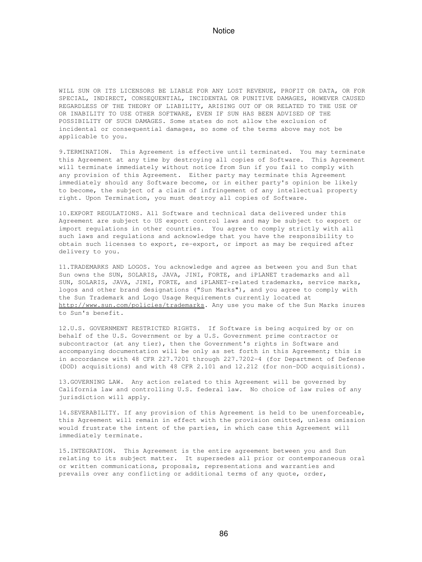WILL SUN OR ITS LICENSORS BE LIABLE FOR ANY LOST REVENUE, PROFIT OR DATA, OR FOR SPECIAL, INDIRECT, CONSEQUENTIAL, INCIDENTAL OR PUNITIVE DAMAGES, HOWEVER CAUSED REGARDLESS OF THE THEORY OF LIABILITY, ARISING OUT OF OR RELATED TO THE USE OF OR INABILITY TO USE OTHER SOFTWARE, EVEN IF SUN HAS BEEN ADVISED OF THE POSSIBILITY OF SUCH DAMAGES. Some states do not allow the exclusion of incidental or consequential damages, so some of the terms above may not be applicable to you.

9.TERMINATION. This Agreement is effective until terminated. You may terminate this Agreement at any time by destroying all copies of Software. This Agreement will terminate immediately without notice from Sun if you fail to comply with any provision of this Agreement. Either party may terminate this Agreement immediately should any Software become, or in either party's opinion be likely to become, the subject of a claim of infringement of any intellectual property right. Upon Termination, you must destroy all copies of Software.

10.EXPORT REGULATIONS. All Software and technical data delivered under this Agreement are subject to US export control laws and may be subject to export or import regulations in other countries. You agree to comply strictly with all such laws and regulations and acknowledge that you have the responsibility to obtain such licenses to export, re-export, or import as may be required after delivery to you.

11.TRADEMARKS AND LOGOS. You acknowledge and agree as between you and Sun that Sun owns the SUN, SOLARIS, JAVA, JINI, FORTE, and iPLANET trademarks and all SUN, SOLARIS, JAVA, JINI, FORTE, and iPLANET-related trademarks, service marks, logos and other brand designations ("Sun Marks"), and you agree to comply with the Sun Trademark and Logo Usage Requirements currently located at <http://www.sun.com/policies/trademarks>. Any use you make of the Sun Marks inures to Sun's benefit.

12.U.S. GOVERNMENT RESTRICTED RIGHTS. If Software is being acquired by or on behalf of the U.S. Government or by a U.S. Government prime contractor or subcontractor (at any tier), then the Government's rights in Software and accompanying documentation will be only as set forth in this Agreement; this is in accordance with 48 CFR 227.7201 through 227.7202-4 (for Department of Defense (DOD) acquisitions) and with 48 CFR 2.101 and 12.212 (for non-DOD acquisitions).

13.GOVERNING LAW. Any action related to this Agreement will be governed by California law and controlling U.S. federal law. No choice of law rules of any jurisdiction will apply.

14.SEVERABILITY. If any provision of this Agreement is held to be unenforceable, this Agreement will remain in effect with the provision omitted, unless omission would frustrate the intent of the parties, in which case this Agreement will immediately terminate.

15.INTEGRATION. This Agreement is the entire agreement between you and Sun relating to its subject matter. It supersedes all prior or contemporaneous oral or written communications, proposals, representations and warranties and prevails over any conflicting or additional terms of any quote, order,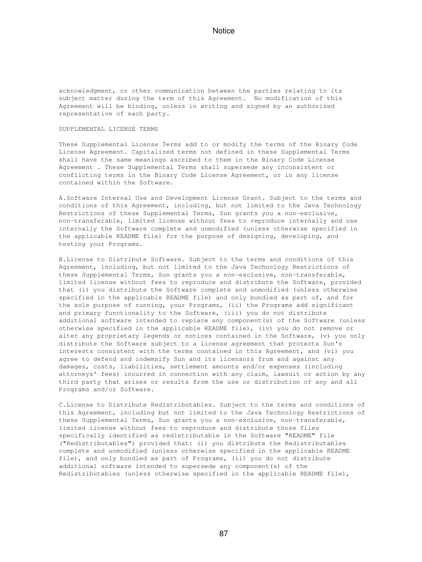acknowledgment, or other communication between the parties relating to its subject matter during the term of this Agreement. No modification of this Agreement will be binding, unless in writing and signed by an authorized representative of each party.

#### SUPPLEMENTAL LICENSE TERMS

These Supplemental License Terms add to or modify the terms of the Binary Code License Agreement. Capitalized terms not defined in these Supplemental Terms shall have the same meanings ascribed to them in the Binary Code License Agreement . These Supplemental Terms shall supersede any inconsistent or conflicting terms in the Binary Code License Agreement, or in any license contained within the Software.

A.Software Internal Use and Development License Grant. Subject to the terms and conditions of this Agreement, including, but not limited to the Java Technology Restrictions of these Supplemental Terms, Sun grants you a non-exclusive, non-transferable, limited license without fees to reproduce internally and use internally the Software complete and unmodified (unless otherwise specified in the applicable README file) for the purpose of designing, developing, and testing your Programs.

B.License to Distribute Software. Subject to the terms and conditions of this Agreement, including, but not limited to the Java Technology Restrictions of these Supplemental Terms, Sun grants you a non-exclusive, non-transferable, limited license without fees to reproduce and distribute the Software, provided that (i) you distribute the Software complete and unmodified (unless otherwise specified in the applicable README file) and only bundled as part of, and for the sole purpose of running, your Programs, (ii) the Programs add significant and primary functionality to the Software, (iii) you do not distribute additional software intended to replace any component(s) of the Software (unless otherwise specified in the applicable README file), (iv) you do not remove or alter any proprietary legends or notices contained in the Software, (v) you only distribute the Software subject to a license agreement that protects Sun's interests consistent with the terms contained in this Agreement, and (vi) you agree to defend and indemnify Sun and its licensors from and against any damages, costs, liabilities, settlement amounts and/or expenses (including attorneys' fees) incurred in connection with any claim, lawsuit or action by any third party that arises or results from the use or distribution of any and all Programs and/or Software.

C.License to Distribute Redistributables. Subject to the terms and conditions of this Agreement, including but not limited to the Java Technology Restrictions of these Supplemental Terms, Sun grants you a non-exclusive, non-transferable, limited license without fees to reproduce and distribute those files specifically identified as redistributable in the Software "README" file ("Redistributables") provided that: (i) you distribute the Redistributables complete and unmodified (unless otherwise specified in the applicable README file), and only bundled as part of Programs, (ii) you do not distribute additional software intended to supersede any component(s) of the Redistributables (unless otherwise specified in the applicable README file),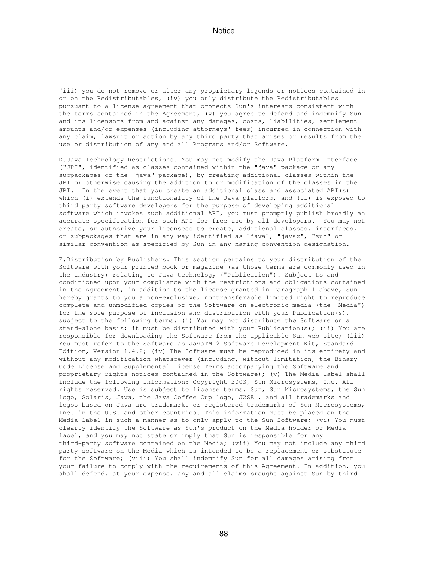(iii) you do not remove or alter any proprietary legends or notices contained in or on the Redistributables, (iv) you only distribute the Redistributables pursuant to a license agreement that protects Sun's interests consistent with the terms contained in the Agreement, (v) you agree to defend and indemnify Sun and its licensors from and against any damages, costs, liabilities, settlement amounts and/or expenses (including attorneys' fees) incurred in connection with any claim, lawsuit or action by any third party that arises or results from the use or distribution of any and all Programs and/or Software.

D.Java Technology Restrictions. You may not modify the Java Platform Interface ("JPI", identified as classes contained within the "java" package or any subpackages of the "java" package), by creating additional classes within the JPI or otherwise causing the addition to or modification of the classes in the JPI. In the event that you create an additional class and associated API(s) which (i) extends the functionality of the Java platform, and (ii) is exposed to third party software developers for the purpose of developing additional software which invokes such additional API, you must promptly publish broadly an accurate specification for such API for free use by all developers. You may not create, or authorize your licensees to create, additional classes, interfaces, or subpackages that are in any way identified as "java", "javax", "sun" or similar convention as specified by Sun in any naming convention designation.

E.Distribution by Publishers. This section pertains to your distribution of the Software with your printed book or magazine (as those terms are commonly used in the industry) relating to Java technology ("Publication"). Subject to and conditioned upon your compliance with the restrictions and obligations contained in the Agreement, in addition to the license granted in Paragraph 1 above, Sun hereby grants to you a non-exclusive, nontransferable limited right to reproduce complete and unmodified copies of the Software on electronic media (the "Media") for the sole purpose of inclusion and distribution with your Publication(s), subject to the following terms: (i) You may not distribute the Software on a stand-alone basis; it must be distributed with your Publication(s); (ii) You are responsible for downloading the Software from the applicable Sun web site; (iii) You must refer to the Software as JavaTM 2 Software Development Kit, Standard Edition, Version 1.4.2; (iv) The Software must be reproduced in its entirety and without any modification whatsoever (including, without limitation, the Binary Code License and Supplemental License Terms accompanying the Software and proprietary rights notices contained in the Software); (v) The Media label shall include the following information: Copyright 2003, Sun Microsystems, Inc. All rights reserved. Use is subject to license terms. Sun, Sun Microsystems, the Sun logo, Solaris, Java, the Java Coffee Cup logo, J2SE , and all trademarks and logos based on Java are trademarks or registered trademarks of Sun Microsystems, Inc. in the U.S. and other countries. This information must be placed on the Media label in such a manner as to only apply to the Sun Software; (vi) You must clearly identify the Software as Sun's product on the Media holder or Media label, and you may not state or imply that Sun is responsible for any third-party software contained on the Media; (vii) You may not include any third party software on the Media which is intended to be a replacement or substitute for the Software; (viii) You shall indemnify Sun for all damages arising from your failure to comply with the requirements of this Agreement. In addition, you shall defend, at your expense, any and all claims brought against Sun by third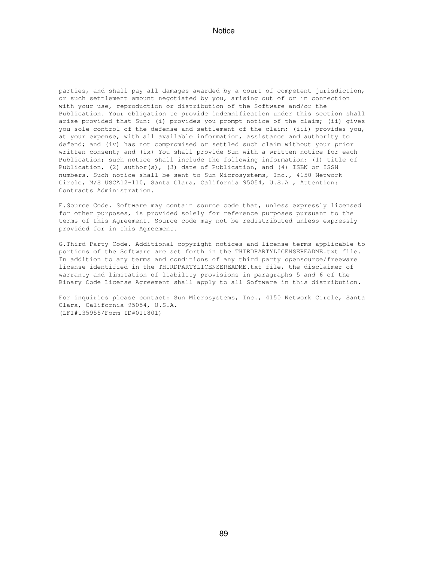parties, and shall pay all damages awarded by a court of competent jurisdiction, or such settlement amount negotiated by you, arising out of or in connection with your use, reproduction or distribution of the Software and/or the Publication. Your obligation to provide indemnification under this section shall arise provided that Sun: (i) provides you prompt notice of the claim; (ii) gives you sole control of the defense and settlement of the claim; (iii) provides you, at your expense, with all available information, assistance and authority to defend; and (iv) has not compromised or settled such claim without your prior written consent; and (ix) You shall provide Sun with a written notice for each Publication; such notice shall include the following information: (1) title of Publication, (2) author(s), (3) date of Publication, and (4) ISBN or ISSN numbers. Such notice shall be sent to Sun Microsystems, Inc., 4150 Network Circle, M/S USCA12-110, Santa Clara, California 95054, U.S.A , Attention: Contracts Administration.

F.Source Code. Software may contain source code that, unless expressly licensed for other purposes, is provided solely for reference purposes pursuant to the terms of this Agreement. Source code may not be redistributed unless expressly provided for in this Agreement.

G.Third Party Code. Additional copyright notices and license terms applicable to portions of the Software are set forth in the THIRDPARTYLICENSEREADME.txt file. In addition to any terms and conditions of any third party opensource/freeware license identified in the THIRDPARTYLICENSEREADME.txt file, the disclaimer of warranty and limitation of liability provisions in paragraphs 5 and 6 of the Binary Code License Agreement shall apply to all Software in this distribution.

For inquiries please contact: Sun Microsystems, Inc., 4150 Network Circle, Santa Clara, California 95054, U.S.A. (LFI#135955/Form ID#011801)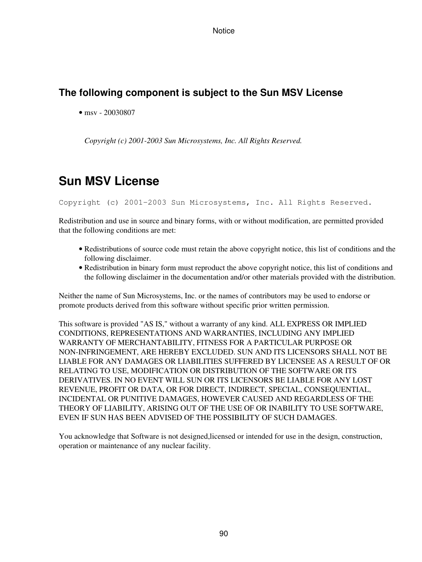## **The following component is subject to the Sun MSV License**

• msv - 20030807

*Copyright (c) 2001-2003 Sun Microsystems, Inc. All Rights Reserved.*

## **Sun MSV License**

Copyright (c) 2001-2003 Sun Microsystems, Inc. All Rights Reserved.

Redistribution and use in source and binary forms, with or without modification, are permitted provided that the following conditions are met:

- Redistributions of source code must retain the above copyright notice, this list of conditions and the following disclaimer.
- Redistribution in binary form must reproduct the above copyright notice, this list of conditions and the following disclaimer in the documentation and/or other materials provided with the distribution.

Neither the name of Sun Microsystems, Inc. or the names of contributors may be used to endorse or promote products derived from this software without specific prior written permission.

This software is provided "AS IS," without a warranty of any kind. ALL EXPRESS OR IMPLIED CONDITIONS, REPRESENTATIONS AND WARRANTIES, INCLUDING ANY IMPLIED WARRANTY OF MERCHANTABILITY, FITNESS FOR A PARTICULAR PURPOSE OR NON-INFRINGEMENT, ARE HEREBY EXCLUDED. SUN AND ITS LICENSORS SHALL NOT BE LIABLE FOR ANY DAMAGES OR LIABILITIES SUFFERED BY LICENSEE AS A RESULT OF OR RELATING TO USE, MODIFICATION OR DISTRIBUTION OF THE SOFTWARE OR ITS DERIVATIVES. IN NO EVENT WILL SUN OR ITS LICENSORS BE LIABLE FOR ANY LOST REVENUE, PROFIT OR DATA, OR FOR DIRECT, INDIRECT, SPECIAL, CONSEQUENTIAL, INCIDENTAL OR PUNITIVE DAMAGES, HOWEVER CAUSED AND REGARDLESS OF THE THEORY OF LIABILITY, ARISING OUT OF THE USE OF OR INABILITY TO USE SOFTWARE, EVEN IF SUN HAS BEEN ADVISED OF THE POSSIBILITY OF SUCH DAMAGES.

You acknowledge that Software is not designed,licensed or intended for use in the design, construction, operation or maintenance of any nuclear facility.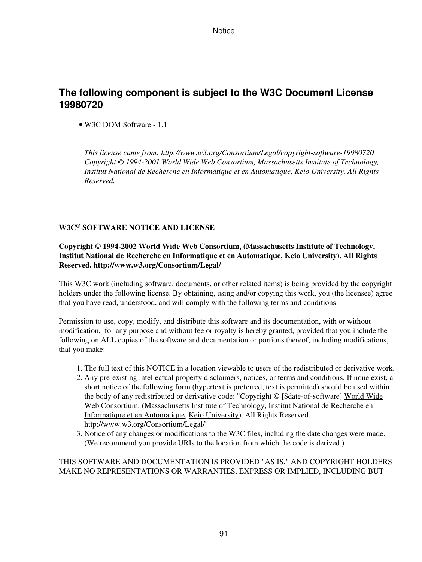### **The following component is subject to the W3C Document License 19980720**

• W3C DOM Software - 1.1

*This license came from: http://www.w3.org/Consortium/Legal/copyright-software-19980720 Copyright © 1994-2001 World Wide Web Consortium, Massachusetts Institute of Technology, Institut National de Recherche en Informatique et en Automatique, Keio University. All Rights Reserved.*

### **W3C® SOFTWARE NOTICE AND LICENSE**

### **Copyright © 1994-2002 [World Wide Web Consortium,](http://www.w3.org/) ([Massachusetts Institute of Technology](http://www.lcs.mit.edu/), [Institut National de Recherche en Informatique et en Automatique,](http://www.inria.fr/) [Keio University\)](http://www.keio.ac.jp/). All Rights Reserved. http://www.w3.org/Consortium/Legal/**

This W3C work (including software, documents, or other related items) is being provided by the copyright holders under the following license. By obtaining, using and/or copying this work, you (the licensee) agree that you have read, understood, and will comply with the following terms and conditions:

Permission to use, copy, modify, and distribute this software and its documentation, with or without modification, for any purpose and without fee or royalty is hereby granted, provided that you include the following on ALL copies of the software and documentation or portions thereof, including modifications, that you make:

- 1. The full text of this NOTICE in a location viewable to users of the redistributed or derivative work.
- 2. Any pre-existing intellectual property disclaimers, notices, or terms and conditions. If none exist, a short notice of the following form (hypertext is preferred, text is permitted) should be used within the body of any redistributed or derivative code: "Copyright © [\$date-of-software] [World Wide](http://www.w3.org/) [Web Consortium](http://www.w3.org/), ([Massachusetts Institute of Technology](http://www.lcs.mit.edu/), [Institut National de Recherche en](http://www.inria.fr/) [Informatique et en Automatique](http://www.inria.fr/), [Keio University](http://www.keio.ac.jp/)). All Rights Reserved. http://www.w3.org/Consortium/Legal/"
- 3. Notice of any changes or modifications to the W3C files, including the date changes were made. (We recommend you provide URIs to the location from which the code is derived.)

THIS SOFTWARE AND DOCUMENTATION IS PROVIDED "AS IS," AND COPYRIGHT HOLDERS MAKE NO REPRESENTATIONS OR WARRANTIES, EXPRESS OR IMPLIED, INCLUDING BUT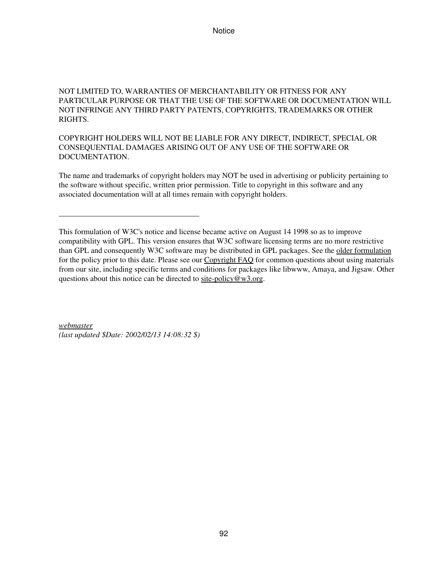#### NOT LIMITED TO, WARRANTIES OF MERCHANTABILITY OR FITNESS FOR ANY PARTICULAR PURPOSE OR THAT THE USE OF THE SOFTWARE OR DOCUMENTATION WILL NOT INFRINGE ANY THIRD PARTY PATENTS, COPYRIGHTS, TRADEMARKS OR OTHER RIGHTS.

COPYRIGHT HOLDERS WILL NOT BE LIABLE FOR ANY DIRECT, INDIRECT, SPECIAL OR CONSEQUENTIAL DAMAGES ARISING OUT OF ANY USE OF THE SOFTWARE OR DOCUMENTATION.

The name and trademarks of copyright holders may NOT be used in advertising or publicity pertaining to the software without specific, written prior permission. Title to copyright in this software and any associated documentation will at all times remain with copyright holders.

This formulation of W3C's notice and license became active on August 14 1998 so as to improve compatibility with GPL. This version ensures that W3C software licensing terms are no more restrictive than GPL and consequently W3C software may be distributed in GPL packages. See the [older formulation](http://www.w3.org/Consortium/Legal/copyright-software-19980519.html) for the policy prior to this date. Please see our [Copyright FAQ](http://www.w3.org/Consortium/Legal/IPR-FAQ.html) for common questions about using materials from our site, including specific terms and conditions for packages like libwww, Amaya, and Jigsaw. Other questions about this notice can be directed to  $\text{site-policy@w3.org}$ .

*[webmaster](http://www.w3.org/Help/Webmaster.html) (last updated \$Date: 2002/02/13 14:08:32 \$)*

\_\_\_\_\_\_\_\_\_\_\_\_\_\_\_\_\_\_\_\_\_\_\_\_\_\_\_\_\_\_\_\_\_\_\_\_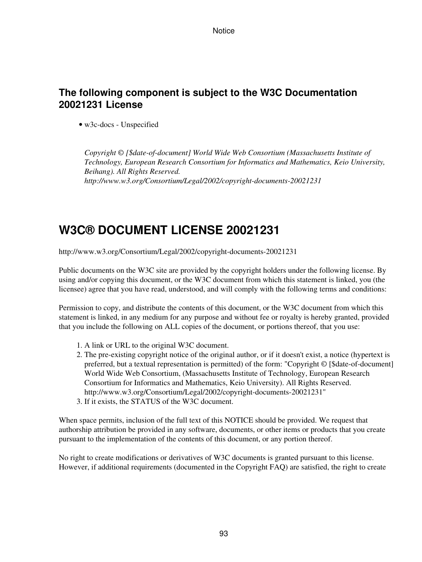### **The following component is subject to the W3C Documentation 20021231 License**

• w3c-docs - Unspecified

*Copyright © [\$date-of-document] World Wide Web Consortium (Massachusetts Institute of Technology, European Research Consortium for Informatics and Mathematics, Keio University, Beihang). All Rights Reserved. http://www.w3.org/Consortium/Legal/2002/copyright-documents-20021231*

# **W3C® DOCUMENT LICENSE 20021231**

http://www.w3.org/Consortium/Legal/2002/copyright-documents-20021231

Public documents on the W3C site are provided by the copyright holders under the following license. By using and/or copying this document, or the W3C document from which this statement is linked, you (the licensee) agree that you have read, understood, and will comply with the following terms and conditions:

Permission to copy, and distribute the contents of this document, or the W3C document from which this statement is linked, in any medium for any purpose and without fee or royalty is hereby granted, provided that you include the following on ALL copies of the document, or portions thereof, that you use:

- 1. A link or URL to the original W3C document.
- 2. The pre-existing copyright notice of the original author, or if it doesn't exist, a notice (hypertext is preferred, but a textual representation is permitted) of the form: "Copyright © [\$date-of-document] World Wide Web Consortium, (Massachusetts Institute of Technology, European Research Consortium for Informatics and Mathematics, Keio University). All Rights Reserved. http://www.w3.org/Consortium/Legal/2002/copyright-documents-20021231"
- 3. If it exists, the STATUS of the W3C document.

When space permits, inclusion of the full text of this NOTICE should be provided. We request that authorship attribution be provided in any software, documents, or other items or products that you create pursuant to the implementation of the contents of this document, or any portion thereof.

No right to create modifications or derivatives of W3C documents is granted pursuant to this license. However, if additional requirements (documented in the Copyright FAQ) are satisfied, the right to create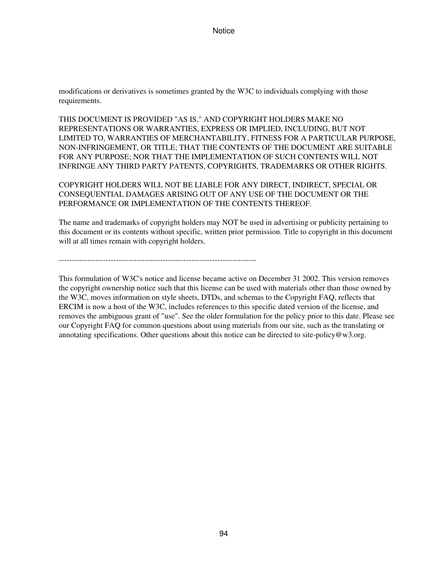modifications or derivatives is sometimes granted by the W3C to individuals complying with those requirements.

THIS DOCUMENT IS PROVIDED "AS IS," AND COPYRIGHT HOLDERS MAKE NO REPRESENTATIONS OR WARRANTIES, EXPRESS OR IMPLIED, INCLUDING, BUT NOT LIMITED TO, WARRANTIES OF MERCHANTABILITY, FITNESS FOR A PARTICULAR PURPOSE, NON-INFRINGEMENT, OR TITLE; THAT THE CONTENTS OF THE DOCUMENT ARE SUITABLE FOR ANY PURPOSE; NOR THAT THE IMPLEMENTATION OF SUCH CONTENTS WILL NOT INFRINGE ANY THIRD PARTY PATENTS, COPYRIGHTS, TRADEMARKS OR OTHER RIGHTS.

COPYRIGHT HOLDERS WILL NOT BE LIABLE FOR ANY DIRECT, INDIRECT, SPECIAL OR CONSEQUENTIAL DAMAGES ARISING OUT OF ANY USE OF THE DOCUMENT OR THE PERFORMANCE OR IMPLEMENTATION OF THE CONTENTS THEREOF.

The name and trademarks of copyright holders may NOT be used in advertising or publicity pertaining to this document or its contents without specific, written prior permission. Title to copyright in this document will at all times remain with copyright holders.

----------------------------------------------------------------------------

This formulation of W3C's notice and license became active on December 31 2002. This version removes the copyright ownership notice such that this license can be used with materials other than those owned by the W3C, moves information on style sheets, DTDs, and schemas to the Copyright FAQ, reflects that ERCIM is now a host of the W3C, includes references to this specific dated version of the license, and removes the ambiguous grant of "use". See the older formulation for the policy prior to this date. Please see our Copyright FAQ for common questions about using materials from our site, such as the translating or annotating specifications. Other questions about this notice can be directed to site-policy@w3.org.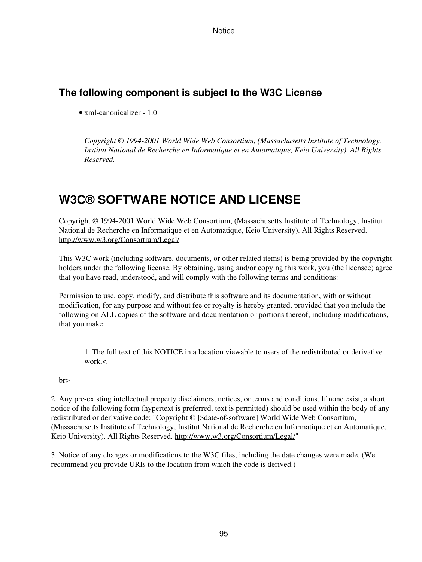## **The following component is subject to the W3C License**

• xml-canonicalizer - 1.0

*Copyright © 1994-2001 World Wide Web Consortium, (Massachusetts Institute of Technology, Institut National de Recherche en Informatique et en Automatique, Keio University). All Rights Reserved.*

# **W3C® SOFTWARE NOTICE AND LICENSE**

Copyright © 1994-2001 World Wide Web Consortium, (Massachusetts Institute of Technology, Institut National de Recherche en Informatique et en Automatique, Keio University). All Rights Reserved. <http://www.w3.org/Consortium/Legal/>

This W3C work (including software, documents, or other related items) is being provided by the copyright holders under the following license. By obtaining, using and/or copying this work, you (the licensee) agree that you have read, understood, and will comply with the following terms and conditions:

Permission to use, copy, modify, and distribute this software and its documentation, with or without modification, for any purpose and without fee or royalty is hereby granted, provided that you include the following on ALL copies of the software and documentation or portions thereof, including modifications, that you make:

1. The full text of this NOTICE in a location viewable to users of the redistributed or derivative work.<

br>

2. Any pre-existing intellectual property disclaimers, notices, or terms and conditions. If none exist, a short notice of the following form (hypertext is preferred, text is permitted) should be used within the body of any redistributed or derivative code: "Copyright © [\$date-of-software] World Wide Web Consortium, (Massachusetts Institute of Technology, Institut National de Recherche en Informatique et en Automatique, Keio University). All Rights Reserved.<http://www.w3.org/Consortium/Legal/>"

3. Notice of any changes or modifications to the W3C files, including the date changes were made. (We recommend you provide URIs to the location from which the code is derived.)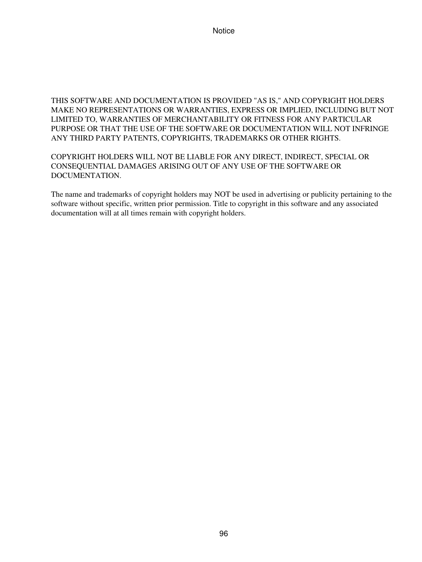THIS SOFTWARE AND DOCUMENTATION IS PROVIDED "AS IS," AND COPYRIGHT HOLDERS MAKE NO REPRESENTATIONS OR WARRANTIES, EXPRESS OR IMPLIED, INCLUDING BUT NOT LIMITED TO, WARRANTIES OF MERCHANTABILITY OR FITNESS FOR ANY PARTICULAR PURPOSE OR THAT THE USE OF THE SOFTWARE OR DOCUMENTATION WILL NOT INFRINGE ANY THIRD PARTY PATENTS, COPYRIGHTS, TRADEMARKS OR OTHER RIGHTS.

COPYRIGHT HOLDERS WILL NOT BE LIABLE FOR ANY DIRECT, INDIRECT, SPECIAL OR CONSEQUENTIAL DAMAGES ARISING OUT OF ANY USE OF THE SOFTWARE OR DOCUMENTATION.

The name and trademarks of copyright holders may NOT be used in advertising or publicity pertaining to the software without specific, written prior permission. Title to copyright in this software and any associated documentation will at all times remain with copyright holders.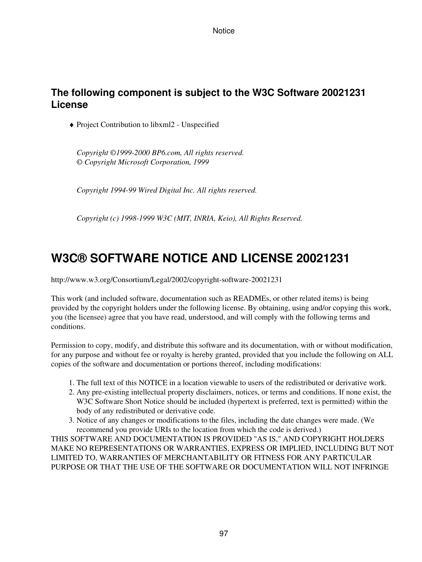### **The following component is subject to the W3C Software 20021231 License**

♦ Project Contribution to libxml2 - Unspecified

*Copyright ©1999-2000 BP6.com, All rights reserved. © Copyright Microsoft Corporation, 1999*

*Copyright 1994-99 Wired Digital Inc. All rights reserved.*

*Copyright (c) 1998-1999 W3C (MIT, INRIA, Keio), All Rights Reserved.*

# **W3C® SOFTWARE NOTICE AND LICENSE 20021231**

http://www.w3.org/Consortium/Legal/2002/copyright-software-20021231

This work (and included software, documentation such as READMEs, or other related items) is being provided by the copyright holders under the following license. By obtaining, using and/or copying this work, you (the licensee) agree that you have read, understood, and will comply with the following terms and conditions.

Permission to copy, modify, and distribute this software and its documentation, with or without modification, for any purpose and without fee or royalty is hereby granted, provided that you include the following on ALL copies of the software and documentation or portions thereof, including modifications:

- 1. The full text of this NOTICE in a location viewable to users of the redistributed or derivative work.
- 2. Any pre-existing intellectual property disclaimers, notices, or terms and conditions. If none exist, the W3C Software Short Notice should be included (hypertext is preferred, text is permitted) within the body of any redistributed or derivative code.
- 3. Notice of any changes or modifications to the files, including the date changes were made. (We recommend you provide URIs to the location from which the code is derived.)

THIS SOFTWARE AND DOCUMENTATION IS PROVIDED "AS IS," AND COPYRIGHT HOLDERS MAKE NO REPRESENTATIONS OR WARRANTIES, EXPRESS OR IMPLIED, INCLUDING BUT NOT LIMITED TO, WARRANTIES OF MERCHANTABILITY OR FITNESS FOR ANY PARTICULAR PURPOSE OR THAT THE USE OF THE SOFTWARE OR DOCUMENTATION WILL NOT INFRINGE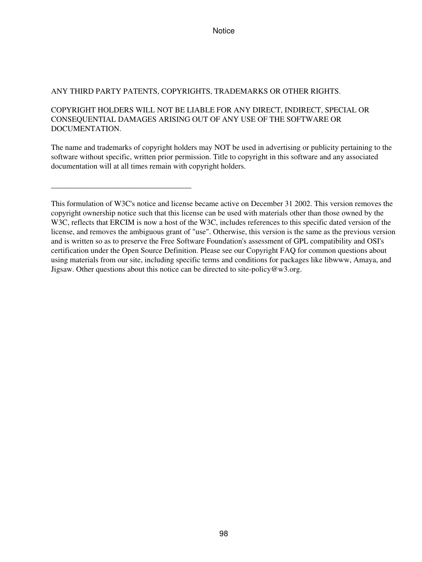### ANY THIRD PARTY PATENTS, COPYRIGHTS, TRADEMARKS OR OTHER RIGHTS.

\_\_\_\_\_\_\_\_\_\_\_\_\_\_\_\_\_\_\_\_\_\_\_\_\_\_\_\_\_\_\_\_\_\_\_\_

### COPYRIGHT HOLDERS WILL NOT BE LIABLE FOR ANY DIRECT, INDIRECT, SPECIAL OR CONSEQUENTIAL DAMAGES ARISING OUT OF ANY USE OF THE SOFTWARE OR DOCUMENTATION.

The name and trademarks of copyright holders may NOT be used in advertising or publicity pertaining to the software without specific, written prior permission. Title to copyright in this software and any associated documentation will at all times remain with copyright holders.

This formulation of W3C's notice and license became active on December 31 2002. This version removes the copyright ownership notice such that this license can be used with materials other than those owned by the W3C, reflects that ERCIM is now a host of the W3C, includes references to this specific dated version of the license, and removes the ambiguous grant of "use". Otherwise, this version is the same as the previous version and is written so as to preserve the Free Software Foundation's assessment of GPL compatibility and OSI's certification under the Open Source Definition. Please see our Copyright FAQ for common questions about using materials from our site, including specific terms and conditions for packages like libwww, Amaya, and Jigsaw. Other questions about this notice can be directed to site-policy@w3.org.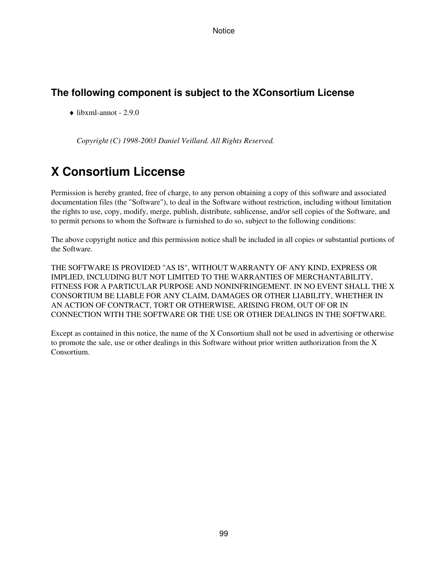## **The following component is subject to the XConsortium License**

 $\triangleleft$  libxml-annot - 2.9.0

*Copyright (C) 1998-2003 Daniel Veillard. All Rights Reserved.*

# **X Consortium Liccense**

Permission is hereby granted, free of charge, to any person obtaining a copy of this software and associated documentation files (the "Software"), to deal in the Software without restriction, including without limitation the rights to use, copy, modify, merge, publish, distribute, sublicense, and/or sell copies of the Software, and to permit persons to whom the Software is furnished to do so, subject to the following conditions:

The above copyright notice and this permission notice shall be included in all copies or substantial portions of the Software.

THE SOFTWARE IS PROVIDED "AS IS", WITHOUT WARRANTY OF ANY KIND, EXPRESS OR IMPLIED, INCLUDING BUT NOT LIMITED TO THE WARRANTIES OF MERCHANTABILITY, FITNESS FOR A PARTICULAR PURPOSE AND NONINFRINGEMENT. IN NO EVENT SHALL THE X CONSORTIUM BE LIABLE FOR ANY CLAIM, DAMAGES OR OTHER LIABILITY, WHETHER IN AN ACTION OF CONTRACT, TORT OR OTHERWISE, ARISING FROM, OUT OF OR IN CONNECTION WITH THE SOFTWARE OR THE USE OR OTHER DEALINGS IN THE SOFTWARE.

Except as contained in this notice, the name of the X Consortium shall not be used in advertising or otherwise to promote the sale, use or other dealings in this Software without prior written authorization from the X Consortium.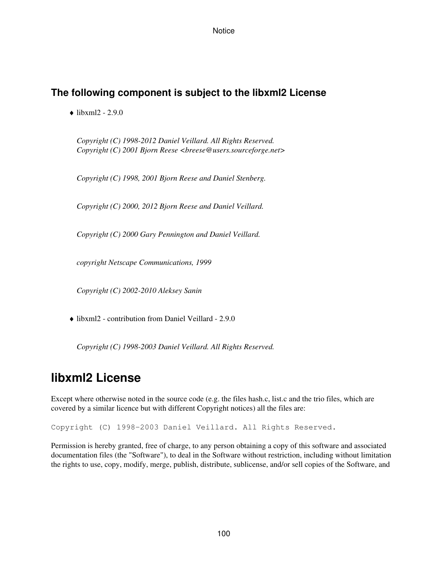### **The following component is subject to the libxml2 License**

 $\triangle$  libxml2 - 2.9.0

*Copyright (C) 1998-2012 Daniel Veillard. All Rights Reserved. Copyright (C) 2001 Bjorn Reese <breese@users.sourceforge.net>*

*Copyright (C) 1998, 2001 Bjorn Reese and Daniel Stenberg.*

*Copyright (C) 2000, 2012 Bjorn Reese and Daniel Veillard.*

*Copyright (C) 2000 Gary Pennington and Daniel Veillard.*

*copyright Netscape Communications, 1999*

*Copyright (C) 2002-2010 Aleksey Sanin*

♦ libxml2 - contribution from Daniel Veillard - 2.9.0

*Copyright (C) 1998-2003 Daniel Veillard. All Rights Reserved.*

## **libxml2 License**

Except where otherwise noted in the source code (e.g. the files hash.c, list.c and the trio files, which are covered by a similar licence but with different Copyright notices) all the files are:

Copyright (C) 1998-2003 Daniel Veillard. All Rights Reserved.

Permission is hereby granted, free of charge, to any person obtaining a copy of this software and associated documentation files (the "Software"), to deal in the Software without restriction, including without limitation the rights to use, copy, modify, merge, publish, distribute, sublicense, and/or sell copies of the Software, and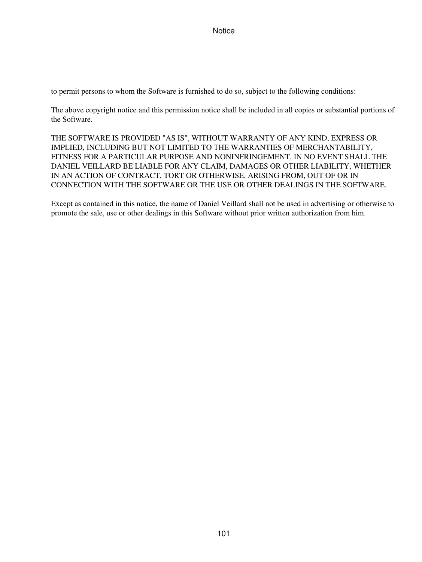to permit persons to whom the Software is furnished to do so, subject to the following conditions:

The above copyright notice and this permission notice shall be included in all copies or substantial portions of the Software.

THE SOFTWARE IS PROVIDED "AS IS", WITHOUT WARRANTY OF ANY KIND, EXPRESS OR IMPLIED, INCLUDING BUT NOT LIMITED TO THE WARRANTIES OF MERCHANTABILITY, FITNESS FOR A PARTICULAR PURPOSE AND NONINFRINGEMENT. IN NO EVENT SHALL THE DANIEL VEILLARD BE LIABLE FOR ANY CLAIM, DAMAGES OR OTHER LIABILITY, WHETHER IN AN ACTION OF CONTRACT, TORT OR OTHERWISE, ARISING FROM, OUT OF OR IN CONNECTION WITH THE SOFTWARE OR THE USE OR OTHER DEALINGS IN THE SOFTWARE.

Except as contained in this notice, the name of Daniel Veillard shall not be used in advertising or otherwise to promote the sale, use or other dealings in this Software without prior written authorization from him.